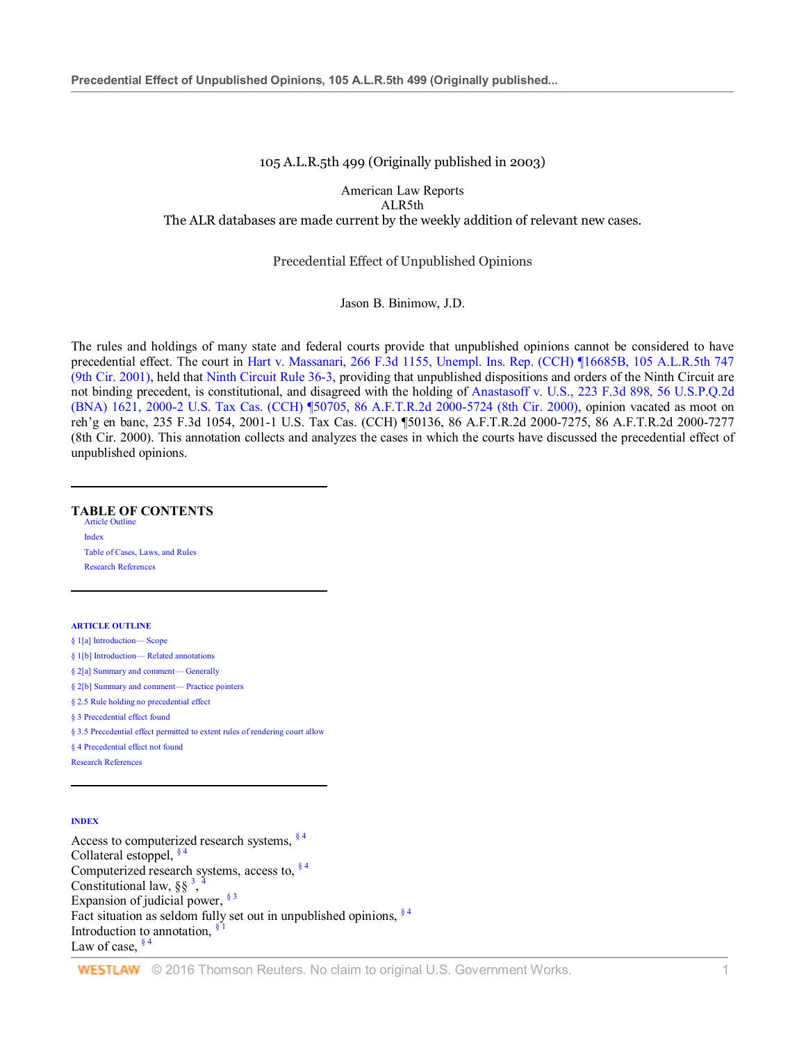#### 105 A.L.R.5th 499 (Originally published in 2003)

American Law Reports ALR5th The ALR databases are made current by the weekly addition of relevant new cases.

#### Precedential Effect of Unpublished Opinions

#### Jason B. Binimow, J.D.

The rules and holdings of many state and federal courts provide that unpublished opinions cannot be considered to have precedential effect. The court in Hart v. Massanari, 266 F.3d 1155, Unempl. Ins. Rep. (CCH) ¶16685B, 105 A.L.R.5th 747 (9th Cir. 2001), held that Ninth Circuit Rule 36-3, providing that unpublished dispositions and orders of the Ninth Circuit are not binding precedent, is constitutional, and disagreed with the holding of Anastasoff v. U.S., 223 F.3d 898, 56 U.S.P.Q.2d (BNA) 1621, 2000-2 U.S. Tax Cas. (CCH) ¶50705, 86 A.F.T.R.2d 2000-5724 (8th Cir. 2000), opinion vacated as moot on reh'g en banc, 235 F.3d 1054, 2001-1 U.S. Tax Cas. (CCH) ¶50136, 86 A.F.T.R.2d 2000-7275, 86 A.F.T.R.2d 2000-7277 (8th Cir. 2000). This annotation collects and analyzes the cases in which the courts have discussed the precedential effect of unpublished opinions.

#### **TABLE OF CONTENTS** Article Outline

Index Table of Cases, Laws, and Rules Research References

#### **ARTICLE OUTLINE**

l

l

§ 1[a] Introduction— Scope

- § 1[b] Introduction— Related annotations
- § 2[a] Summary and comment— Generally
- § 2[b] Summary and comment— Practice pointers
- § 2.5 Rule holding no precedential effect
- § 3 Precedential effect found
- § 3.5 Precedential effect permitted to extent rules of rendering court allow
- § 4 Precedential effect not found
- Research References

#### **INDEX**

 $\overline{a}$ 

Access to computerized research systems,  $§$ <sup>4</sup> Collateral estoppel,  $§$ <sup>4</sup> Computerized research systems, access to,  $§$ <sup>4</sup> Constitutional law,  $\S\S$ <sup>3</sup>, 4 Expansion of judicial power,  $§$ <sup>3</sup> Fact situation as seldom fully set out in unpublished opinions,  $§$ <sup>4</sup> Introduction to annotation,  $\frac{8}{3}$ Law of case,  $§$ <sup>4</sup>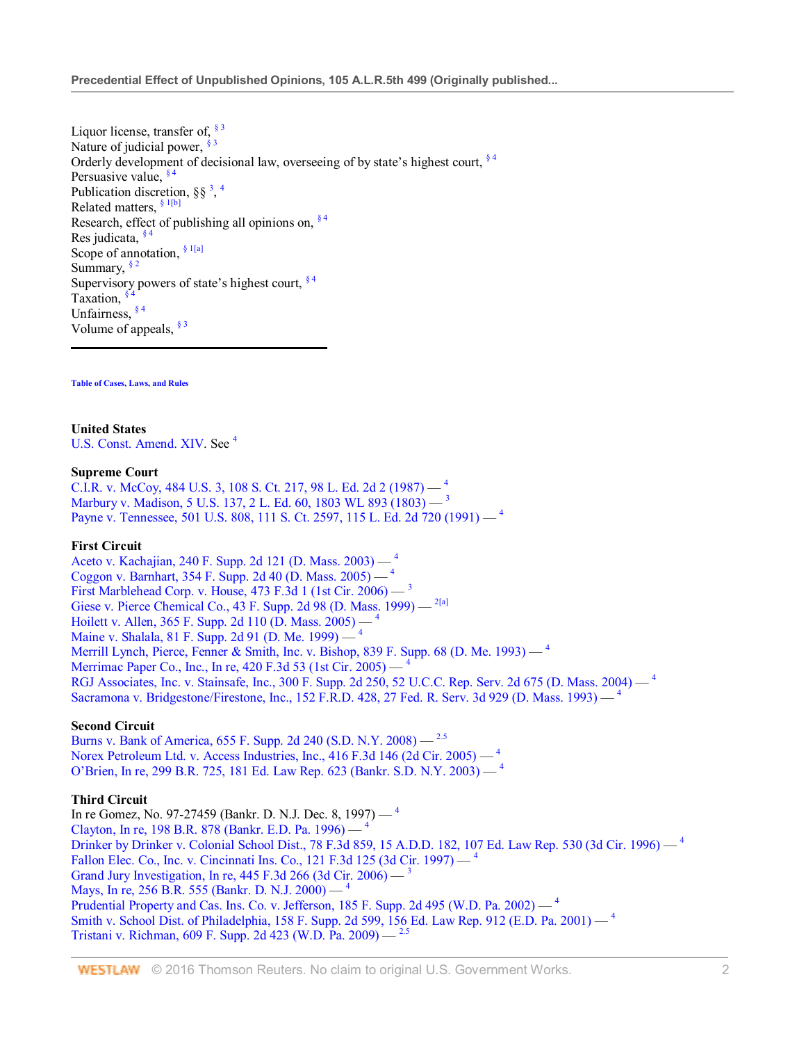Liquor license, transfer of,  $\frac{$3}{ }$ Nature of judicial power,  $\frac{2}{3}$ Orderly development of decisional law, overseeing of by state's highest court,  $§$ <sup>4</sup> Persuasive value,  $\frac{84}{9}$ Publication discretion,  $\S\S$ <sup>3</sup>, <sup>4</sup> Related matters, § 1[b] Research, effect of publishing all opinions on,  $§$ <sup>4</sup> Res judicata,  $§$ <sup>4</sup> Scope of annotation,  $§$ <sup>1[a]</sup> Summary,  $\frac{$2}{}$ Supervisory powers of state's highest court,  $§$ <sup>4</sup> Taxation,  $§$ Unfairness, § 4 Volume of appeals,  $§$ <sup>3</sup>

**Table of Cases, Laws, and Rules**

**United States**

U.S. Const. Amend. XIV. See <sup>4</sup>

#### **Supreme Court**

C.I.R. v. McCoy, 484 U.S. 3, 108 S. Ct. 217, 98 L. Ed. 2d 2 (1987) — <sup>4</sup> Marbury v. Madison, 5 U.S. 137, 2 L. Ed. 60, 1803 WL 893 (1803) — <sup>3</sup> Payne v. Tennessee, 501 U.S. 808, 111 S. Ct. 2597, 115 L. Ed. 2d 720 (1991) - <sup>4</sup>

## **First Circuit**

Aceto v. Kachajian, 240 F. Supp. 2d 121 (D. Mass. 2003) — <sup>4</sup> Coggon v. Barnhart, 354 F. Supp. 2d 40 (D. Mass. 2005) — <sup>4</sup> First Marblehead Corp. v. House, 473 F.3d 1 (1st Cir. 2006) — <sup>3</sup> Giese v. Pierce Chemical Co., 43 F. Supp. 2d 98 (D. Mass. 1999) — <sup>2[a]</sup> Hoilett v. Allen, 365 F. Supp. 2d 110 (D. Mass. 2005) — <sup>4</sup> Maine v. Shalala, 81 F. Supp. 2d 91 (D. Me. 1999) — <sup>4</sup> Merrill Lynch, Pierce, Fenner & Smith, Inc. v. Bishop, 839 F. Supp. 68 (D. Me. 1993) — <sup>4</sup> Merrimac Paper Co., Inc., In re, 420 F.3d 53 (1st Cir. 2005) — <sup>4</sup> RGJ Associates, Inc. v. Stainsafe, Inc., 300 F. Supp. 2d 250, 52 U.C.C. Rep. Serv. 2d 675 (D. Mass. 2004) — <sup>4</sup> Sacramona v. Bridgestone/Firestone, Inc., 152 F.R.D. 428, 27 Fed. R. Serv. 3d 929 (D. Mass. 1993) — <sup>4</sup>

## **Second Circuit**

Burns v. Bank of America, 655 F. Supp. 2d 240 (S.D. N.Y. 2008) — 2.5 Norex Petroleum Ltd. v. Access Industries, Inc.,  $416$  F.3d 146 (2d Cir. 2005)  $-$ <sup>4</sup> O'Brien, In re, 299 B.R. 725, 181 Ed. Law Rep. 623 (Bankr. S.D. N.Y. 2003) — <sup>4</sup>

## **Third Circuit**

In re Gomez, No. 97-27459 (Bankr. D. N.J. Dec. 8, 1997) — <sup>4</sup> Clayton, In re, 198 B.R. 878 (Bankr. E.D. Pa. 1996) — <sup>4</sup> Drinker by Drinker v. Colonial School Dist., 78 F.3d 859, 15 A.D.D. 182, 107 Ed. Law Rep. 530 (3d Cir. 1996) — <sup>4</sup> Fallon Elec. Co., Inc. v. Cincinnati Ins. Co., 121 F.3d 125 (3d Cir. 1997) — 4 Grand Jury Investigation, In re,  $445$  F.3d 266 (3d Cir. 2006) — Mays, In re, 256 B.R. 555 (Bankr. D. N.J. 2000) — Prudential Property and Cas. Ins. Co. v. Jefferson, 185 F. Supp. 2d 495 (W.D. Pa. 2002) — <sup>4</sup> Smith v. School Dist. of Philadelphia, 158 F. Supp. 2d 599, 156 Ed. Law Rep. 912 (E.D. Pa. 2001) — <sup>4</sup> Tristani v. Richman, 609 F. Supp. 2d 423 (W.D. Pa. 2009) — 2.5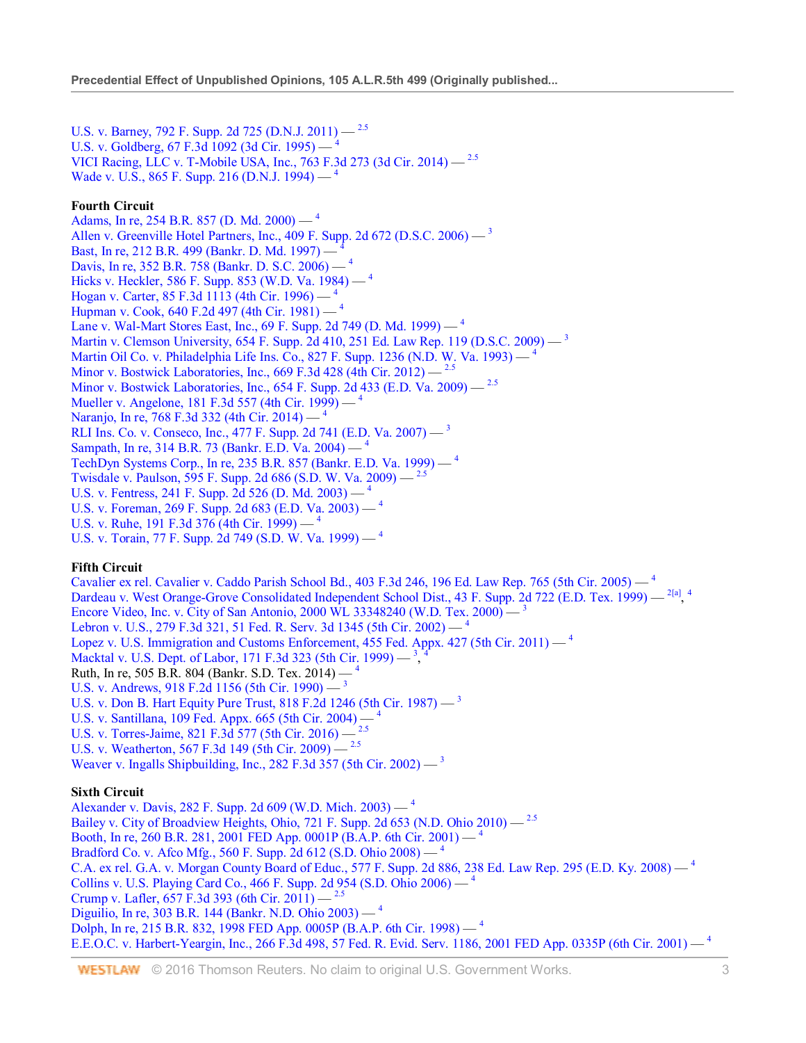U.S. v. Barney, 792 F. Supp. 2d 725 (D.N.J. 2011) — <sup>2.5</sup> U.S. v. Goldberg, 67 F.3d 1092 (3d Cir. 1995) — <sup>4</sup> VICI Racing, LLC v. T-Mobile USA, Inc., 763 F.3d 273 (3d Cir. 2014) — 2.5 Wade v. U.S., 865 F. Supp. 216 (D.N.J. 1994) — <sup>4</sup>

# **Fourth Circuit**

Adams, In re, 254 B.R. 857 (D. Md. 2000) —  $^4$ Allen v. Greenville Hotel Partners, Inc., 409 F. Supp. 2d 672 (D.S.C. 2006) — <sup>3</sup> Bast, In re, 212 B.R. 499 (Bankr. D. Md. 1997) — <sup>4</sup> Davis, In re, 352 B.R. 758 (Bankr. D. S.C. 2006) — <sup>4</sup> Hicks v. Heckler, 586 F. Supp. 853 (W.D. Va. 1984) — <sup>4</sup> Hogan v. Carter, 85 F.3d 1113 (4th Cir. 1996) — <sup>4</sup> Hupman v. Cook, 640 F.2d 497 (4th Cir. 1981) — <sup>4</sup> Lane v. Wal-Mart Stores East, Inc., 69 F. Supp. 2d 749 (D. Md. 1999) — <sup>4</sup> Martin v. Clemson University, 654 F. Supp. 2d 410, 251 Ed. Law Rep. 119 (D.S.C. 2009) — <sup>3</sup> Martin Oil Co. v. Philadelphia Life Ins. Co., 827 F. Supp. 1236 (N.D. W. Va. 1993)  $-$ <sup>4</sup> Minor v. Bostwick Laboratories, Inc., 669 F.3d 428 (4th Cir. 2012) — 2.5 Minor v. Bostwick Laboratories, Inc., 654 F. Supp. 2d 433 (E.D. Va. 2009) — 2.5 Mueller v. Angelone, 181 F.3d 557 (4th Cir. 1999) — <sup>4</sup> Naranjo, In re, 768 F.3d 332 (4th Cir. 2014) — <sup>4</sup> RLI Ins. Co. v. Conseco, Inc., 477 F. Supp. 2d 741 (E.D. Va. 2007) — <sup>3</sup> Sampath, In re, 314 B.R. 73 (Bankr. E.D. Va. 2004) — <sup>4</sup> TechDyn Systems Corp., In re, 235 B.R. 857 (Bankr. E.D. Va. 1999) — <sup>4</sup> Twisdale v. Paulson, 595 F. Supp. 2d 686 (S.D. W. Va. 2009) — 2.5 U.S. v. Fentress, 241 F. Supp. 2d 526 (D. Md. 2003) — <sup>4</sup> U.S. v. Foreman, 269 F. Supp. 2d 683 (E.D. Va. 2003) — <sup>4</sup> U.S. v. Ruhe, 191 F.3d 376 (4th Cir. 1999)  $-$ <sup>4</sup> U.S. v. Torain, 77 F. Supp. 2d 749 (S.D. W. Va. 1999) — <sup>4</sup>

# **Fifth Circuit**

Cavalier ex rel. Cavalier v. Caddo Parish School Bd., 403 F.3d 246, 196 Ed. Law Rep. 765 (5th Cir. 2005) — <sup>4</sup> Dardeau v. West Orange-Grove Consolidated Independent School Dist., 43 F. Supp. 2d 722 (E.D. Tex. 1999) — <sup>2[a]</sup>, <sup>4</sup> Encore Video, Inc. v. City of San Antonio, 2000 WL 33348240 (W.D. Tex. 2000) — <sup>3</sup> Lebron v. U.S., 279 F.3d 321, 51 Fed. R. Serv. 3d 1345 (5th Cir. 2002) — <sup>4</sup> Lopez v. U.S. Immigration and Customs Enforcement, 455 Fed. Appx. 427 (5th Cir. 2011) — <sup>4</sup> Macktal v. U.S. Dept. of Labor, 171 F.3d 323 (5th Cir. 1999) — <sup>3</sup> , 4 Ruth, In re, 505 B.R. 804 (Bankr. S.D. Tex. 2014) — <sup>4</sup> U.S. v. Andrews, 918 F.2d 1156 (5th Cir. 1990) — <sup>3</sup> U.S. v. Don B. Hart Equity Pure Trust, 818 F.2d 1246 (5th Cir. 1987)  $-$ <sup>3</sup> U.S. v. Santillana, 109 Fed. Appx. 665 (5th Cir. 2004) —  $4$ U.S. v. Torres-Jaime, 821 F.3d 577 (5th Cir. 2016) — U.S. v. Weatherton, 567 F.3d 149 (5th Cir. 2009) — <sup>2.5</sup> Weaver v. Ingalls Shipbuilding, Inc., 282 F.3d 357 (5th Cir. 2002)  $-$ <sup>3</sup>

# **Sixth Circuit**

Alexander v. Davis, 282 F. Supp. 2d 609 (W.D. Mich. 2003) — <sup>4</sup> Bailey v. City of Broadview Heights, Ohio, 721 F. Supp. 2d 653 (N.D. Ohio 2010) — 2.5 Booth, In re, 260 B.R. 281, 2001 FED App. 0001P (B.A.P. 6th Cir. 2001) —  $\pm$ Bradford Co. v. Afco Mfg., 560 F. Supp. 2d 612 (S.D. Ohio 2008) — <sup>4</sup> C.A. ex rel. G.A. v. Morgan County Board of Educ., 577 F. Supp. 2d 886, 238 Ed. Law Rep. 295 (E.D. Ky. 2008) — <sup>4</sup> Collins v. U.S. Playing Card Co., 466 F. Supp. 2d 954 (S.D. Ohio 2006) — <sup>4</sup> Crump v. Lafler, 657 F.3d 393 (6th Cir. 2011) —  $^{2.5}$ Diguilio, In re, 303 B.R. 144 (Bankr. N.D. Ohio 2003) — <sup>4</sup> Dolph, In re, 215 B.R. 832, 1998 FED App. 0005P (B.A.P. 6th Cir. 1998) — <sup>4</sup> E.E.O.C. v. Harbert-Yeargin, Inc., 266 F.3d 498, 57 Fed. R. Evid. Serv. 1186, 2001 FED App. 0335P (6th Cir. 2001) –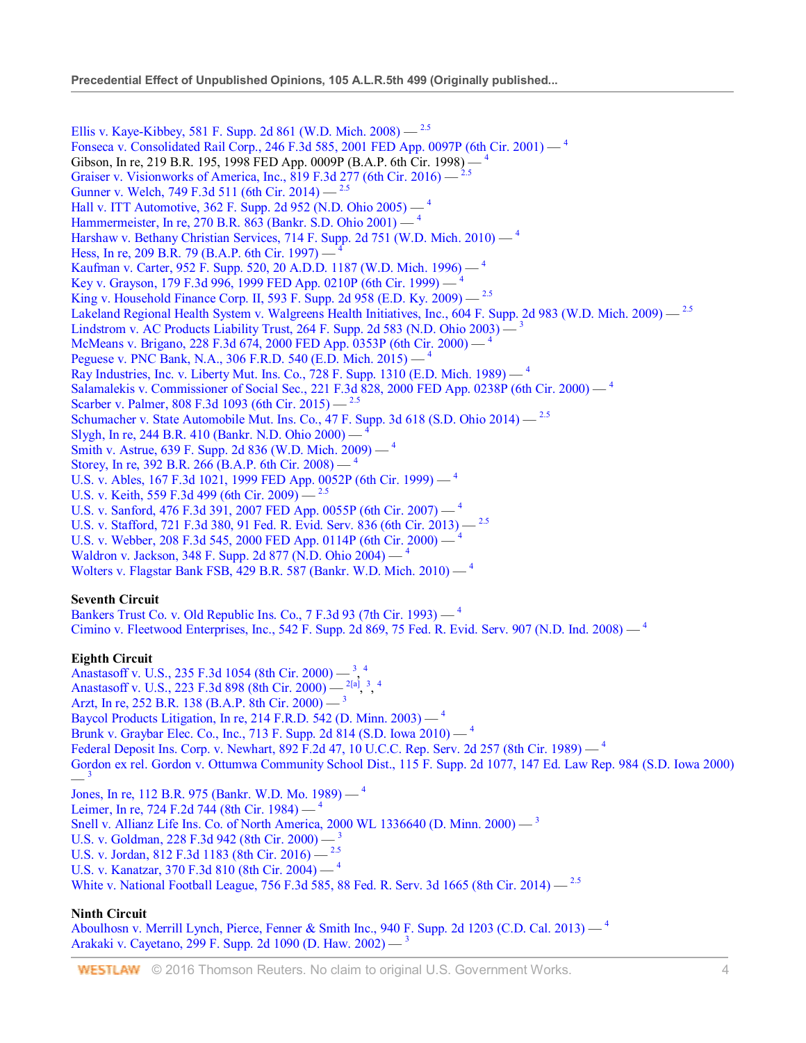Ellis v. Kaye-Kibbey, 581 F. Supp. 2d 861 (W.D. Mich. 2008) —  $^{2.5}$ Fonseca v. Consolidated Rail Corp., 246 F.3d 585, 2001 FED App. 0097P (6th Cir. 2001) — <sup>4</sup> Gibson, In re, 219 B.R. 195, 1998 FED App. 0009P (B.A.P. 6th Cir. 1998) — 4 Graiser v. Visionworks of America, Inc., 819 F.3d 277 (6th Cir. 2016) —  $^{2}$ Gunner v. Welch, 749 F.3d 511 (6th Cir. 2014) — <sup>2.5</sup> Hall v. ITT Automotive, 362 F. Supp. 2d 952 (N.D. Ohio 2005) — <sup>4</sup> Hammermeister, In re, 270 B.R. 863 (Bankr. S.D. Ohio 2001) — <sup>4</sup> Harshaw v. Bethany Christian Services, 714 F. Supp. 2d 751 (W.D. Mich. 2010) — <sup>4</sup> Hess, In re, 209 B.R. 79 (B.A.P. 6th Cir. 1997) — <sup>4</sup> Kaufman v. Carter, 952 F. Supp. 520, 20 A.D.D. 1187 (W.D. Mich. 1996) — <sup>4</sup> Key v. Grayson, 179 F.3d 996, 1999 FED App. 0210P (6th Cir. 1999) — 4 King v. Household Finance Corp. II, 593 F. Supp. 2d 958 (E.D. Ky. 2009) — 2.5 Lakeland Regional Health System v. Walgreens Health Initiatives, Inc., 604 F. Supp. 2d 983 (W.D. Mich. 2009) - <sup>2.5</sup> Lindstrom v. AC Products Liability Trust, 264 F. Supp. 2d 583 (N.D. Ohio 2003) — <sup>3</sup> McMeans v. Brigano, 228 F.3d 674, 2000 FED App. 0353P (6th Cir. 2000) — <sup>4</sup> Peguese v. PNC Bank, N.A., 306 F.R.D. 540 (E.D. Mich. 2015) — <sup>4</sup> Ray Industries, Inc. v. Liberty Mut. Ins. Co., 728 F. Supp. 1310 (E.D. Mich. 1989)  $-$ <sup>4</sup> Salamalekis v. Commissioner of Social Sec., 221 F.3d 828, 2000 FED App. 0238P (6th Cir. 2000) — <sup>4</sup> Scarber v. Palmer, 808 F.3d 1093 (6th Cir. 2015) — <sup>2.5</sup> Schumacher v. State Automobile Mut. Ins. Co., 47 F. Supp. 3d 618 (S.D. Ohio 2014) — 2.5 Slygh, In re, 244 B.R. 410 (Bankr. N.D. Ohio 2000) — <sup>4</sup> Smith v. Astrue, 639 F. Supp. 2d 836 (W.D. Mich. 2009) — <sup>4</sup> Storey, In re, 392 B.R. 266 (B.A.P. 6th Cir. 2008) — <sup>4</sup> U.S. v. Ables, 167 F.3d 1021, 1999 FED App. 0052P (6th Cir. 1999) — <sup>4</sup> U.S. v. Keith, 559 F.3d 499 (6th Cir. 2009) —  $^{2.5}$ U.S. v. Sanford, 476 F.3d 391, 2007 FED App. 0055P (6th Cir. 2007) — <sup>4</sup> U.S. v. Stafford, 721 F.3d 380, 91 Fed. R. Evid. Serv. 836 (6th Cir. 2013) — 2.5 U.S. v. Webber, 208 F.3d 545, 2000 FED App. 0114P (6th Cir. 2000) — <sup>4</sup> Waldron v. Jackson, 348 F. Supp. 2d 877 (N.D. Ohio 2004) — <sup>4</sup> Wolters v. Flagstar Bank FSB, 429 B.R. 587 (Bankr. W.D. Mich. 2010) — <sup>4</sup> **Seventh Circuit** Bankers Trust Co. v. Old Republic Ins. Co., 7 F.3d 93 (7th Cir. 1993) — <sup>4</sup> Cimino v. Fleetwood Enterprises, Inc., 542 F. Supp. 2d 869, 75 Fed. R. Evid. Serv. 907 (N.D. Ind. 2008)  $-$ <sup>4</sup> **Eighth Circuit** Anastasoff v. U.S., 235 F.3d 1054 (8th Cir. 2000)  $-$ <sup>3</sup>, <sup>4</sup> Anastasoff v. U.S., 223 F.3d 898 (8th Cir. 2000)  $-$ <sup>2[a]</sup>, <sup>3</sup>, <sup>4</sup> Arzt, In re, 252 B.R. 138 (B.A.P. 8th Cir. 2000) — <sup>3</sup> Baycol Products Litigation, In re, 214 F.R.D. 542 (D. Minn. 2003) — <sup>4</sup> Brunk v. Graybar Elec. Co., Inc., 713 F. Supp. 2d 814 (S.D. Iowa 2010) — <sup>4</sup> Federal Deposit Ins. Corp. v. Newhart, 892 F.2d 47, 10 U.C.C. Rep. Serv. 2d 257 (8th Cir. 1989) — <sup>4</sup> Gordon ex rel. Gordon v. Ottumwa Community School Dist., 115 F. Supp. 2d 1077, 147 Ed. Law Rep. 984 (S.D. Iowa 2000)  $-$ <sup>3</sup> Jones, In re, 112 B.R. 975 (Bankr. W.D. Mo. 1989) — <sup>4</sup> Leimer, In re, 724 F.2d 744 (8th Cir. 1984)  $-$ <sup>4</sup> Snell v. Allianz Life Ins. Co. of North America, 2000 WL 1336640 (D. Minn. 2000) — <sup>3</sup> U.S. v. Goldman, 228 F.3d 942 (8th Cir. 2000) — U.S. v. Jordan, 812 F.3d 1183 (8th Cir. 2016) — <sup>2.5</sup> U.S. v. Kanatzar, 370 F.3d 810 (8th Cir. 2004) — <sup>4</sup> White v. National Football League, 756 F.3d 585, 88 Fed. R. Serv. 3d 1665 (8th Cir. 2014)  $-$ <sup>2.5</sup>

## **Ninth Circuit**

Aboulhosn v. Merrill Lynch, Pierce, Fenner & Smith Inc., 940 F. Supp. 2d 1203 (C.D. Cal. 2013) — <sup>4</sup> Arakaki v. Cayetano, 299 F. Supp. 2d 1090 (D. Haw. 2002) —  $3$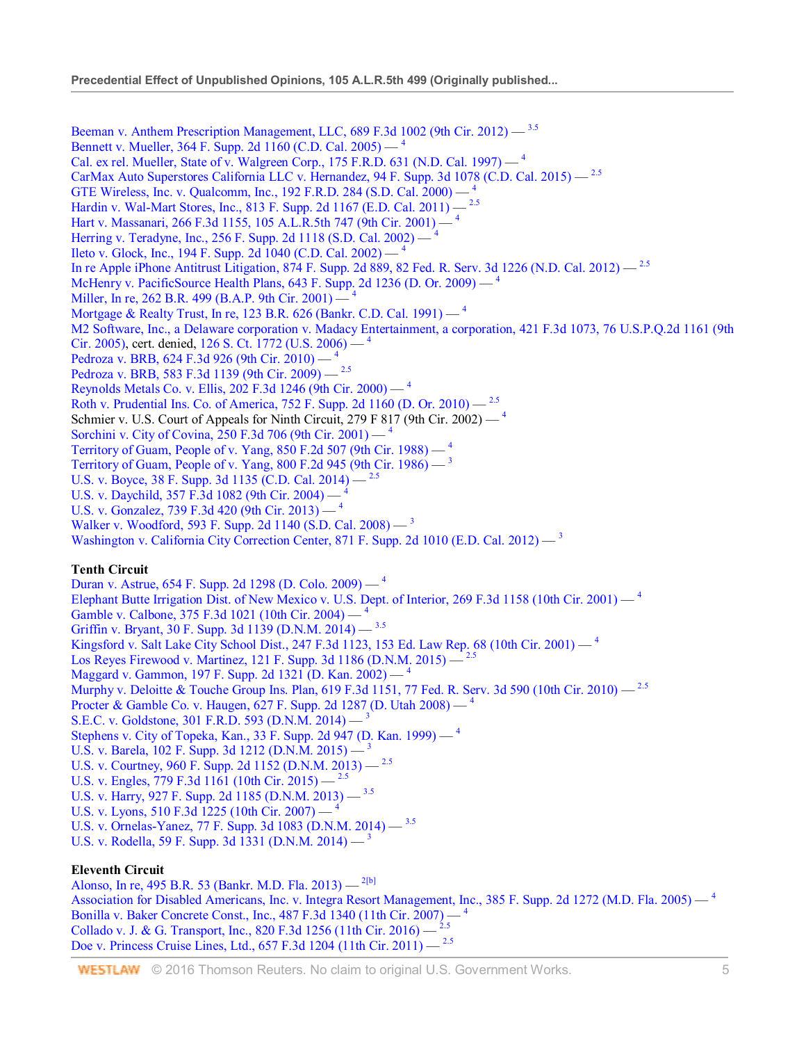Beeman v. Anthem Prescription Management, LLC, 689 F.3d 1002 (9th Cir. 2012) — 3.5 Bennett v. Mueller, 364 F. Supp. 2d 1160 (C.D. Cal. 2005) — <sup>4</sup> Cal. ex rel. Mueller, State of v. Walgreen Corp., 175 F.R.D. 631 (N.D. Cal. 1997)  $-$ <sup>4</sup> CarMax Auto Superstores California LLC v. Hernandez, 94 F. Supp. 3d 1078 (C.D. Cal. 2015) — 2.5 GTE Wireless, Inc. v. Qualcomm, Inc., 192 F.R.D. 284 (S.D. Cal. 2000) — <sup>4</sup> Hardin v. Wal-Mart Stores, Inc., 813 F. Supp. 2d 1167 (E.D. Cal. 2011) — 2.5 Hart v. Massanari, 266 F.3d 1155, 105 A.L.R.5th 747 (9th Cir. 2001) — <sup>4</sup> Herring v. Teradyne, Inc., 256 F. Supp. 2d 1118 (S.D. Cal. 2002) — <sup>4</sup> Ileto v. Glock, Inc., 194 F. Supp. 2d 1040 (C.D. Cal. 2002) — <sup>4</sup> In re Apple iPhone Antitrust Litigation, 874 F. Supp. 2d 889, 82 Fed. R. Serv. 3d 1226 (N.D. Cal. 2012) — 2.5 McHenry v. PacificSource Health Plans, 643 F. Supp. 2d 1236 (D. Or. 2009) — <sup>4</sup> Miller, In re, 262 B.R. 499 (B.A.P. 9th Cir. 2001) — <sup>4</sup> Mortgage & Realty Trust, In re, 123 B.R. 626 (Bankr. C.D. Cal. 1991) — <sup>4</sup> M2 Software, Inc., a Delaware corporation v. Madacy Entertainment, a corporation, 421 F.3d 1073, 76 U.S.P.Q.2d 1161 (9th Cir. 2005), cert. denied, 126 S. Ct. 1772 (U.S. 2006) — <sup>4</sup> Pedroza v. BRB, 624 F.3d 926 (9th Cir. 2010) — <sup>4</sup> Pedroza v. BRB, 583 F.3d 1139 (9th Cir. 2009) — 2.5 Reynolds Metals Co. v. Ellis, 202 F.3d 1246 (9th Cir. 2000) — <sup>4</sup> Roth v. Prudential Ins. Co. of America, 752 F. Supp. 2d 1160 (D. Or. 2010) —  $^{2.5}$ Schmier v. U.S. Court of Appeals for Ninth Circuit, 279 F 817 (9th Cir. 2002)  $-$ <sup>4</sup> Sorchini v. City of Covina, 250 F.3d 706 (9th Cir. 2001) — <sup>4</sup> Territory of Guam, People of v. Yang, 850 F.2d 507 (9th Cir. 1988) — <sup>4</sup> Territory of Guam, People of v. Yang,  $800$  F.2d 945 (9th Cir. 1986)  $-$ <sup>3</sup> U.S. v. Boyce, 38 F. Supp. 3d 1135 (C.D. Cal. 2014) — <sup>2.5</sup> U.S. v. Daychild, 357 F.3d 1082 (9th Cir. 2004) — <sup>4</sup> U.S. v. Gonzalez, 739 F.3d 420 (9th Cir. 2013) — <sup>4</sup> Walker v. Woodford, 593 F. Supp. 2d 1140 (S.D. Cal. 2008) — <sup>3</sup> Washington v. California City Correction Center, 871 F. Supp. 2d 1010 (E.D. Cal. 2012) —  $3$ 

## **Tenth Circuit**

Duran v. Astrue, 654 F. Supp. 2d 1298 (D. Colo. 2009) — <sup>4</sup> Elephant Butte Irrigation Dist. of New Mexico v. U.S. Dept. of Interior, 269 F.3d 1158 (10th Cir. 2001) — <sup>4</sup> Gamble v. Calbone, 375 F.3d 1021 (10th Cir. 2004) — <sup>4</sup> Griffin v. Bryant, 30 F. Supp. 3d 1139 (D.N.M. 2014) — 3.5 Kingsford v. Salt Lake City School Dist., 247 F.3d 1123, 153 Ed. Law Rep. 68 (10th Cir. 2001) — <sup>4</sup> Los Reyes Firewood v. Martinez, 121 F. Supp. 3d 1186 (D.N.M. 2015) — Maggard v. Gammon, 197 F. Supp. 2d 1321 (D. Kan. 2002) — <sup>4</sup> Murphy v. Deloitte & Touche Group Ins. Plan, 619 F.3d 1151, 77 Fed. R. Serv. 3d 590 (10th Cir. 2010) — <sup>2.5</sup> Procter & Gamble Co. v. Haugen, 627 F. Supp. 2d 1287 (D. Utah  $2008$ ) —  $^4$ S.E.C. v. Goldstone, 301 F.R.D. 593 (D.N.M. 2014) — <sup>3</sup> Stephens v. City of Topeka, Kan., 33 F. Supp. 2d 947 (D. Kan. 1999) — <sup>4</sup> U.S. v. Barela, 102 F. Supp. 3d 1212 (D.N.M. 2015) — <sup>3</sup> U.S. v. Courtney, 960 F. Supp. 2d 1152 (D.N.M. 2013) — 2.5 U.S. v. Engles, 779 F.3d 1161 (10th Cir. 2015) — <sup>2.5</sup> U.S. v. Harry, 927 F. Supp. 2d 1185 (D.N.M. 2013) — 3.5 U.S. v. Lyons, 510 F.3d 1225 (10th Cir. 2007)  $-$ <sup>4</sup> U.S. v. Ornelas-Yanez, 77 F. Supp. 3d 1083 (D.N.M. 2014) — 3.5 U.S. v. Rodella, 59 F. Supp. 3d 1331 (D.N.M.  $2014$ ) — <sup>3</sup>

# **Eleventh Circuit**

Alonso, In re, 495 B.R. 53 (Bankr. M.D. Fla. 2013) — 2[b] Association for Disabled Americans, Inc. v. Integra Resort Management, Inc., 385 F. Supp. 2d 1272 (M.D. Fla. 2005) — <sup>4</sup> Bonilla v. Baker Concrete Const., Inc., 487 F.3d 1340 (11th Cir. 2007) — <sup>4</sup> Collado v. J. & G. Transport, Inc., 820 F.3d 1256 (11th Cir. 2016) — Doe v. Princess Cruise Lines, Ltd., 657 F.3d 1204 (11th Cir. 2011) — 2.5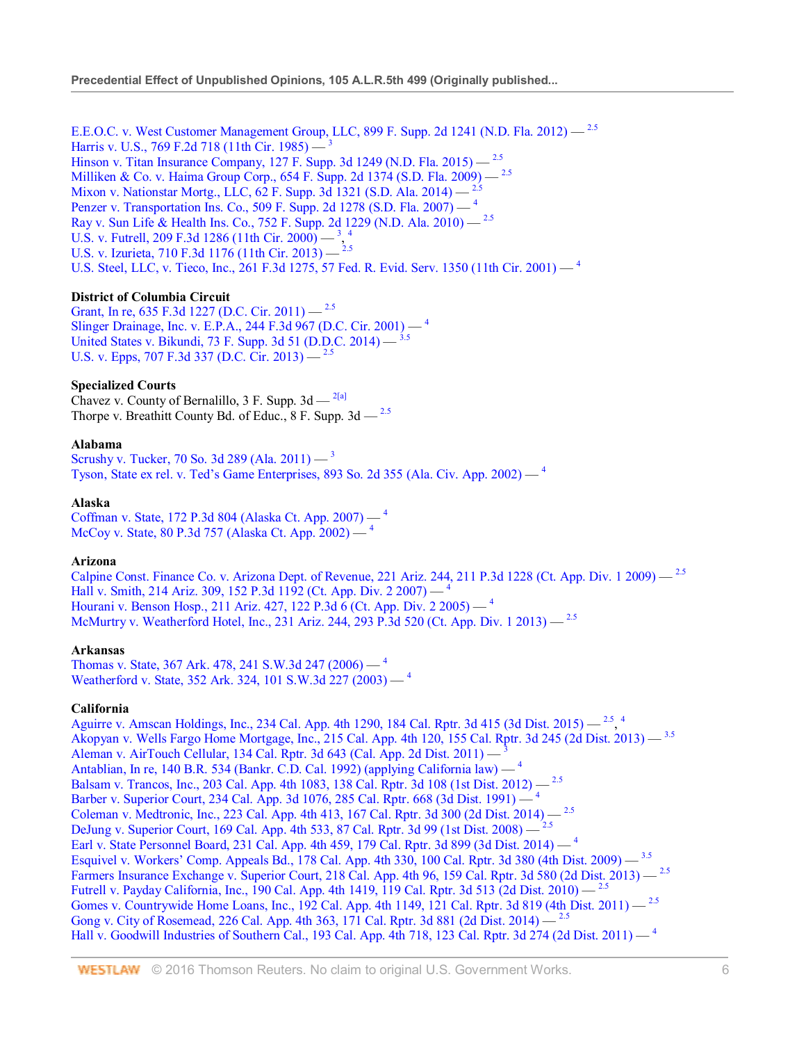E.E.O.C. v. West Customer Management Group, LLC, 899 F. Supp. 2d 1241 (N.D. Fla. 2012) — <sup>2.5</sup> Harris v. U.S., 769 F.2d 718 (11th Cir. 1985) —  $\frac{3}{2}$ Hinson v. Titan Insurance Company, 127 F. Supp. 3d 1249 (N.D. Fla. 2015) — <sup>2.5</sup> Milliken & Co. v. Haima Group Corp., 654 F. Supp. 2d 1374 (S.D. Fla. 2009) — 2.5 Mixon v. Nationstar Mortg., LLC, 62 F. Supp. 3d 1321 (S.D. Ala. 2014) — 2.5 Penzer v. Transportation Ins. Co., 509 F. Supp. 2d 1278 (S.D. Fla. 2007) - <sup>4</sup> Ray v. Sun Life & Health Ins. Co., 752 F. Supp. 2d 1229 (N.D. Ala. 2010) — 2.5 U.S. v. Futrell, 209 F.3d 1286 (11th Cir. 2000)  $-3$ , 4 U.S. v. Izurieta, 710 F.3d 1176 (11th Cir. 2013) —  $^{2.5}$ U.S. Steel, LLC, v. Tieco, Inc., 261 F.3d 1275, 57 Fed. R. Evid. Serv. 1350 (11th Cir. 2001) — <sup>4</sup>

# **District of Columbia Circuit**

Grant, In re, 635 F.3d 1227 (D.C. Cir. 2011) — <sup>2.5</sup> Slinger Drainage, Inc. v. E.P.A., 244 F.3d 967 (D.C. Cir. 2001) — <sup>4</sup> United States v. Bikundi, 73 F. Supp. 3d 51 (D.D.C. 2014) — 3.5 U.S. v. Epps, 707 F.3d 337 (D.C. Cir. 2013) —  $^{2.5}$ 

## **Specialized Courts**

Chavez v. County of Bernalillo, 3 F. Supp.  $3d - \frac{2[a]}{a}$ Thorpe v. Breathitt County Bd. of Educ.,  $8$  F. Supp.  $3d - \frac{2.5}{3}$ 

## **Alabama**

Scrushy v. Tucker, 70 So. 3d 289 (Ala. 2011) — <sup>3</sup> Tyson, State ex rel. v. Ted's Game Enterprises, 893 So. 2d 355 (Ala. Civ. App. 2002) — <sup>4</sup>

#### **Alaska**

Coffman v. State, 172 P.3d 804 (Alaska Ct. App. 2007) — <sup>4</sup> McCoy v. State, 80 P.3d 757 (Alaska Ct. App. 2002) — <sup>4</sup>

## **Arizona**

Calpine Const. Finance Co. v. Arizona Dept. of Revenue, 221 Ariz. 244, 211 P.3d 1228 (Ct. App. Div. 1 2009) — <sup>2.5</sup> Hall v. Smith, 214 Ariz. 309, 152 P.3d 1192 (Ct. App. Div. 2 2007) — <sup>4</sup> Hourani v. Benson Hosp., 211 Ariz. 427, 122 P.3d 6 (Ct. App. Div. 2 2005) — <sup>4</sup> McMurtry v. Weatherford Hotel, Inc., 231 Ariz. 244, 293 P.3d 520 (Ct. App. Div. 1 2013) — <sup>2.5</sup>

## **Arkansas**

Thomas v. State, 367 Ark. 478, 241 S.W.3d 247 (2006) — <sup>4</sup> Weatherford v. State, 352 Ark. 324, 101 S.W.3d 227 (2003) — <sup>4</sup>

## **California**

Aguirre v. Amscan Holdings, Inc., 234 Cal. App. 4th 1290, 184 Cal. Rptr. 3d 415 (3d Dist. 2015) —  $2.5$ , 4 Akopyan v. Wells Fargo Home Mortgage, Inc., 215 Cal. App. 4th 120, 155 Cal. Rptr. 3d 245 (2d Dist. 2013) — 3.5 Aleman v. AirTouch Cellular, 134 Cal. Rptr. 3d 643 (Cal. App. 2d Dist. 2011) — <sup>3</sup> Antablian, In re, 140 B.R. 534 (Bankr. C.D. Cal. 1992) (applying California law) — <sup>4</sup> Balsam v. Trancos, Inc., 203 Cal. App. 4th 1083, 138 Cal. Rptr. 3d 108 (1st Dist. 2012) — 2.5 Barber v. Superior Court, 234 Cal. App. 3d 1076, 285 Cal. Rptr. 668 (3d Dist. 1991) — <sup>4</sup> Coleman v. Medtronic, Inc., 223 Cal. App. 4th 413, 167 Cal. Rptr. 3d 300 (2d Dist. 2014) — 2.5 DeJung v. Superior Court, 169 Cal. App. 4th 533, 87 Cal. Rptr. 3d 99 (1st Dist. 2008) — <sup>2.5</sup> Earl v. State Personnel Board, 231 Cal. App. 4th 459, 179 Cal. Rptr. 3d 899 (3d Dist. 2014) — <sup>4</sup> Esquivel v. Workers' Comp. Appeals Bd., 178 Cal. App. 4th 330, 100 Cal. Rptr. 3d 380 (4th Dist. 2009) — 3.5 Farmers Insurance Exchange v. Superior Court, 218 Cal. App. 4th 96, 159 Cal. Rptr. 3d 580 (2d Dist. 2013) - <sup>2.5</sup> Futrell v. Payday California, Inc., 190 Cal. App. 4th 1419, 119 Cal. Rptr. 3d 513 (2d Dist. 2010) — 2.5 Gomes v. Countrywide Home Loans, Inc., 192 Cal. App. 4th 1149, 121 Cal. Rptr. 3d 819 (4th Dist. 2011) - <sup>2.5</sup> Gong v. City of Rosemead, 226 Cal. App. 4th 363, 171 Cal. Rptr. 3d 881 (2d Dist. 2014) — <sup>2.5</sup> Hall v. Goodwill Industries of Southern Cal., 193 Cal. App. 4th 718, 123 Cal. Rptr. 3d 274 (2d Dist. 2011) — <sup>4</sup>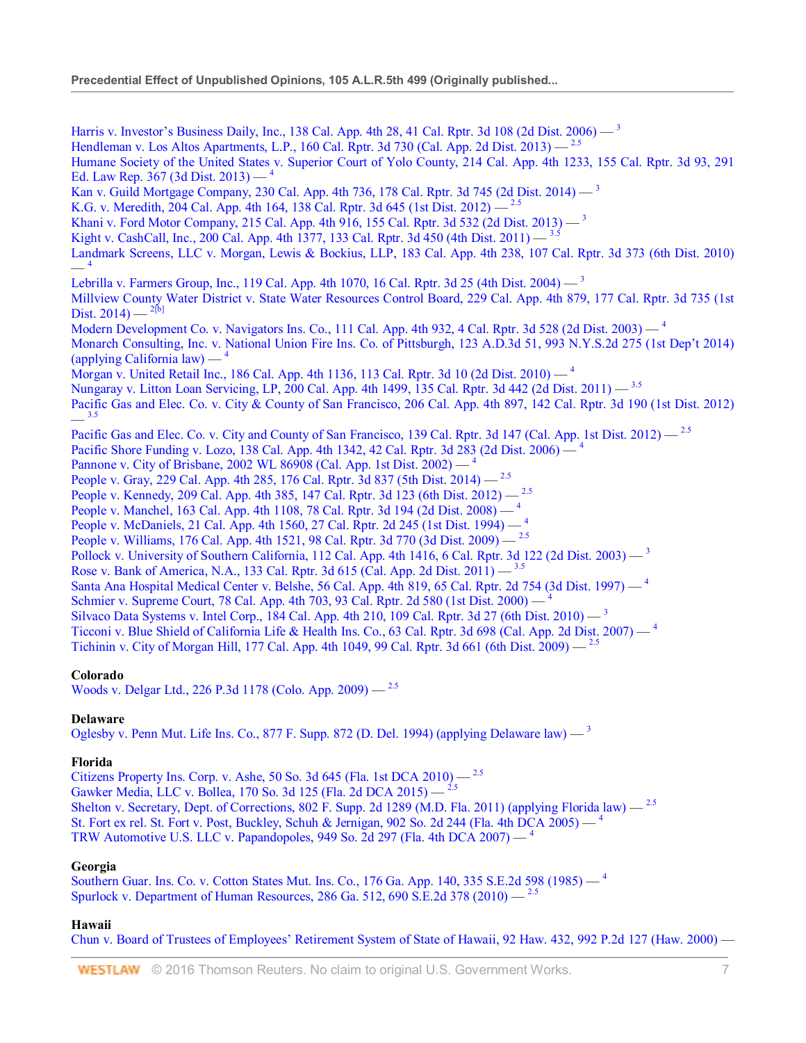Harris v. Investor's Business Daily, Inc., 138 Cal. App. 4th 28, 41 Cal. Rptr. 3d 108 (2d Dist. 2006) — <sup>3</sup> Hendleman v. Los Altos Apartments, L.P., 160 Cal. Rptr. 3d 730 (Cal. App. 2d Dist. 2013)  $-$ <sup>2.5</sup> Humane Society of the United States v. Superior Court of Yolo County, 214 Cal. App. 4th 1233, 155 Cal. Rptr. 3d 93, 291 Ed. Law Rep. 367 (3d Dist. 2013) —  $4$ Kan v. Guild Mortgage Company, 230 Cal. App. 4th 736, 178 Cal. Rptr. 3d 745 (2d Dist. 2014) — <sup>3</sup> K.G. v. Meredith, 204 Cal. App. 4th 164, 138 Cal. Rptr. 3d 645 (1st Dist. 2012) — <sup>2.5</sup> Khani v. Ford Motor Company, 215 Cal. App. 4th 916, 155 Cal. Rptr. 3d 532 (2d Dist. 2013) — <sup>3</sup> Kight v. CashCall, Inc., 200 Cal. App. 4th 1377, 133 Cal. Rptr. 3d 450 (4th Dist. 2011) — <sup>3.5</sup> Landmark Screens, LLC v. Morgan, Lewis & Bockius, LLP, 183 Cal. App. 4th 238, 107 Cal. Rptr. 3d 373 (6th Dist. 2010)  $-4$ Lebrilla v. Farmers Group, Inc., 119 Cal. App. 4th 1070, 16 Cal. Rptr. 3d 25 (4th Dist. 2004) — <sup>3</sup> Millview County Water District v. State Water Resources Control Board, 229 Cal. App. 4th 879, 177 Cal. Rptr. 3d 735 (1st Dist.  $2014$ ) — <sup>2[b]</sup> Modern Development Co. v. Navigators Ins. Co., 111 Cal. App. 4th 932, 4 Cal. Rptr. 3d 528 (2d Dist. 2003) — <sup>4</sup> Monarch Consulting, Inc. v. National Union Fire Ins. Co. of Pittsburgh, 123 A.D.3d 51, 993 N.Y.S.2d 275 (1st Dep't 2014)  $\alpha$  (applying California law) — Morgan v. United Retail Inc., 186 Cal. App. 4th 1136, 113 Cal. Rptr. 3d 10 (2d Dist. 2010) — <sup>4</sup> Nungaray v. Litton Loan Servicing, LP, 200 Cal. App. 4th 1499, 135 Cal. Rptr. 3d 442 (2d Dist. 2011) — 3.5 Pacific Gas and Elec. Co. v. City & County of San Francisco, 206 Cal. App. 4th 897, 142 Cal. Rptr. 3d 190 (1st Dist. 2012)  $3.5$ Pacific Gas and Elec. Co. v. City and County of San Francisco, 139 Cal. Rptr. 3d 147 (Cal. App. 1st Dist. 2012) — <sup>2.5</sup> Pacific Shore Funding v. Lozo, 138 Cal. App. 4th 1342, 42 Cal. Rptr. 3d 283 (2d Dist. 2006) — <sup>4</sup> Pannone v. City of Brisbane, 2002 WL 86908 (Cal. App. 1st Dist. 2002) — <sup>4</sup> People v. Gray, 229 Cal. App. 4th 285, 176 Cal. Rptr. 3d 837 (5th Dist. 2014) - <sup>2.5</sup> People v. Kennedy, 209 Cal. App. 4th 385, 147 Cal. Rptr. 3d 123 (6th Dist. 2012) - <sup>2.5</sup> People v. Manchel, 163 Cal. App. 4th 1108, 78 Cal. Rptr. 3d 194 (2d Dist. 2008) — <sup>4</sup> People v. McDaniels, 21 Cal. App. 4th 1560, 27 Cal. Rptr. 2d 245 (1st Dist. 1994) — <sup>4</sup> People v. Williams, 176 Cal. App. 4th 1521, 98 Cal. Rptr. 3d 770 (3d Dist. 2009) - <sup>2.5</sup> Pollock v. University of Southern California, 112 Cal. App. 4th 1416, 6 Cal. Rptr. 3d 122 (2d Dist. 2003)  $-$ <sup>3</sup> Rose v. Bank of America, N.A., 133 Cal. Rptr. 3d 615 (Cal. App. 2d Dist. 2011) — 3.5 Santa Ana Hospital Medical Center v. Belshe, 56 Cal. App. 4th 819, 65 Cal. Rptr. 2d 754 (3d Dist. 1997) — <sup>4</sup> Schmier v. Supreme Court, 78 Cal. App. 4th 703, 93 Cal. Rptr. 2d 580 (1st Dist. 2000) — Silvaco Data Systems v. Intel Corp., 184 Cal. App. 4th 210, 109 Cal. Rptr. 3d 27 (6th Dist. 2010) — <sup>3</sup> Ticconi v. Blue Shield of California Life & Health Ins. Co., 63 Cal. Rptr. 3d 698 (Cal. App. 2d Dist. 2007) — <sup>4</sup> Tichinin v. City of Morgan Hill, 177 Cal. App. 4th 1049, 99 Cal. Rptr. 3d 661 (6th Dist. 2009) — 2.5

## **Colorado**

Woods v. Delgar Ltd., 226 P.3d 1178 (Colo. App. 2009) — 2.5

## **Delaware**

Oglesby v. Penn Mut. Life Ins. Co., 877 F. Supp. 872 (D. Del. 1994) (applying Delaware law)  $-$ <sup>3</sup>

## **Florida**

Citizens Property Ins. Corp. v. Ashe, 50 So. 3d 645 (Fla. 1st DCA 2010) — 2.5 Gawker Media, LLC v. Bollea, 170 So. 3d 125 (Fla. 2d DCA 2015) — <sup>2.5</sup> Shelton v. Secretary, Dept. of Corrections, 802 F. Supp. 2d 1289 (M.D. Fla. 2011) (applying Florida law) — <sup>2.5</sup> St. Fort ex rel. St. Fort v. Post, Buckley, Schuh & Jernigan, 902 So. 2d 244 (Fla. 4th DCA 2005) —  $4$ TRW Automotive U.S. LLC v. Papandopoles, 949 So. 2d 297 (Fla. 4th DCA 2007)  $-$ <sup>4</sup>

# **Georgia**

Southern Guar. Ins. Co. v. Cotton States Mut. Ins. Co., 176 Ga. App. 140, 335 S.E.2d 598 (1985) — <sup>4</sup> Spurlock v. Department of Human Resources, 286 Ga. 512, 690 S.E.2d 378 (2010)  $-$ <sup>2.5</sup>

# **Hawaii**

Chun v. Board of Trustees of Employees' Retirement System of State of Hawaii, 92 Haw. 432, 992 P.2d 127 (Haw. 2000) —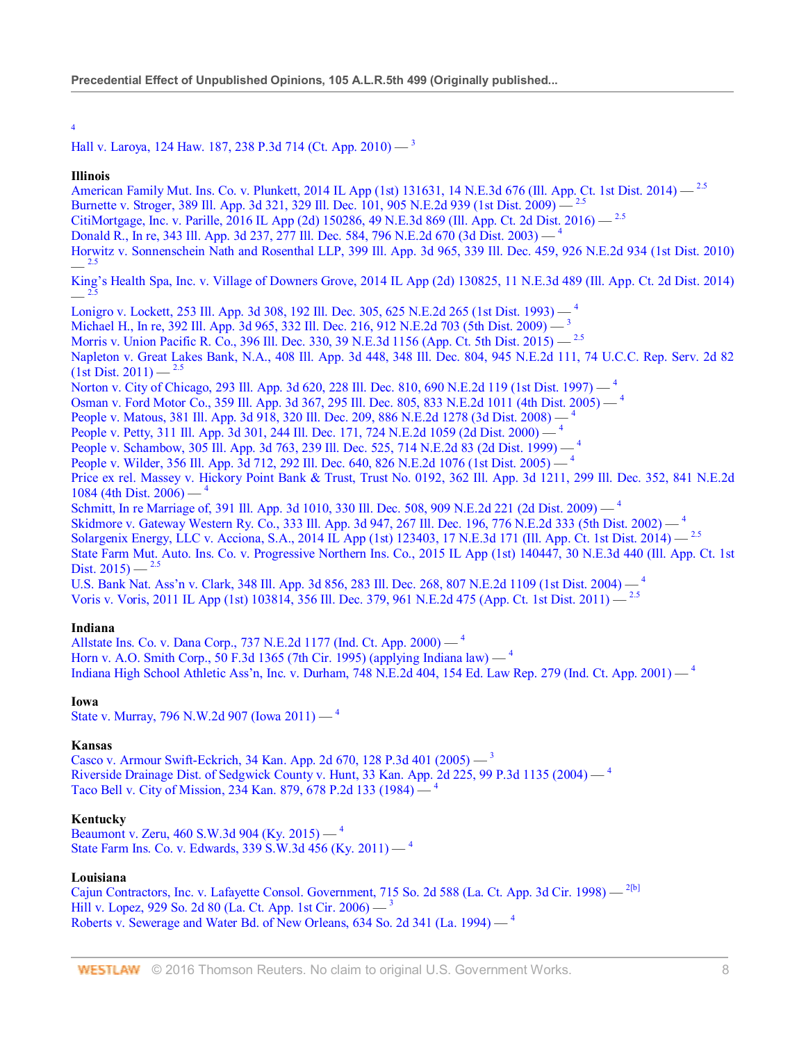4

# Hall v. Laroya, 124 Haw. 187, 238 P.3d 714 (Ct. App. 2010) — <sup>3</sup>

#### **Illinois**

American Family Mut. Ins. Co. v. Plunkett, 2014 IL App (1st) 131631, 14 N.E.3d 676 (Ill. App. Ct. 1st Dist. 2014) — <sup>2.5</sup>

Burnette v. Stroger, 389 Ill. App. 3d 321, 329 Ill. Dec. 101, 905 N.E.2d 939 (1st Dist. 2009) — 2.5

CitiMortgage, Inc. v. Parille, 2016 IL App (2d) 150286, 49 N.E.3d 869 (Ill. App. Ct. 2d Dist. 2016) — 2.5

Donald R., In re, 343 Ill. App. 3d 237, 277 Ill. Dec. 584, 796 N.E.2d 670 (3d Dist. 2003) — <sup>4</sup>

Horwitz v. Sonnenschein Nath and Rosenthal LLP, 399 Ill. App. 3d 965, 339 Ill. Dec. 459, 926 N.E.2d 934 (1st Dist. 2010)  $-$ <sup>2.5</sup>

King's Health Spa, Inc. v. Village of Downers Grove, 2014 IL App (2d) 130825, 11 N.E.3d 489 (Ill. App. Ct. 2d Dist. 2014)  $-$  2.5

Lonigro v. Lockett, 253 Ill. App. 3d 308, 192 Ill. Dec. 305, 625 N.E.2d 265 (1st Dist. 1993) — <sup>4</sup>

Michael H., In re, 392 Ill. App. 3d 965, 332 Ill. Dec. 216, 912 N.E.2d 703 (5th Dist. 2009) — <sup>3</sup>

Morris v. Union Pacific R. Co., 396 Ill. Dec. 330, 39 N.E.3d 1156 (App. Ct. 5th Dist. 2015) — <sup>2.5</sup>

Napleton v. Great Lakes Bank, N.A., 408 Ill. App. 3d 448, 348 Ill. Dec. 804, 945 N.E.2d 111, 74 U.C.C. Rep. Serv. 2d 82  $(1st Dist. 2011) -$ <sup>2.5</sup>

Norton v. City of Chicago, 293 Ill. App. 3d 620, 228 Ill. Dec. 810, 690 N.E.2d 119 (1st Dist. 1997) — <sup>4</sup>

Osman v. Ford Motor Co., 359 Ill. App. 3d 367, 295 Ill. Dec. 805, 833 N.E.2d 1011 (4th Dist. 2005) — <sup>4</sup>

People v. Matous, 381 Ill. App. 3d 918, 320 Ill. Dec. 209, 886 N.E.2d 1278 (3d Dist. 2008) - <sup>4</sup>

People v. Petty, 311 Ill. App. 3d 301, 244 Ill. Dec. 171, 724 N.E.2d 1059 (2d Dist. 2000)  $-$ <sup>4</sup>

People v. Schambow, 305 Ill. App. 3d 763, 239 Ill. Dec. 525, 714 N.E.2d 83 (2d Dist. 1999) — <sup>4</sup>

People v. Wilder, 356 Ill. App. 3d 712, 292 Ill. Dec. 640, 826 N.E.2d 1076 (1st Dist. 2005) — <sup>4</sup>

Price ex rel. Massey v. Hickory Point Bank & Trust, Trust No. 0192, 362 Ill. App. 3d 1211, 299 Ill. Dec. 352, 841 N.E.2d 1084 (4th Dist. 2006)  $-$ <sup>4</sup>

Schmitt, In re Marriage of, 391 Ill. App. 3d 1010, 330 Ill. Dec. 508, 909 N.E.2d 221 (2d Dist. 2009) — <sup>4</sup>

Skidmore v. Gateway Western Ry. Co., 333 Ill. App. 3d 947, 267 Ill. Dec. 196, 776 N.E.2d 333 (5th Dist. 2002) — <sup>4</sup>

Solargenix Energy, LLC v. Acciona, S.A., 2014 IL App (1st) 123403, 17 N.E.3d 171 (Ill. App. Ct. 1st Dist. 2014) — 2.5

State Farm Mut. Auto. Ins. Co. v. Progressive Northern Ins. Co., 2015 IL App (1st) 140447, 30 N.E.3d 440 (Ill. App. Ct. 1st Dist.  $2015$  —  $^{2.5}$ 

U.S. Bank Nat. Ass'n v. Clark, 348 Ill. App. 3d 856, 283 Ill. Dec. 268, 807 N.E.2d 1109 (1st Dist. 2004) — <sup>4</sup> Voris v. Voris, 2011 IL App (1st) 103814, 356 Ill. Dec. 379, 961 N.E.2d 475 (App. Ct. 1st Dist. 2011) — 2.5

## **Indiana**

Allstate Ins. Co. v. Dana Corp., 737 N.E.2d 1177 (Ind. Ct. App. 2000) — <sup>4</sup> Horn v. A.O. Smith Corp., 50 F.3d 1365 (7th Cir. 1995) (applying Indiana law) — <sup>4</sup> Indiana High School Athletic Ass'n, Inc. v. Durham, 748 N.E.2d 404, 154 Ed. Law Rep. 279 (Ind. Ct. App. 2001) — <sup>4</sup>

## **Iowa**

State v. Murray, 796 N.W.2d 907 (Iowa 2011) — <sup>4</sup>

## **Kansas**

Casco v. Armour Swift-Eckrich, 34 Kan. App. 2d 670, 128 P.3d 401 (2005) — <sup>3</sup> Riverside Drainage Dist. of Sedgwick County v. Hunt, 33 Kan. App. 2d 225, 99 P.3d 1135 (2004)  $-$ <sup>4</sup> Taco Bell v. City of Mission, 234 Kan. 879, 678 P.2d 133 (1984) — <sup>4</sup>

## **Kentucky**

Beaumont v. Zeru, 460 S.W.3d 904 (Ky. 2015) — <sup>4</sup> State Farm Ins. Co. v. Edwards, 339 S.W.3d 456 (Ky. 2011) — <sup>4</sup>

# **Louisiana**

Cajun Contractors, Inc. v. Lafayette Consol. Government, 715 So. 2d 588 (La. Ct. App. 3d Cir. 1998) — <sup>2[b]</sup> Hill v. Lopez, 929 So. 2d 80 (La. Ct. App. 1st Cir. 2006) —  $3$ Roberts v. Sewerage and Water Bd. of New Orleans, 634 So. 2d 341 (La. 1994) — <sup>4</sup>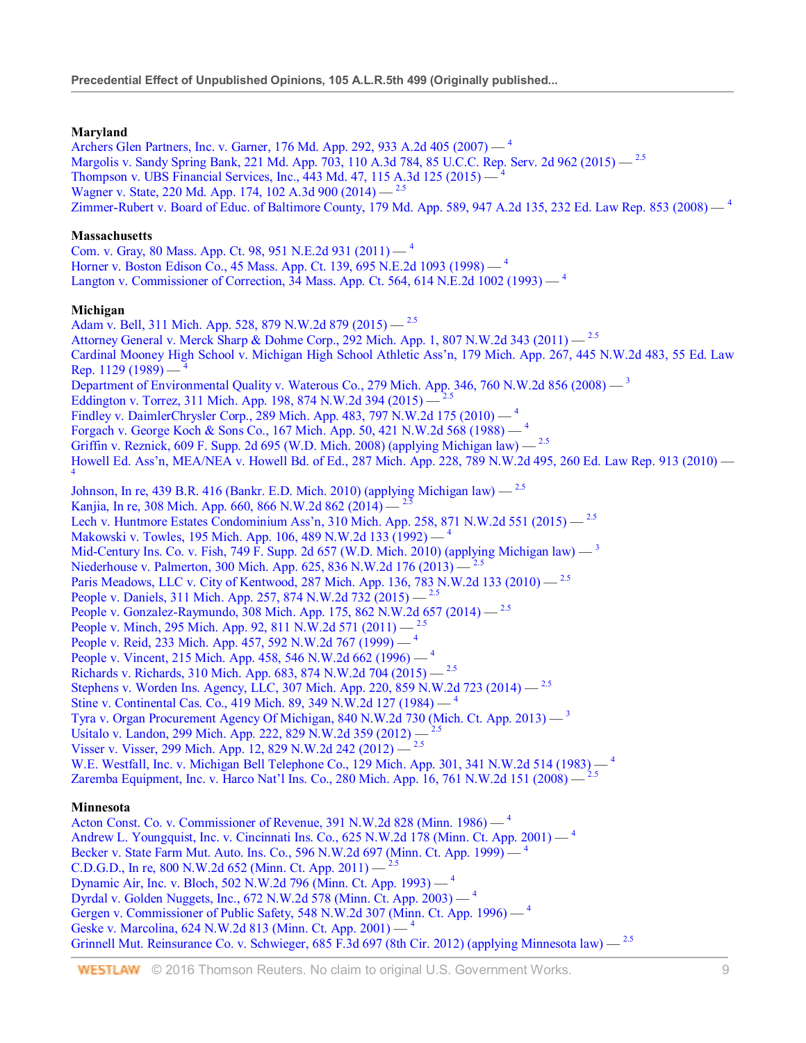# **Maryland**

Archers Glen Partners, Inc. v. Garner, 176 Md. App. 292, 933 A.2d 405 (2007) — <sup>4</sup> Margolis v. Sandy Spring Bank, 221 Md. App. 703, 110 A.3d 784, 85 U.C.C. Rep. Serv. 2d 962 (2015) - <sup>2.5</sup> Thompson v. UBS Financial Services, Inc., 443 Md. 47, 115 A.3d 125 (2015) — <sup>4</sup> Wagner v. State, 220 Md. App. 174, 102 A.3d 900 (2014) — 2.5 Zimmer-Rubert v. Board of Educ. of Baltimore County, 179 Md. App. 589, 947 A.2d 135, 232 Ed. Law Rep. 853 (2008) — <sup>4</sup> **Massachusetts** Com. v. Gray, 80 Mass. App. Ct. 98, 951 N.E.2d 931 (2011) — <sup>4</sup> Horner v. Boston Edison Co., 45 Mass. App. Ct. 139, 695 N.E.2d 1093 (1998) — <sup>4</sup> Langton v. Commissioner of Correction, 34 Mass. App. Ct. 564, 614 N.E.2d 1002 (1993) — <sup>4</sup> **Michigan** Adam v. Bell, 311 Mich. App. 528, 879 N.W.2d 879 (2015) — <sup>2.5</sup> Attorney General v. Merck Sharp & Dohme Corp., 292 Mich. App. 1, 807 N.W.2d 343 (2011) — 2.5 Cardinal Mooney High School v. Michigan High School Athletic Ass'n, 179 Mich. App. 267, 445 N.W.2d 483, 55 Ed. Law Rep. 1129 (1989) — <sup>4</sup> Department of Environmental Quality v. Waterous Co., 279 Mich. App. 346, 760 N.W.2d 856 (2008) — <sup>3</sup> Eddington v. Torrez, 311 Mich. App. 198, 874 N.W.2d 394 (2015) – Findley v. DaimlerChrysler Corp., 289 Mich. App. 483, 797 N.W.2d 175 (2010) — <sup>4</sup> Forgach v. George Koch & Sons Co., 167 Mich. App. 50, 421 N.W.2d 568 (1988) — <sup>4</sup> Griffin v. Reznick, 609 F. Supp. 2d 695 (W.D. Mich. 2008) (applying Michigan law)  $-$ <sup>2.5</sup> Howell Ed. Ass'n, MEA/NEA v. Howell Bd. of Ed., 287 Mich. App. 228, 789 N.W.2d 495, 260 Ed. Law Rep. 913 (2010) — <sup>4</sup> Johnson, In re, 439 B.R. 416 (Bankr. E.D. Mich. 2010) (applying Michigan law)  $-$ <sup>2.5</sup> Kanjia, In re, 308 Mich. App. 660, 866 N.W.2d 862 (2014) — <sup>2.5</sup> Lech v. Huntmore Estates Condominium Ass'n, 310 Mich. App. 258, 871 N.W.2d 551 (2015) — 2.5 Makowski v. Towles, 195 Mich. App. 106, 489 N.W.2d 133 (1992) — <sup>4</sup> Mid-Century Ins. Co. v. Fish, 749 F. Supp. 2d 657 (W.D. Mich. 2010) (applying Michigan law)  $-$ <sup>3</sup> Niederhouse v. Palmerton, 300 Mich. App. 625, 836 N.W.2d 176 (2013)  $-$ <sup>2</sup>. Paris Meadows, LLC v. City of Kentwood, 287 Mich. App. 136, 783 N.W.2d 133 (2010) — <sup>2.5</sup> People v. Daniels, 311 Mich. App. 257, 874 N.W.2d 732 (2015) — <sup>2.5</sup> People v. Gonzalez-Raymundo, 308 Mich. App. 175, 862 N.W.2d 657 (2014) - <sup>2.5</sup> People v. Minch, 295 Mich. App. 92, 811 N.W.2d 571 (2011) — <sup>2.5</sup> People v. Reid, 233 Mich. App. 457, 592 N.W.2d 767 (1999) — <sup>4</sup> People v. Vincent, 215 Mich. App. 458, 546 N.W.2d 662 (1996) — <sup>4</sup> Richards v. Richards, 310 Mich. App. 683, 874 N.W.2d 704 (2015) — 2.5 Stephens v. Worden Ins. Agency, LLC, 307 Mich. App. 220, 859 N.W.2d 723 (2014) - <sup>2.5</sup> Stine v. Continental Cas. Co., 419 Mich. 89, 349 N.W.2d 127 (1984) — <sup>4</sup> Tyra v. Organ Procurement Agency Of Michigan, 840 N.W.2d 730 (Mich. Ct. App. 2013)  $-$ <sup>3</sup> Usitalo v. Landon, 299 Mich. App. 222, 829 N.W.2d 359 (2012) —  $\frac{3}{5}$ Visser v. Visser, 299 Mich. App. 12, 829 N.W.2d 242 (2012) — 2.5 W.E. Westfall, Inc. v. Michigan Bell Telephone Co., 129 Mich. App. 301, 341 N.W.2d 514 (1983) — <sup>4</sup> Zaremba Equipment, Inc. v. Harco Nat'l Ins. Co., 280 Mich. App. 16, 761 N.W.2d 151 (2008) — **Minnesota** Acton Const. Co. v. Commissioner of Revenue, 391 N.W.2d 828 (Minn. 1986) — <sup>4</sup> Andrew L. Youngquist, Inc. v. Cincinnati Ins. Co., 625 N.W.2d 178 (Minn. Ct. App. 2001) — <sup>4</sup> Becker v. State Farm Mut. Auto. Ins. Co., 596 N.W.2d 697 (Minn. Ct. App. 1999) — <sup>4</sup> C.D.G.D., In re, 800 N.W.2d 652 (Minn. Ct. App. 2011) —  $^{2.5}$ Dynamic Air, Inc. v. Bloch, 502 N.W.2d 796 (Minn. Ct. App. 1993) — <sup>4</sup> Dyrdal v. Golden Nuggets, Inc., 672 N.W.2d 578 (Minn. Ct. App. 2003) — <sup>4</sup> Gergen v. Commissioner of Public Safety, 548 N.W.2d 307 (Minn. Ct. App. 1996) — <sup>4</sup> Geske v. Marcolina, 624 N.W.2d 813 (Minn. Ct. App. 2001) — <sup>4</sup> Grinnell Mut. Reinsurance Co. v. Schwieger, 685 F.3d 697 (8th Cir. 2012) (applying Minnesota law) — <sup>2.5</sup>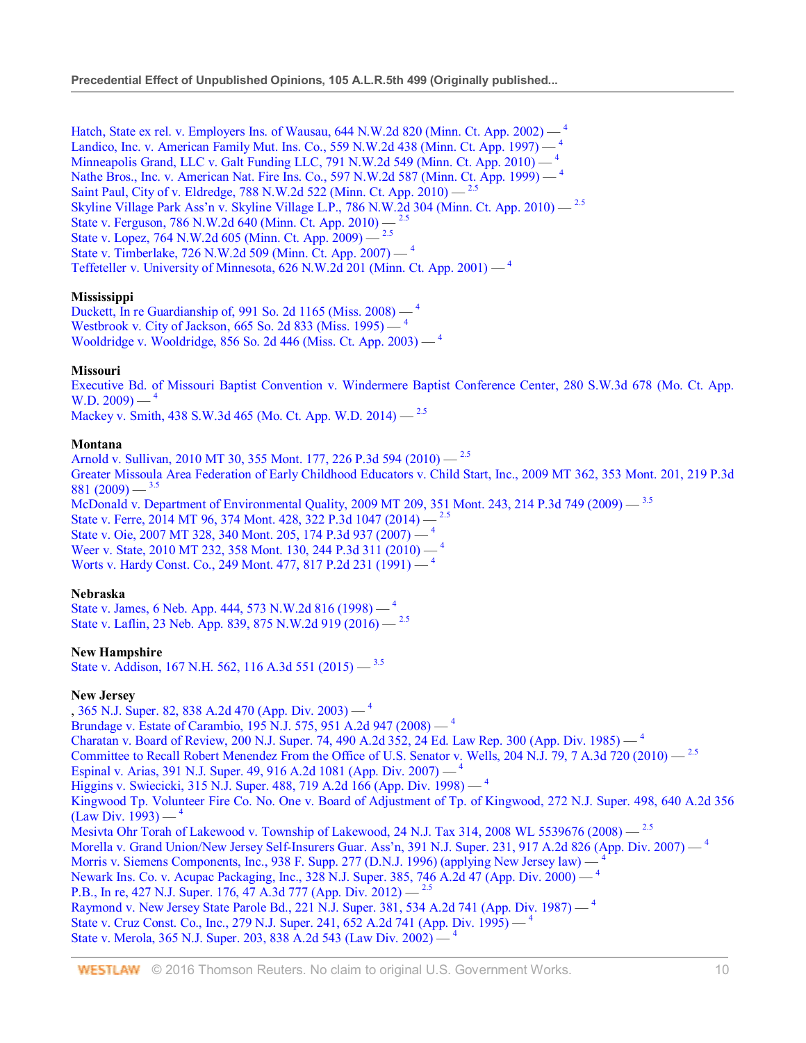Hatch, State ex rel. v. Employers Ins. of Wausau,  $644$  N.W.2d 820 (Minn. Ct. App. 2002)  $-$ <sup>4</sup> Landico, Inc. v. American Family Mut. Ins. Co., 559 N.W.2d 438 (Minn. Ct. App. 1997) — <sup>4</sup> Minneapolis Grand, LLC v. Galt Funding LLC, 791 N.W.2d 549 (Minn. Ct. App. 2010) — <sup>4</sup> Nathe Bros., Inc. v. American Nat. Fire Ins. Co., 597 N.W.2d 587 (Minn. Ct. App. 1999) — <sup>4</sup> Saint Paul, City of v. Eldredge, 788 N.W.2d 522 (Minn. Ct. App. 2010) — 2.5 Skyline Village Park Ass'n v. Skyline Village L.P., 786 N.W.2d 304 (Minn. Ct. App. 2010) — 2.5 State v. Ferguson, 786 N.W.2d 640 (Minn. Ct. App. 2010) — 2.5 State v. Lopez, 764 N.W.2d 605 (Minn. Ct. App. 2009) — State v. Timberlake, 726 N.W.2d 509 (Minn. Ct. App. 2007) — <sup>4</sup> Teffeteller v. University of Minnesota,  $626$  N.W.2d 201 (Minn. Ct. App. 2001)  $-$ <sup>4</sup>

# **Mississippi**

Duckett, In re Guardianship of, 991 So. 2d 1165 (Miss. 2008) — <sup>4</sup> Westbrook v. City of Jackson, 665 So. 2d 833 (Miss. 1995) — <sup>4</sup> Wooldridge v. Wooldridge, 856 So. 2d 446 (Miss. Ct. App. 2003) — <sup>4</sup>

## **Missouri**

Executive Bd. of Missouri Baptist Convention v. Windermere Baptist Conference Center, 280 S.W.3d 678 (Mo. Ct. App. W.D.  $2009$ )  $-$ <sup>4</sup>

Mackey v. Smith, 438 S.W.3d 465 (Mo. Ct. App. W.D. 2014) — <sup>2.5</sup>

## **Montana**

Arnold v. Sullivan, 2010 MT 30, 355 Mont. 177, 226 P.3d 594 (2010) — 2.5 Greater Missoula Area Federation of Early Childhood Educators v. Child Start, Inc., 2009 MT 362, 353 Mont. 201, 219 P.3d 881 (2009)  $-$ <sup>3.5</sup>

McDonald v. Department of Environmental Quality, 2009 MT 209, 351 Mont. 243, 214 P.3d 749 (2009) — 3.5 State v. Ferre, 2014 MT 96, 374 Mont. 428, 322 P.3d 1047 (2014) — State v. Oie, 2007 MT 328, 340 Mont. 205, 174 P.3d 937 (2007) — <sup>4</sup> Weer v. State, 2010 MT 232, 358 Mont. 130, 244 P.3d 311 (2010) - <sup>4</sup> Worts v. Hardy Const. Co., 249 Mont. 477, 817 P.2d 231 (1991) — <sup>4</sup>

## **Nebraska**

State v. James, 6 Neb. App. 444, 573 N.W.2d 816 (1998) — <sup>4</sup> State v. Laflin, 23 Neb. App. 839, 875 N.W.2d 919 (2016) — 2.5

# **New Hampshire**

State v. Addison, 167 N.H. 562, 116 A.3d 551 (2015) — 3.5

## **New Jersey**

, 365 N.J. Super. 82, 838 A.2d 470 (App. Div. 2003) —  $^4$ Brundage v. Estate of Carambio, 195 N.J. 575, 951 A.2d 947 (2008) — <sup>4</sup> Charatan v. Board of Review, 200 N.J. Super. 74, 490 A.2d 352, 24 Ed. Law Rep. 300 (App. Div. 1985) — <sup>4</sup> Committee to Recall Robert Menendez From the Office of U.S. Senator v. Wells, 204 N.J. 79, 7 A.3d 720 (2010) — <sup>2.5</sup> Espinal v. Arias, 391 N.J. Super. 49, 916 A.2d 1081 (App. Div. 2007) — <sup>4</sup> Higgins v. Swiecicki, 315 N.J. Super. 488, 719 A.2d 166 (App. Div. 1998) — <sup>4</sup> Kingwood Tp. Volunteer Fire Co. No. One v. Board of Adjustment of Tp. of Kingwood, 272 N.J. Super. 498, 640 A.2d 356  $(Law Div. 1993) -$ <sup>4</sup> Mesivta Ohr Torah of Lakewood v. Township of Lakewood, 24 N.J. Tax 314, 2008 WL 5539676 (2008) — <sup>2.5</sup> Morella v. Grand Union/New Jersey Self-Insurers Guar. Ass'n, 391 N.J. Super. 231, 917 A.2d 826 (App. Div. 2007) — <sup>4</sup> Morris v. Siemens Components, Inc., 938 F. Supp. 277 (D.N.J. 1996) (applying New Jersey law) — Newark Ins. Co. v. Acupac Packaging, Inc., 328 N.J. Super. 385, 746 A.2d 47 (App. Div. 2000) — <sup>4</sup> P.B., In re, 427 N.J. Super. 176, 47 A.3d 777 (App. Div. 2012) — <sup>2.5</sup> Raymond v. New Jersey State Parole Bd., 221 N.J. Super. 381, 534 A.2d 741 (App. Div. 1987) — <sup>4</sup> State v. Cruz Const. Co., Inc., 279 N.J. Super. 241, 652 A.2d 741 (App. Div. 1995) — 4 State v. Merola, 365 N.J. Super. 203, 838 A.2d 543 (Law Div. 2002) — <sup>4</sup>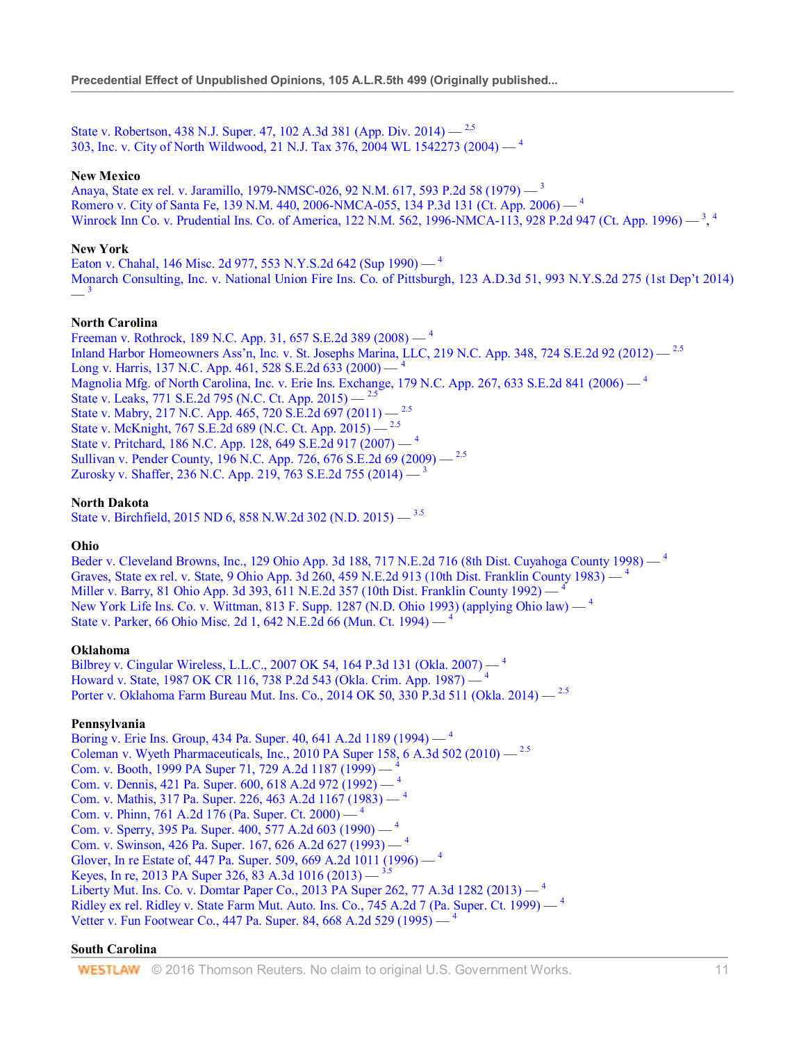State v. Robertson, 438 N.J. Super. 47, 102 A.3d 381 (App. Div. 2014) — 2.5 303, Inc. v. City of North Wildwood, 21 N.J. Tax 376, 2004 WL 1542273 (2004) — <sup>4</sup>

#### **New Mexico**

Anaya, State ex rel. v. Jaramillo, 1979-NMSC-026, 92 N.M. 617, 593 P.2d 58 (1979) — <sup>3</sup> Romero v. City of Santa Fe, 139 N.M. 440, 2006-NMCA-055, 134 P.3d 131 (Ct. App. 2006) — <sup>4</sup> Winrock Inn Co. v. Prudential Ins. Co. of America, 122 N.M. 562, 1996-NMCA-113, 928 P.2d 947 (Ct. App. 1996) — <sup>3</sup>, <sup>4</sup>

#### **New York**

Eaton v. Chahal, 146 Misc. 2d 977, 553 N.Y.S.2d 642 (Sup 1990) — <sup>4</sup> Monarch Consulting, Inc. v. National Union Fire Ins. Co. of Pittsburgh, 123 A.D.3d 51, 993 N.Y.S.2d 275 (1st Dep't 2014)  $-$ <sup>3</sup>

#### **North Carolina**

Freeman v. Rothrock, 189 N.C. App. 31, 657 S.E.2d 389 (2008) — <sup>4</sup> Inland Harbor Homeowners Ass'n, Inc. v. St. Josephs Marina, LLC, 219 N.C. App. 348, 724 S.E.2d 92 (2012) — 2.5 Long v. Harris, 137 N.C. App. 461, 528 S.E.2d 633 (2000) — <sup>4</sup> Magnolia Mfg. of North Carolina, Inc. v. Erie Ins. Exchange, 179 N.C. App. 267, 633 S.E.2d 841 (2006) — <sup>4</sup> State v. Leaks, 771 S.E.2d 795 (N.C. Ct. App. 2015) — 2.5 State v. Mabry, 217 N.C. App. 465, 720 S.E.2d 697 (2011) - <sup>2.5</sup> State v. McKnight, 767 S.E.2d 689 (N.C. Ct. App. 2015) — 2.5 State v. Pritchard, 186 N.C. App. 128, 649 S.E.2d 917 (2007) — <sup>4</sup> Sullivan v. Pender County, 196 N.C. App. 726, 676 S.E.2d 69 (2009) - <sup>2.5</sup> Zurosky v. Shaffer, 236 N.C. App. 219, 763 S.E.2d 755 (2014) —  $^3$ 

## **North Dakota**

State v. Birchfield, 2015 ND 6, 858 N.W.2d 302 (N.D. 2015) — 3.5

#### **Ohio**

Beder v. Cleveland Browns, Inc., 129 Ohio App. 3d 188, 717 N.E.2d 716 (8th Dist. Cuyahoga County 1998) — <sup>4</sup> Graves, State ex rel. v. State, 9 Ohio App. 3d 260, 459 N.E.2d 913 (10th Dist. Franklin County 1983) — <sup>4</sup> Miller v. Barry, 81 Ohio App. 3d 393, 611 N.E.2d 357 (10th Dist. Franklin County 1992) — <sup>4</sup> New York Life Ins. Co. v. Wittman, 813 F. Supp. 1287 (N.D. Ohio 1993) (applying Ohio law) — <sup>4</sup> State v. Parker, 66 Ohio Misc. 2d 1, 642 N.E.2d 66 (Mun. Ct. 1994) — <sup>4</sup>

#### **Oklahoma**

Bilbrey v. Cingular Wireless, L.L.C., 2007 OK 54, 164 P.3d 131 (Okla. 2007) — <sup>4</sup> Howard v. State, 1987 OK CR 116, 738 P.2d 543 (Okla. Crim. App. 1987) — <sup>4</sup> Porter v. Oklahoma Farm Bureau Mut. Ins. Co., 2014 OK 50, 330 P.3d 511 (Okla. 2014) — 2.5

## **Pennsylvania**

Boring v. Erie Ins. Group, 434 Pa. Super. 40, 641 A.2d 1189 (1994) — <sup>4</sup> Coleman v. Wyeth Pharmaceuticals, Inc., 2010 PA Super 158, 6 A.3d 502 (2010)  $-$ <sup>2.5</sup> Com. v. Booth, 1999 PA Super 71, 729 A.2d 1187 (1999) — <sup>4</sup> Com. v. Dennis, 421 Pa. Super. 600, 618 A.2d 972 (1992) — <sup>4</sup> Com. v. Mathis, 317 Pa. Super. 226, 463 A.2d 1167 (1983) — <sup>4</sup> Com. v. Phinn, 761 A.2d 176 (Pa. Super. Ct. 2000) — <sup>4</sup> Com. v. Sperry, 395 Pa. Super. 400, 577 A.2d 603 (1990) — <sup>4</sup> Com. v. Swinson, 426 Pa. Super. 167, 626 A.2d 627 (1993) — <sup>4</sup> Glover, In re Estate of, 447 Pa. Super. 509, 669 A.2d 1011 (1996) — <sup>4</sup> Keyes, In re, 2013 PA Super 326, 83 A.3d 1016 (2013) — 3.5 Liberty Mut. Ins. Co. v. Domtar Paper Co., 2013 PA Super 262, 77 A.3d 1282 (2013) — <sup>4</sup> Ridley ex rel. Ridley v. State Farm Mut. Auto. Ins. Co., 745 A.2d 7 (Pa. Super. Ct. 1999) - <sup>4</sup> Vetter v. Fun Footwear Co., 447 Pa. Super. 84, 668 A.2d 529 (1995) — <sup>4</sup>

#### **South Carolina**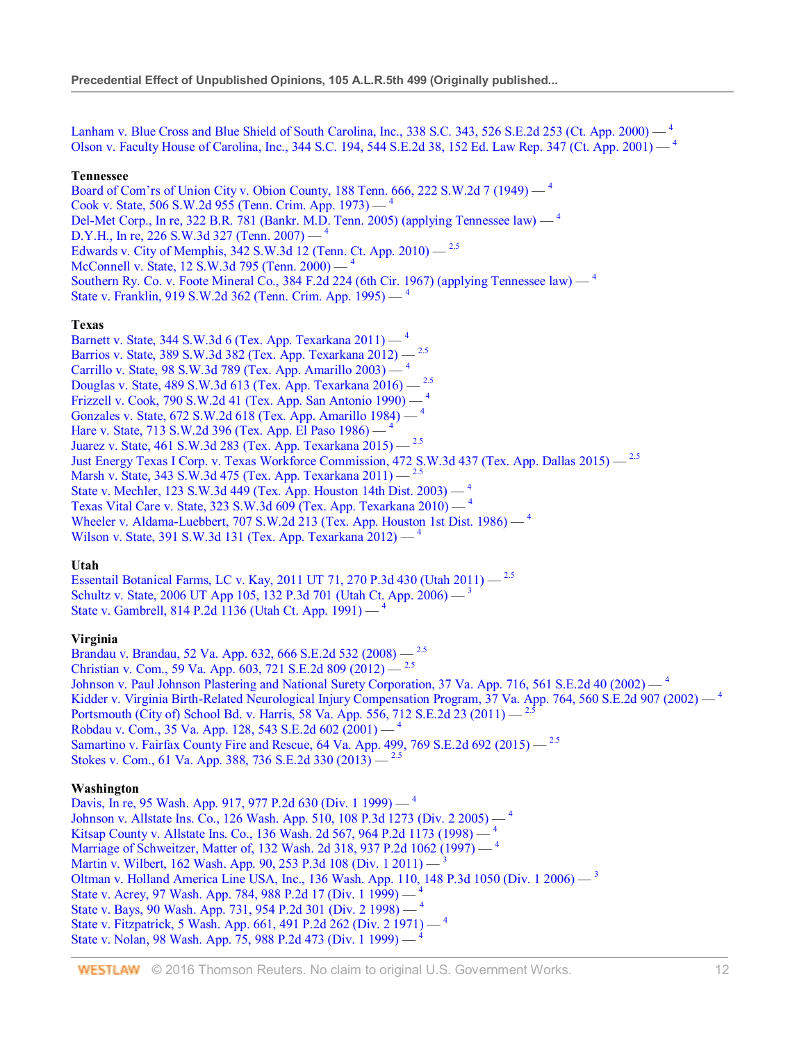Lanham v. Blue Cross and Blue Shield of South Carolina, Inc., 338 S.C. 343, 526 S.E.2d 253 (Ct. App. 2000) — <sup>4</sup> Olson v. Faculty House of Carolina, Inc., 344 S.C. 194, 544 S.E.2d 38, 152 Ed. Law Rep. 347 (Ct. App. 2001) — <sup>4</sup>

#### **Tennessee**

Board of Com'rs of Union City v. Obion County, 188 Tenn. 666, 222 S.W.2d 7 (1949) — <sup>4</sup> Cook v. State, 506 S.W.2d 955 (Tenn. Crim. App. 1973) — <sup>4</sup> Del-Met Corp., In re, 322 B.R. 781 (Bankr. M.D. Tenn. 2005) (applying Tennessee law) — <sup>4</sup> D.Y.H., In re, 226 S.W.3d 327 (Tenn. 2007) — <sup>4</sup> Edwards v. City of Memphis, 342 S.W.3d 12 (Tenn. Ct. App. 2010) — 2.5 McConnell v. State, 12 S.W.3d 795 (Tenn. 2000) — 4 Southern Ry. Co. v. Foote Mineral Co., 384 F.2d 224 (6th Cir. 1967) (applying Tennessee law) — <sup>4</sup> State v. Franklin, 919 S.W.2d 362 (Tenn. Crim. App. 1995) — <sup>4</sup>

#### **Texas**

Barnett v. State, 344 S.W.3d 6 (Tex. App. Texarkana 2011) — <sup>4</sup> Barrios v. State, 389 S.W.3d 382 (Tex. App. Texarkana 2012) — 2.5 Carrillo v. State, 98 S.W.3d 789 (Tex. App. Amarillo 2003) — <sup>4</sup> Douglas v. State, 489 S.W.3d 613 (Tex. App. Texarkana 2016) — 2.5 Frizzell v. Cook, 790 S.W.2d 41 (Tex. App. San Antonio 1990) — <sup>4</sup> Gonzales v. State, 672 S.W.2d 618 (Tex. App. Amarillo 1984) — <sup>4</sup> Hare v. State, 713 S.W.2d 396 (Tex. App. El Paso 1986) — 4 Juarez v. State, 461 S.W.3d 283 (Tex. App. Texarkana 2015) — 2.5 Just Energy Texas I Corp. v. Texas Workforce Commission, 472 S.W.3d 437 (Tex. App. Dallas 2015) — 2.5 Marsh v. State, 343 S.W.3d 475 (Tex. App. Texarkana 2011) — <sup>2.5</sup> State v. Mechler, 123 S.W.3d 449 (Tex. App. Houston 14th Dist. 2003) — <sup>4</sup> Texas Vital Care v. State, 323 S.W.3d 609 (Tex. App. Texarkana 2010) — <sup>4</sup> Wheeler v. Aldama-Luebbert, 707 S.W.2d 213 (Tex. App. Houston 1st Dist. 1986) — <sup>4</sup> Wilson v. State, 391 S.W.3d 131 (Tex. App. Texarkana 2012) — <sup>4</sup>

## **Utah**

Essentail Botanical Farms, LC v. Kay, 2011 UT 71, 270 P.3d 430 (Utah 2011) — 2.5 Schultz v. State, 2006 UT App 105, 132 P.3d 701 (Utah Ct. App. 2006) — <sup>3</sup> State v. Gambrell, 814 P.2d 1136 (Utah Ct. App. 1991) — <sup>4</sup>

## **Virginia**

Brandau v. Brandau, 52 Va. App. 632, 666 S.E.2d 532 (2008) — 2.5 Christian v. Com., 59 Va. App. 603, 721 S.E.2d 809 (2012) — 2.5 Johnson v. Paul Johnson Plastering and National Surety Corporation, 37 Va. App. 716, 561 S.E.2d 40 (2002)  $-$ <sup>4</sup> Kidder v. Virginia Birth-Related Neurological Injury Compensation Program,  $37$  Va. App. 764, 560 S.E.2d 907 (2002) — <sup>4</sup> Portsmouth (City of) School Bd. v. Harris, 58 Va. App. 556, 712 S.E.2d 23 (2011) — <sup>2.5</sup> Robdau v. Com., 35 Va. App. 128, 543 S.E.2d 602 (2001) — <sup>4</sup> Samartino v. Fairfax County Fire and Rescue, 64 Va. App. 499, 769 S.E.2d 692 (2015) — <sup>2.5</sup> Stokes v. Com., 61 Va. App. 388, 736 S.E.2d 330 (2013) — 2.5

## **Washington**

Davis, In re, 95 Wash. App. 917, 977 P.2d 630 (Div. 1 1999) — <sup>4</sup> Johnson v. Allstate Ins. Co., 126 Wash. App. 510, 108 P.3d 1273 (Div. 2 2005) — <sup>4</sup> Kitsap County v. Allstate Ins. Co., 136 Wash. 2d 567, 964 P.2d 1173 (1998) — <sup>4</sup> Marriage of Schweitzer, Matter of, 132 Wash. 2d 318, 937 P.2d 1062 (1997) — <sup>4</sup> Martin v. Wilbert, 162 Wash. App. 90, 253 P.3d 108 (Div. 1 2011) — <sup>3</sup> Oltman v. Holland America Line USA, Inc., 136 Wash. App. 110, 148 P.3d 1050 (Div. 1 2006) — <sup>3</sup> State v. Acrey, 97 Wash. App. 784, 988 P.2d 17 (Div. 1 1999) — <sup>4</sup> State v. Bays, 90 Wash. App. 731, 954 P.2d 301 (Div. 2 1998) — <sup>4</sup> State v. Fitzpatrick, 5 Wash. App. 661, 491 P.2d 262 (Div. 2 1971) — <sup>4</sup> State v. Nolan, 98 Wash. App. 75, 988 P.2d 473 (Div. 1 1999) — <sup>4</sup>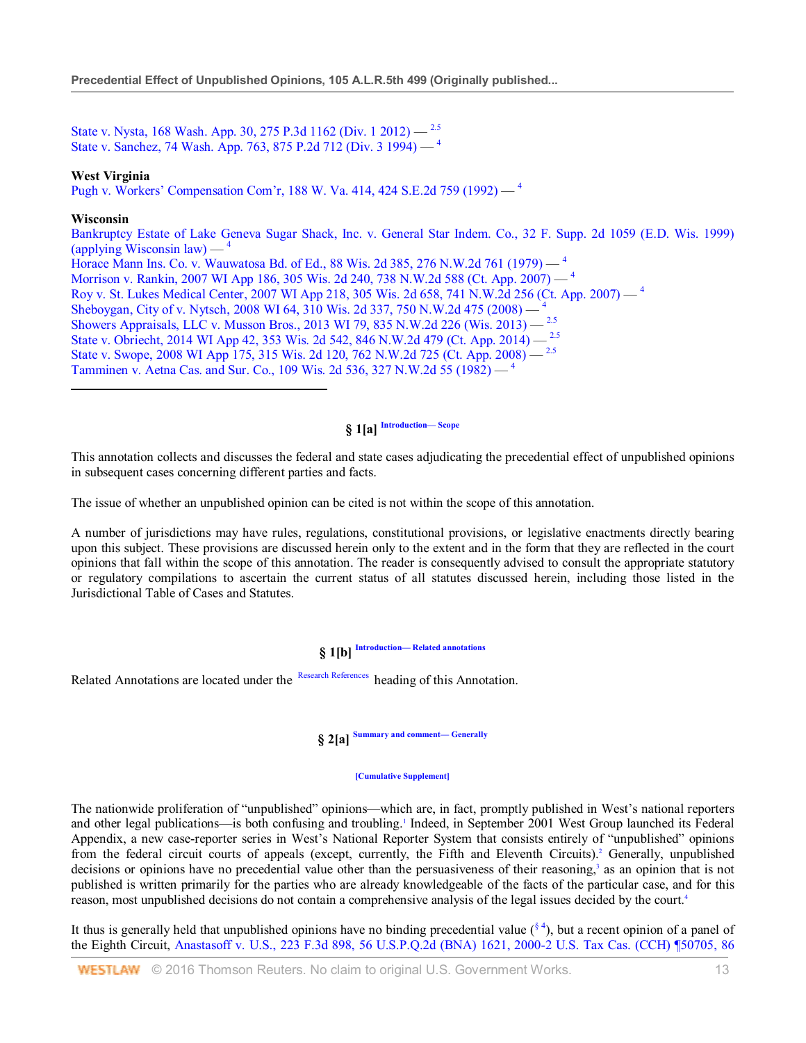State v. Nysta, 168 Wash. App. 30, 275 P.3d 1162 (Div. 1 2012) —  $^{2.5}$ State v. Sanchez, 74 Wash. App. 763, 875 P.2d 712 (Div. 3 1994) — <sup>4</sup>

## **West Virginia**

Pugh v. Workers' Compensation Com'r, 188 W. Va. 414, 424 S.E.2d 759 (1992) — <sup>4</sup>

#### **Wisconsin**

Bankruptcy Estate of Lake Geneva Sugar Shack, Inc. v. General Star Indem. Co., 32 F. Supp. 2d 1059 (E.D. Wis. 1999) (applying Wisconsin law) — <sup>4</sup> Horace Mann Ins. Co. v. Wauwatosa Bd. of Ed., 88 Wis. 2d 385, 276 N.W.2d 761 (1979) — <sup>4</sup> Morrison v. Rankin, 2007 WI App 186, 305 Wis. 2d 240, 738 N.W.2d 588 (Ct. App. 2007) — <sup>4</sup> Roy v. St. Lukes Medical Center, 2007 WI App 218, 305 Wis. 2d 658, 741 N.W.2d 256 (Ct. App. 2007) — <sup>4</sup> Sheboygan, City of v. Nytsch, 2008 WI 64, 310 Wis. 2d 337, 750 N.W.2d 475 (2008) — <sup>4</sup> Showers Appraisals, LLC v. Musson Bros., 2013 WI 79, 835 N.W.2d 226 (Wis. 2013) — 2.5 State v. Obriecht, 2014 WI App 42, 353 Wis. 2d 542, 846 N.W.2d 479 (Ct. App. 2014) — 2.5 State v. Swope, 2008 WI App 175, 315 Wis. 2d 120, 762 N.W.2d 725 (Ct. App. 2008) — 2.5 Tamminen v. Aetna Cas. and Sur. Co., 109 Wis. 2d 536, 327 N.W.2d 55 (1982) —  $4\,$ 

# **§ 1[a] Introduction— Scope**

This annotation collects and discusses the federal and state cases adjudicating the precedential effect of unpublished opinions in subsequent cases concerning different parties and facts.

The issue of whether an unpublished opinion can be cited is not within the scope of this annotation.

A number of jurisdictions may have rules, regulations, constitutional provisions, or legislative enactments directly bearing upon this subject. These provisions are discussed herein only to the extent and in the form that they are reflected in the court opinions that fall within the scope of this annotation. The reader is consequently advised to consult the appropriate statutory or regulatory compilations to ascertain the current status of all statutes discussed herein, including those listed in the Jurisdictional Table of Cases and Statutes.

# **§ 1[b] Introduction— Related annotations**

Related Annotations are located under the Research References heading of this Annotation.

# **§ 2[a] Summary and comment— Generally**

#### **[Cumulative Supplement]**

The nationwide proliferation of "unpublished" opinions—which are, in fact, promptly published in West's national reporters and other legal publications—is both confusing and troubling.<sup>1</sup> Indeed, in September 2001 West Group launched its Federal Appendix, a new case-reporter series in West's National Reporter System that consists entirely of "unpublished" opinions from the federal circuit courts of appeals (except, currently, the Fifth and Eleventh Circuits).<sup>2</sup> Generally, unpublished decisions or opinions have no precedential value other than the persuasiveness of their reasoning,<sup>3</sup> as an opinion that is not published is written primarily for the parties who are already knowledgeable of the facts of the particular case, and for this reason, most unpublished decisions do not contain a comprehensive analysis of the legal issues decided by the court.<sup>4</sup>

It thus is generally held that unpublished opinions have no binding precedential value  $({}^{8}4)$ , but a recent opinion of a panel of the Eighth Circuit, Anastasoff v. U.S., 223 F.3d 898, 56 U.S.P.Q.2d (BNA) 1621, 2000-2 U.S. Tax Cas. (CCH) ¶50705, 86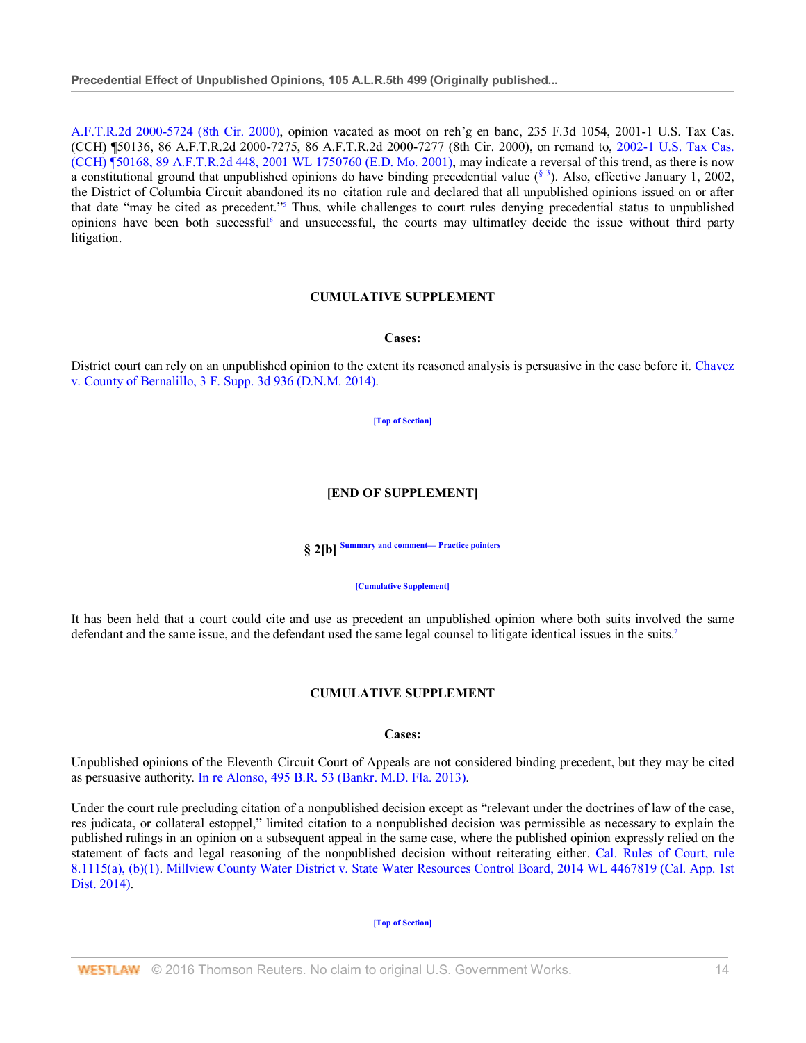A.F.T.R.2d 2000-5724 (8th Cir. 2000), opinion vacated as moot on reh'g en banc, 235 F.3d 1054, 2001-1 U.S. Tax Cas. (CCH) ¶50136, 86 A.F.T.R.2d 2000-7275, 86 A.F.T.R.2d 2000-7277 (8th Cir. 2000), on remand to, 2002-1 U.S. Tax Cas. (CCH) ¶50168, 89 A.F.T.R.2d 448, 2001 WL 1750760 (E.D. Mo. 2001), may indicate a reversal of this trend, as there is now a constitutional ground that unpublished opinions do have binding precedential value  $({}^{8}$ <sup>3</sup>). Also, effective January 1, 2002, the District of Columbia Circuit abandoned its no–citation rule and declared that all unpublished opinions issued on or after that date "may be cited as precedent."<sup>5</sup> Thus, while challenges to court rules denying precedential status to unpublished opinions have been both successful<sup>6</sup> and unsuccessful, the courts may ultimatley decide the issue without third party litigation.

# **CUMULATIVE SUPPLEMENT**

#### **Cases:**

District court can rely on an unpublished opinion to the extent its reasoned analysis is persuasive in the case before it. Chavez v. County of Bernalillo, 3 F. Supp. 3d 936 (D.N.M. 2014).

**[Top of Section]**

# **[END OF SUPPLEMENT]**

**§ 2[b] Summary and comment— Practice pointers**

#### **[Cumulative Supplement]**

It has been held that a court could cite and use as precedent an unpublished opinion where both suits involved the same defendant and the same issue, and the defendant used the same legal counsel to litigate identical issues in the suits.<sup>7</sup>

## **CUMULATIVE SUPPLEMENT**

## **Cases:**

Unpublished opinions of the Eleventh Circuit Court of Appeals are not considered binding precedent, but they may be cited as persuasive authority. In re Alonso, 495 B.R. 53 (Bankr. M.D. Fla. 2013).

Under the court rule precluding citation of a nonpublished decision except as "relevant under the doctrines of law of the case, res judicata, or collateral estoppel," limited citation to a nonpublished decision was permissible as necessary to explain the published rulings in an opinion on a subsequent appeal in the same case, where the published opinion expressly relied on the statement of facts and legal reasoning of the nonpublished decision without reiterating either. Cal. Rules of Court, rule 8.1115(a), (b)(1). Millview County Water District v. State Water Resources Control Board, 2014 WL 4467819 (Cal. App. 1st Dist. 2014).

#### **[Top of Section]**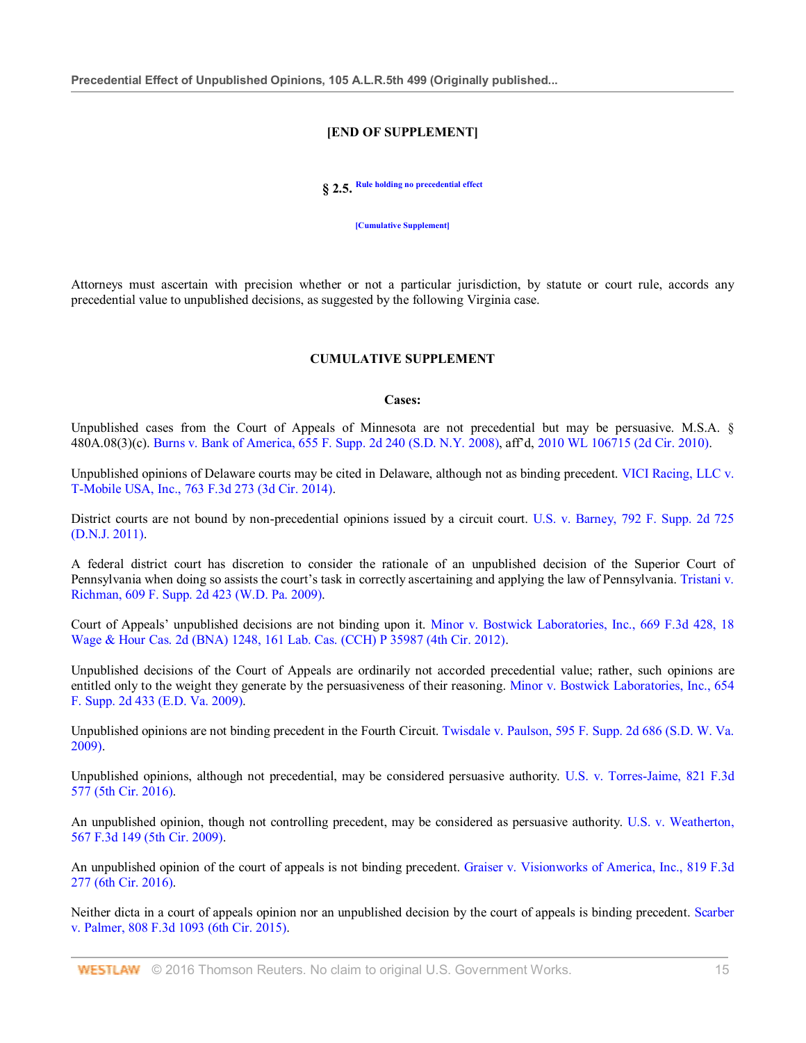#### **[END OF SUPPLEMENT]**

**§ 2.5. Rule holding no precedential effect**

**[Cumulative Supplement]**

Attorneys must ascertain with precision whether or not a particular jurisdiction, by statute or court rule, accords any precedential value to unpublished decisions, as suggested by the following Virginia case.

#### **CUMULATIVE SUPPLEMENT**

#### **Cases:**

Unpublished cases from the Court of Appeals of Minnesota are not precedential but may be persuasive. M.S.A. § 480A.08(3)(c). Burns v. Bank of America, 655 F. Supp. 2d 240 (S.D. N.Y. 2008), aff'd, 2010 WL 106715 (2d Cir. 2010).

Unpublished opinions of Delaware courts may be cited in Delaware, although not as binding precedent. VICI Racing, LLC v. T-Mobile USA, Inc., 763 F.3d 273 (3d Cir. 2014).

District courts are not bound by non-precedential opinions issued by a circuit court. U.S. v. Barney, 792 F. Supp. 2d 725 (D.N.J. 2011).

A federal district court has discretion to consider the rationale of an unpublished decision of the Superior Court of Pennsylvania when doing so assists the court's task in correctly ascertaining and applying the law of Pennsylvania. Tristani v. Richman, 609 F. Supp. 2d 423 (W.D. Pa. 2009).

Court of Appeals' unpublished decisions are not binding upon it. Minor v. Bostwick Laboratories, Inc., 669 F.3d 428, 18 Wage & Hour Cas. 2d (BNA) 1248, 161 Lab. Cas. (CCH) P 35987 (4th Cir. 2012).

Unpublished decisions of the Court of Appeals are ordinarily not accorded precedential value; rather, such opinions are entitled only to the weight they generate by the persuasiveness of their reasoning. Minor v. Bostwick Laboratories, Inc., 654 F. Supp. 2d 433 (E.D. Va. 2009).

Unpublished opinions are not binding precedent in the Fourth Circuit. Twisdale v. Paulson, 595 F. Supp. 2d 686 (S.D. W. Va. 2009).

Unpublished opinions, although not precedential, may be considered persuasive authority. U.S. v. Torres-Jaime, 821 F.3d 577 (5th Cir. 2016).

An unpublished opinion, though not controlling precedent, may be considered as persuasive authority. U.S. v. Weatherton, 567 F.3d 149 (5th Cir. 2009).

An unpublished opinion of the court of appeals is not binding precedent. Graiser v. Visionworks of America, Inc., 819 F.3d 277 (6th Cir. 2016).

Neither dicta in a court of appeals opinion nor an unpublished decision by the court of appeals is binding precedent. Scarber v. Palmer, 808 F.3d 1093 (6th Cir. 2015).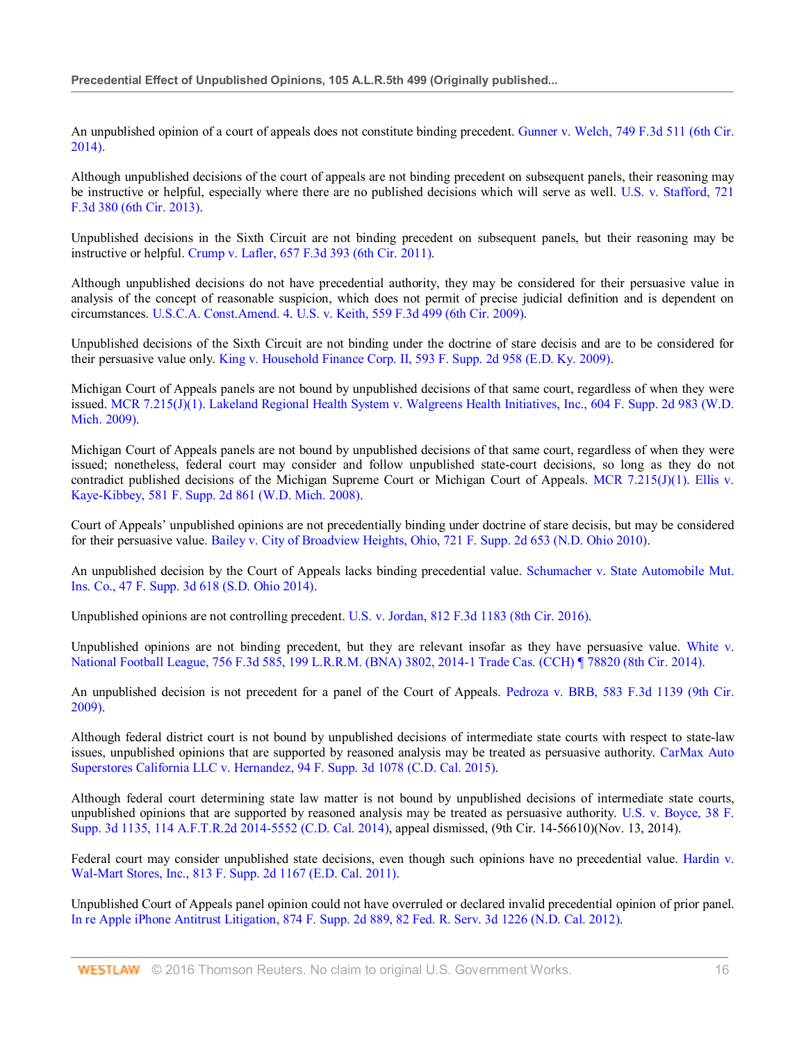An unpublished opinion of a court of appeals does not constitute binding precedent. Gunner v. Welch, 749 F.3d 511 (6th Cir. 2014).

Although unpublished decisions of the court of appeals are not binding precedent on subsequent panels, their reasoning may be instructive or helpful, especially where there are no published decisions which will serve as well. U.S. v. Stafford, 721 F.3d 380 (6th Cir. 2013).

Unpublished decisions in the Sixth Circuit are not binding precedent on subsequent panels, but their reasoning may be instructive or helpful. Crump v. Lafler, 657 F.3d 393 (6th Cir. 2011).

Although unpublished decisions do not have precedential authority, they may be considered for their persuasive value in analysis of the concept of reasonable suspicion, which does not permit of precise judicial definition and is dependent on circumstances. U.S.C.A. Const.Amend. 4. U.S. v. Keith, 559 F.3d 499 (6th Cir. 2009).

Unpublished decisions of the Sixth Circuit are not binding under the doctrine of stare decisis and are to be considered for their persuasive value only. King v. Household Finance Corp. II, 593 F. Supp. 2d 958 (E.D. Ky. 2009).

Michigan Court of Appeals panels are not bound by unpublished decisions of that same court, regardless of when they were issued. MCR 7.215(J)(1). Lakeland Regional Health System v. Walgreens Health Initiatives, Inc., 604 F. Supp. 2d 983 (W.D. Mich. 2009).

Michigan Court of Appeals panels are not bound by unpublished decisions of that same court, regardless of when they were issued; nonetheless, federal court may consider and follow unpublished state-court decisions, so long as they do not contradict published decisions of the Michigan Supreme Court or Michigan Court of Appeals. MCR 7.215(J)(1). Ellis v. Kaye-Kibbey, 581 F. Supp. 2d 861 (W.D. Mich. 2008).

Court of Appeals' unpublished opinions are not precedentially binding under doctrine of stare decisis, but may be considered for their persuasive value. Bailey v. City of Broadview Heights, Ohio, 721 F. Supp. 2d 653 (N.D. Ohio 2010).

An unpublished decision by the Court of Appeals lacks binding precedential value. Schumacher v. State Automobile Mut. Ins. Co., 47 F. Supp. 3d 618 (S.D. Ohio 2014).

Unpublished opinions are not controlling precedent. U.S. v. Jordan, 812 F.3d 1183 (8th Cir. 2016).

Unpublished opinions are not binding precedent, but they are relevant insofar as they have persuasive value. White v. National Football League, 756 F.3d 585, 199 L.R.R.M. (BNA) 3802, 2014-1 Trade Cas. (CCH) ¶ 78820 (8th Cir. 2014).

An unpublished decision is not precedent for a panel of the Court of Appeals. Pedroza v. BRB, 583 F.3d 1139 (9th Cir. 2009).

Although federal district court is not bound by unpublished decisions of intermediate state courts with respect to state-law issues, unpublished opinions that are supported by reasoned analysis may be treated as persuasive authority. CarMax Auto Superstores California LLC v. Hernandez, 94 F. Supp. 3d 1078 (C.D. Cal. 2015).

Although federal court determining state law matter is not bound by unpublished decisions of intermediate state courts, unpublished opinions that are supported by reasoned analysis may be treated as persuasive authority. U.S. v. Boyce, 38 F. Supp. 3d 1135, 114 A.F.T.R.2d 2014-5552 (C.D. Cal. 2014), appeal dismissed, (9th Cir. 14-56610)(Nov. 13, 2014).

Federal court may consider unpublished state decisions, even though such opinions have no precedential value. Hardin v. Wal-Mart Stores, Inc., 813 F. Supp. 2d 1167 (E.D. Cal. 2011).

Unpublished Court of Appeals panel opinion could not have overruled or declared invalid precedential opinion of prior panel. In re Apple iPhone Antitrust Litigation, 874 F. Supp. 2d 889, 82 Fed. R. Serv. 3d 1226 (N.D. Cal. 2012).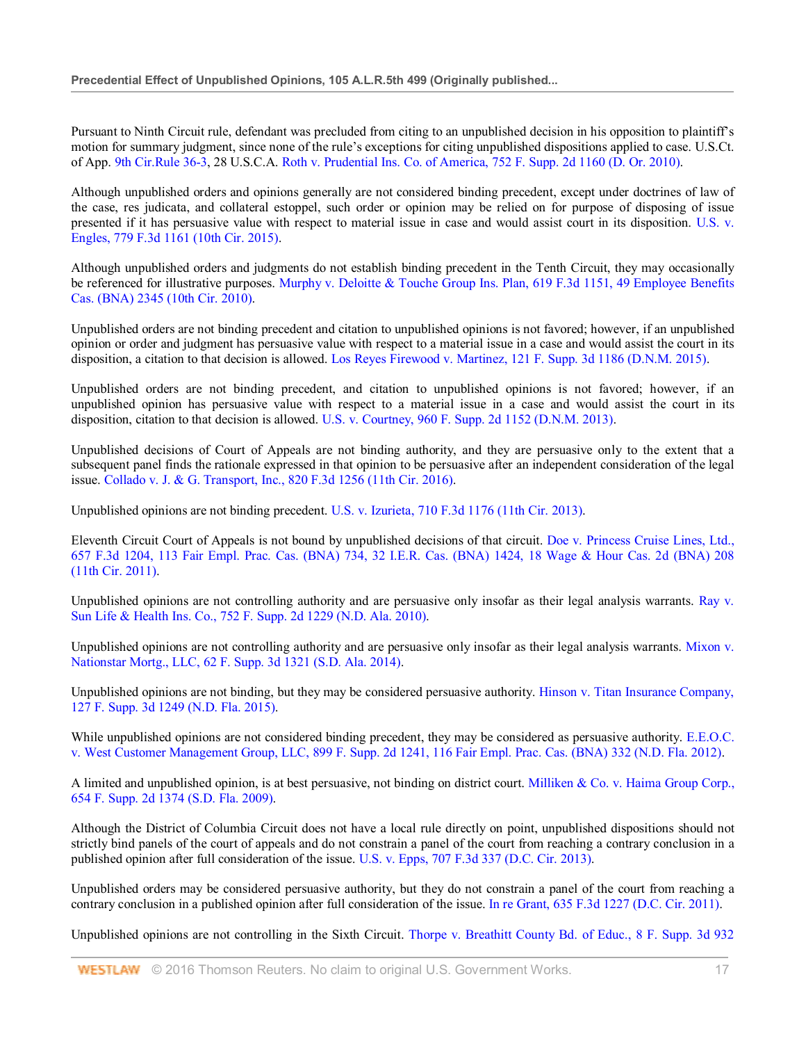Pursuant to Ninth Circuit rule, defendant was precluded from citing to an unpublished decision in his opposition to plaintiff's motion for summary judgment, since none of the rule's exceptions for citing unpublished dispositions applied to case. U.S.Ct. of App. 9th Cir.Rule 36-3, 28 U.S.C.A. Roth v. Prudential Ins. Co. of America, 752 F. Supp. 2d 1160 (D. Or. 2010).

Although unpublished orders and opinions generally are not considered binding precedent, except under doctrines of law of the case, res judicata, and collateral estoppel, such order or opinion may be relied on for purpose of disposing of issue presented if it has persuasive value with respect to material issue in case and would assist court in its disposition. U.S. v. Engles, 779 F.3d 1161 (10th Cir. 2015).

Although unpublished orders and judgments do not establish binding precedent in the Tenth Circuit, they may occasionally be referenced for illustrative purposes. Murphy v. Deloitte & Touche Group Ins. Plan, 619 F.3d 1151, 49 Employee Benefits Cas. (BNA) 2345 (10th Cir. 2010).

Unpublished orders are not binding precedent and citation to unpublished opinions is not favored; however, if an unpublished opinion or order and judgment has persuasive value with respect to a material issue in a case and would assist the court in its disposition, a citation to that decision is allowed. Los Reyes Firewood v. Martinez, 121 F. Supp. 3d 1186 (D.N.M. 2015).

Unpublished orders are not binding precedent, and citation to unpublished opinions is not favored; however, if an unpublished opinion has persuasive value with respect to a material issue in a case and would assist the court in its disposition, citation to that decision is allowed. U.S. v. Courtney, 960 F. Supp. 2d 1152 (D.N.M. 2013).

Unpublished decisions of Court of Appeals are not binding authority, and they are persuasive only to the extent that a subsequent panel finds the rationale expressed in that opinion to be persuasive after an independent consideration of the legal issue. Collado v. J. & G. Transport, Inc., 820 F.3d 1256 (11th Cir. 2016).

Unpublished opinions are not binding precedent. U.S. v. Izurieta, 710 F.3d 1176 (11th Cir. 2013).

Eleventh Circuit Court of Appeals is not bound by unpublished decisions of that circuit. Doe v. Princess Cruise Lines, Ltd., 657 F.3d 1204, 113 Fair Empl. Prac. Cas. (BNA) 734, 32 I.E.R. Cas. (BNA) 1424, 18 Wage & Hour Cas. 2d (BNA) 208 (11th Cir. 2011).

Unpublished opinions are not controlling authority and are persuasive only insofar as their legal analysis warrants. Ray v. Sun Life & Health Ins. Co., 752 F. Supp. 2d 1229 (N.D. Ala. 2010).

Unpublished opinions are not controlling authority and are persuasive only insofar as their legal analysis warrants. Mixon v. Nationstar Mortg., LLC, 62 F. Supp. 3d 1321 (S.D. Ala. 2014).

Unpublished opinions are not binding, but they may be considered persuasive authority. Hinson v. Titan Insurance Company, 127 F. Supp. 3d 1249 (N.D. Fla. 2015).

While unpublished opinions are not considered binding precedent, they may be considered as persuasive authority. E.E.O.C. v. West Customer Management Group, LLC, 899 F. Supp. 2d 1241, 116 Fair Empl. Prac. Cas. (BNA) 332 (N.D. Fla. 2012).

A limited and unpublished opinion, is at best persuasive, not binding on district court. Milliken & Co. v. Haima Group Corp., 654 F. Supp. 2d 1374 (S.D. Fla. 2009).

Although the District of Columbia Circuit does not have a local rule directly on point, unpublished dispositions should not strictly bind panels of the court of appeals and do not constrain a panel of the court from reaching a contrary conclusion in a published opinion after full consideration of the issue. U.S. v. Epps, 707 F.3d 337 (D.C. Cir. 2013).

Unpublished orders may be considered persuasive authority, but they do not constrain a panel of the court from reaching a contrary conclusion in a published opinion after full consideration of the issue. In re Grant, 635 F.3d 1227 (D.C. Cir. 2011).

Unpublished opinions are not controlling in the Sixth Circuit. Thorpe v. Breathitt County Bd. of Educ., 8 F. Supp. 3d 932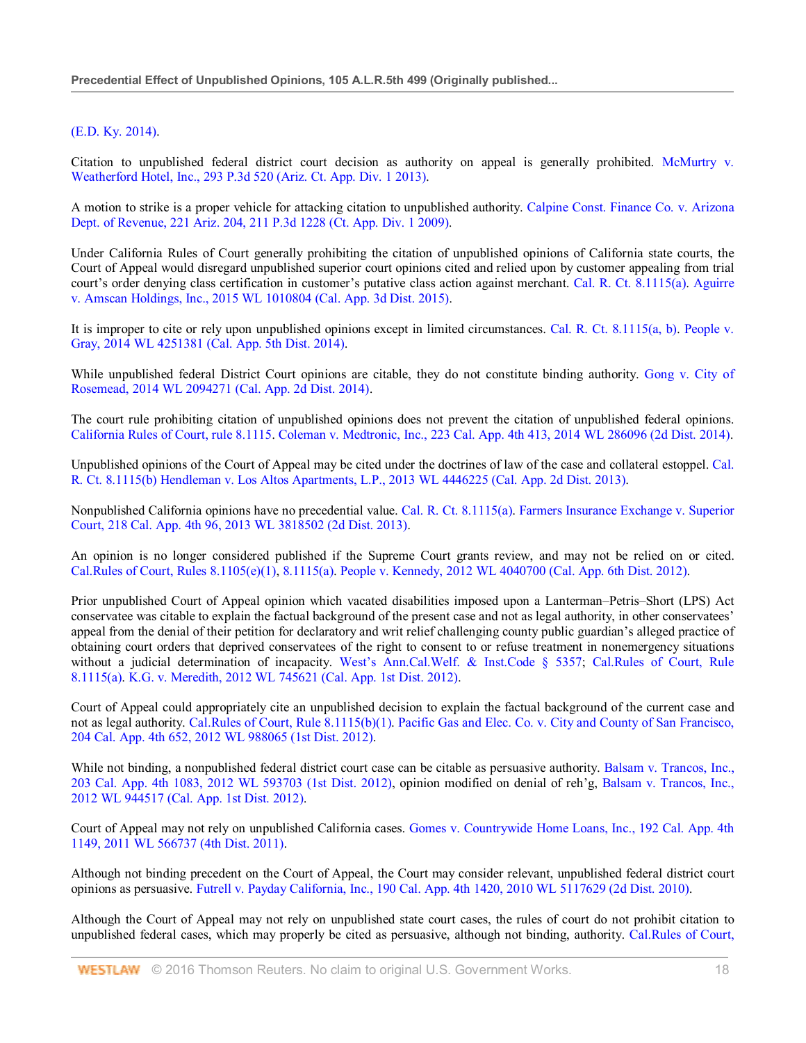# (E.D. Ky. 2014).

Citation to unpublished federal district court decision as authority on appeal is generally prohibited. McMurtry v. Weatherford Hotel, Inc., 293 P.3d 520 (Ariz. Ct. App. Div. 1 2013).

A motion to strike is a proper vehicle for attacking citation to unpublished authority. Calpine Const. Finance Co. v. Arizona Dept. of Revenue, 221 Ariz. 204, 211 P.3d 1228 (Ct. App. Div. 1 2009).

Under California Rules of Court generally prohibiting the citation of unpublished opinions of California state courts, the Court of Appeal would disregard unpublished superior court opinions cited and relied upon by customer appealing from trial court's order denying class certification in customer's putative class action against merchant. Cal. R. Ct. 8.1115(a). Aguirre v. Amscan Holdings, Inc., 2015 WL 1010804 (Cal. App. 3d Dist. 2015).

It is improper to cite or rely upon unpublished opinions except in limited circumstances. Cal. R. Ct. 8.1115(a, b). People v. Gray, 2014 WL 4251381 (Cal. App. 5th Dist. 2014).

While unpublished federal District Court opinions are citable, they do not constitute binding authority. Gong v. City of Rosemead, 2014 WL 2094271 (Cal. App. 2d Dist. 2014).

The court rule prohibiting citation of unpublished opinions does not prevent the citation of unpublished federal opinions. California Rules of Court, rule 8.1115. Coleman v. Medtronic, Inc., 223 Cal. App. 4th 413, 2014 WL 286096 (2d Dist. 2014).

Unpublished opinions of the Court of Appeal may be cited under the doctrines of law of the case and collateral estoppel. Cal. R. Ct. 8.1115(b) Hendleman v. Los Altos Apartments, L.P., 2013 WL 4446225 (Cal. App. 2d Dist. 2013).

Nonpublished California opinions have no precedential value. Cal. R. Ct. 8.1115(a). Farmers Insurance Exchange v. Superior Court, 218 Cal. App. 4th 96, 2013 WL 3818502 (2d Dist. 2013).

An opinion is no longer considered published if the Supreme Court grants review, and may not be relied on or cited. Cal.Rules of Court, Rules 8.1105(e)(1), 8.1115(a). People v. Kennedy, 2012 WL 4040700 (Cal. App. 6th Dist. 2012).

Prior unpublished Court of Appeal opinion which vacated disabilities imposed upon a Lanterman–Petris–Short (LPS) Act conservatee was citable to explain the factual background of the present case and not as legal authority, in other conservatees' appeal from the denial of their petition for declaratory and writ relief challenging county public guardian's alleged practice of obtaining court orders that deprived conservatees of the right to consent to or refuse treatment in nonemergency situations without a judicial determination of incapacity. West's Ann.Cal.Welf. & Inst.Code § 5357; Cal.Rules of Court, Rule 8.1115(a). K.G. v. Meredith, 2012 WL 745621 (Cal. App. 1st Dist. 2012).

Court of Appeal could appropriately cite an unpublished decision to explain the factual background of the current case and not as legal authority. Cal.Rules of Court, Rule 8.1115(b)(1). Pacific Gas and Elec. Co. v. City and County of San Francisco, 204 Cal. App. 4th 652, 2012 WL 988065 (1st Dist. 2012).

While not binding, a nonpublished federal district court case can be citable as persuasive authority. Balsam v. Trancos, Inc., 203 Cal. App. 4th 1083, 2012 WL 593703 (1st Dist. 2012), opinion modified on denial of reh'g, Balsam v. Trancos, Inc., 2012 WL 944517 (Cal. App. 1st Dist. 2012).

Court of Appeal may not rely on unpublished California cases. Gomes v. Countrywide Home Loans, Inc., 192 Cal. App. 4th 1149, 2011 WL 566737 (4th Dist. 2011).

Although not binding precedent on the Court of Appeal, the Court may consider relevant, unpublished federal district court opinions as persuasive. Futrell v. Payday California, Inc., 190 Cal. App. 4th 1420, 2010 WL 5117629 (2d Dist. 2010).

Although the Court of Appeal may not rely on unpublished state court cases, the rules of court do not prohibit citation to unpublished federal cases, which may properly be cited as persuasive, although not binding, authority. Cal.Rules of Court,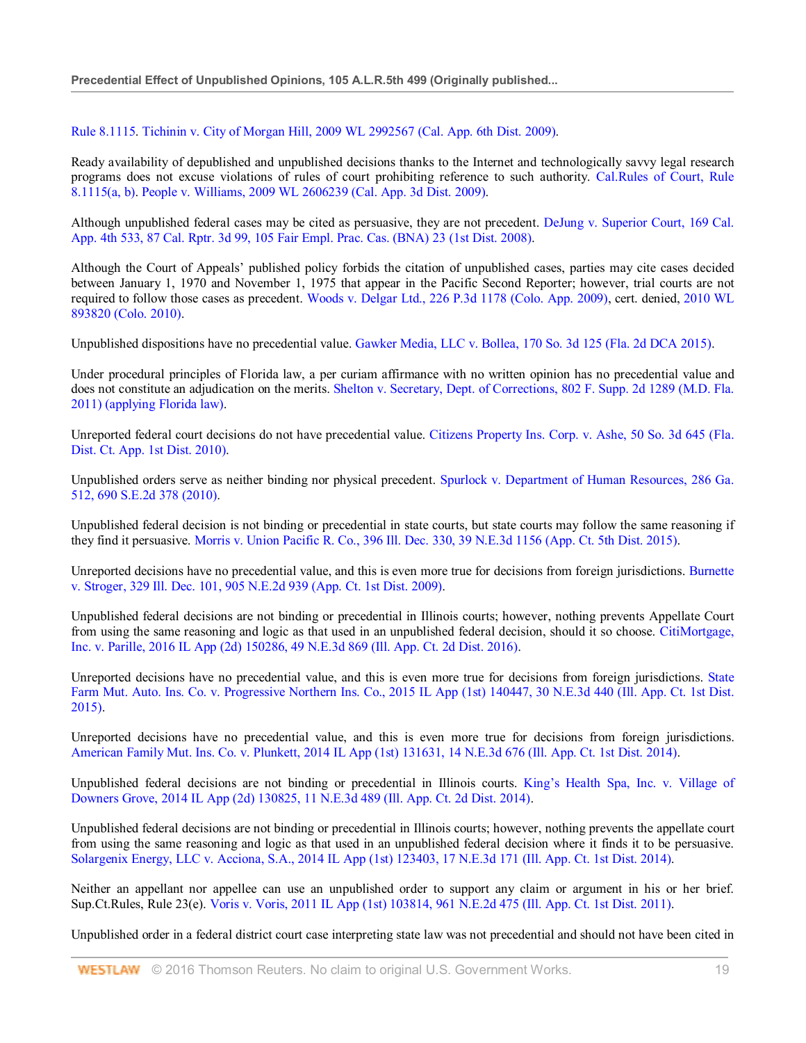## Rule 8.1115. Tichinin v. City of Morgan Hill, 2009 WL 2992567 (Cal. App. 6th Dist. 2009).

Ready availability of depublished and unpublished decisions thanks to the Internet and technologically savvy legal research programs does not excuse violations of rules of court prohibiting reference to such authority. Cal.Rules of Court, Rule 8.1115(a, b). People v. Williams, 2009 WL 2606239 (Cal. App. 3d Dist. 2009).

Although unpublished federal cases may be cited as persuasive, they are not precedent. DeJung v. Superior Court, 169 Cal. App. 4th 533, 87 Cal. Rptr. 3d 99, 105 Fair Empl. Prac. Cas. (BNA) 23 (1st Dist. 2008).

Although the Court of Appeals' published policy forbids the citation of unpublished cases, parties may cite cases decided between January 1, 1970 and November 1, 1975 that appear in the Pacific Second Reporter; however, trial courts are not required to follow those cases as precedent. Woods v. Delgar Ltd., 226 P.3d 1178 (Colo. App. 2009), cert. denied, 2010 WL 893820 (Colo. 2010).

Unpublished dispositions have no precedential value. Gawker Media, LLC v. Bollea, 170 So. 3d 125 (Fla. 2d DCA 2015).

Under procedural principles of Florida law, a per curiam affirmance with no written opinion has no precedential value and does not constitute an adjudication on the merits. Shelton v. Secretary, Dept. of Corrections, 802 F. Supp. 2d 1289 (M.D. Fla. 2011) (applying Florida law).

Unreported federal court decisions do not have precedential value. Citizens Property Ins. Corp. v. Ashe, 50 So. 3d 645 (Fla. Dist. Ct. App. 1st Dist. 2010).

Unpublished orders serve as neither binding nor physical precedent. Spurlock v. Department of Human Resources, 286 Ga. 512, 690 S.E.2d 378 (2010).

Unpublished federal decision is not binding or precedential in state courts, but state courts may follow the same reasoning if they find it persuasive. Morris v. Union Pacific R. Co., 396 Ill. Dec. 330, 39 N.E.3d 1156 (App. Ct. 5th Dist. 2015).

Unreported decisions have no precedential value, and this is even more true for decisions from foreign jurisdictions. Burnette v. Stroger, 329 Ill. Dec. 101, 905 N.E.2d 939 (App. Ct. 1st Dist. 2009).

Unpublished federal decisions are not binding or precedential in Illinois courts; however, nothing prevents Appellate Court from using the same reasoning and logic as that used in an unpublished federal decision, should it so choose. CitiMortgage, Inc. v. Parille, 2016 IL App (2d) 150286, 49 N.E.3d 869 (Ill. App. Ct. 2d Dist. 2016).

Unreported decisions have no precedential value, and this is even more true for decisions from foreign jurisdictions. State Farm Mut. Auto. Ins. Co. v. Progressive Northern Ins. Co., 2015 IL App (1st) 140447, 30 N.E.3d 440 (Ill. App. Ct. 1st Dist. 2015).

Unreported decisions have no precedential value, and this is even more true for decisions from foreign jurisdictions. American Family Mut. Ins. Co. v. Plunkett, 2014 IL App (1st) 131631, 14 N.E.3d 676 (Ill. App. Ct. 1st Dist. 2014).

Unpublished federal decisions are not binding or precedential in Illinois courts. King's Health Spa, Inc. v. Village of Downers Grove, 2014 IL App (2d) 130825, 11 N.E.3d 489 (Ill. App. Ct. 2d Dist. 2014).

Unpublished federal decisions are not binding or precedential in Illinois courts; however, nothing prevents the appellate court from using the same reasoning and logic as that used in an unpublished federal decision where it finds it to be persuasive. Solargenix Energy, LLC v. Acciona, S.A., 2014 IL App (1st) 123403, 17 N.E.3d 171 (Ill. App. Ct. 1st Dist. 2014).

Neither an appellant nor appellee can use an unpublished order to support any claim or argument in his or her brief. Sup.Ct.Rules, Rule 23(e). Voris v. Voris, 2011 IL App (1st) 103814, 961 N.E.2d 475 (Ill. App. Ct. 1st Dist. 2011).

Unpublished order in a federal district court case interpreting state law was not precedential and should not have been cited in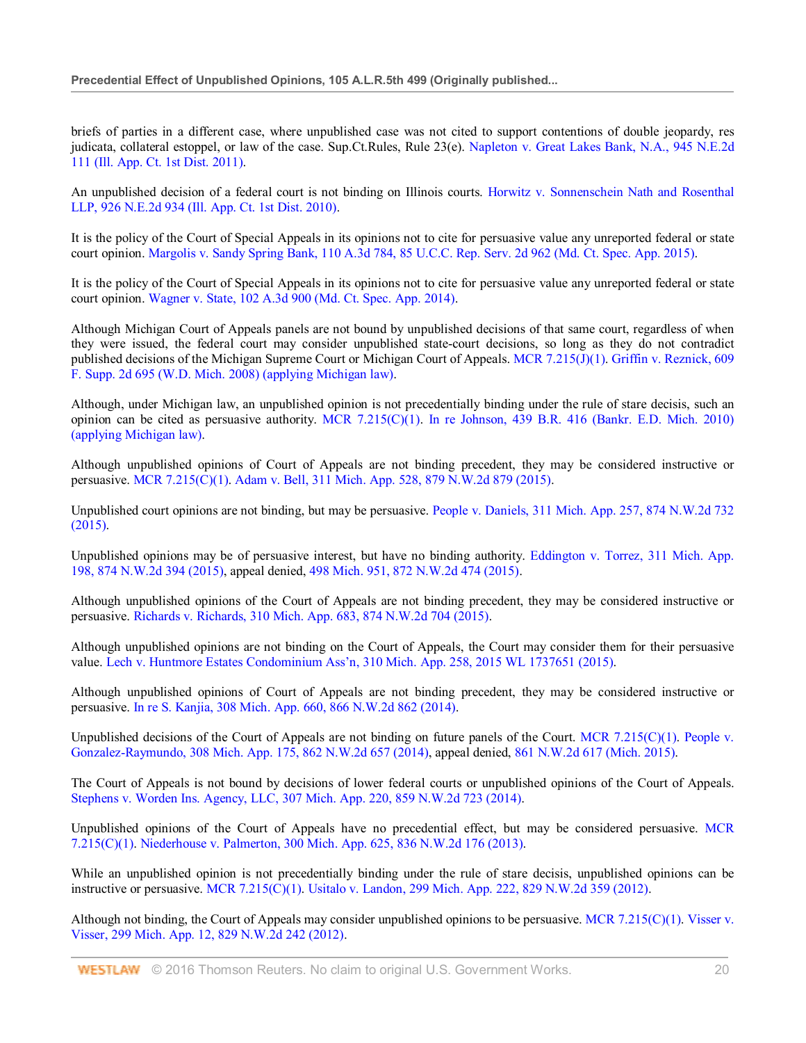briefs of parties in a different case, where unpublished case was not cited to support contentions of double jeopardy, res judicata, collateral estoppel, or law of the case. Sup.Ct.Rules, Rule 23(e). Napleton v. Great Lakes Bank, N.A., 945 N.E.2d 111 (Ill. App. Ct. 1st Dist. 2011).

An unpublished decision of a federal court is not binding on Illinois courts. Horwitz v. Sonnenschein Nath and Rosenthal LLP, 926 N.E.2d 934 (Ill. App. Ct. 1st Dist. 2010).

It is the policy of the Court of Special Appeals in its opinions not to cite for persuasive value any unreported federal or state court opinion. Margolis v. Sandy Spring Bank, 110 A.3d 784, 85 U.C.C. Rep. Serv. 2d 962 (Md. Ct. Spec. App. 2015).

It is the policy of the Court of Special Appeals in its opinions not to cite for persuasive value any unreported federal or state court opinion. Wagner v. State, 102 A.3d 900 (Md. Ct. Spec. App. 2014).

Although Michigan Court of Appeals panels are not bound by unpublished decisions of that same court, regardless of when they were issued, the federal court may consider unpublished state-court decisions, so long as they do not contradict published decisions of the Michigan Supreme Court or Michigan Court of Appeals. MCR 7.215(J)(1). Griffin v. Reznick, 609 F. Supp. 2d 695 (W.D. Mich. 2008) (applying Michigan law).

Although, under Michigan law, an unpublished opinion is not precedentially binding under the rule of stare decisis, such an opinion can be cited as persuasive authority. MCR 7.215(C)(1). In re Johnson, 439 B.R. 416 (Bankr. E.D. Mich. 2010) (applying Michigan law).

Although unpublished opinions of Court of Appeals are not binding precedent, they may be considered instructive or persuasive. MCR 7.215(C)(1). Adam v. Bell, 311 Mich. App. 528, 879 N.W.2d 879 (2015).

Unpublished court opinions are not binding, but may be persuasive. People v. Daniels, 311 Mich. App. 257, 874 N.W.2d 732 (2015).

Unpublished opinions may be of persuasive interest, but have no binding authority. Eddington v. Torrez, 311 Mich. App. 198, 874 N.W.2d 394 (2015), appeal denied, 498 Mich. 951, 872 N.W.2d 474 (2015).

Although unpublished opinions of the Court of Appeals are not binding precedent, they may be considered instructive or persuasive. Richards v. Richards, 310 Mich. App. 683, 874 N.W.2d 704 (2015).

Although unpublished opinions are not binding on the Court of Appeals, the Court may consider them for their persuasive value. Lech v. Huntmore Estates Condominium Ass'n, 310 Mich. App. 258, 2015 WL 1737651 (2015).

Although unpublished opinions of Court of Appeals are not binding precedent, they may be considered instructive or persuasive. In re S. Kanjia, 308 Mich. App. 660, 866 N.W.2d 862 (2014).

Unpublished decisions of the Court of Appeals are not binding on future panels of the Court. MCR 7.215( $C(1)$ . People v. Gonzalez-Raymundo, 308 Mich. App. 175, 862 N.W.2d 657 (2014), appeal denied, 861 N.W.2d 617 (Mich. 2015).

The Court of Appeals is not bound by decisions of lower federal courts or unpublished opinions of the Court of Appeals. Stephens v. Worden Ins. Agency, LLC, 307 Mich. App. 220, 859 N.W.2d 723 (2014).

Unpublished opinions of the Court of Appeals have no precedential effect, but may be considered persuasive. MCR 7.215(C)(1). Niederhouse v. Palmerton, 300 Mich. App. 625, 836 N.W.2d 176 (2013).

While an unpublished opinion is not precedentially binding under the rule of stare decisis, unpublished opinions can be instructive or persuasive. MCR 7.215(C)(1). Usitalo v. Landon, 299 Mich. App. 222, 829 N.W.2d 359 (2012).

Although not binding, the Court of Appeals may consider unpublished opinions to be persuasive. MCR 7.215(C)(1). Visser v. Visser, 299 Mich. App. 12, 829 N.W.2d 242 (2012).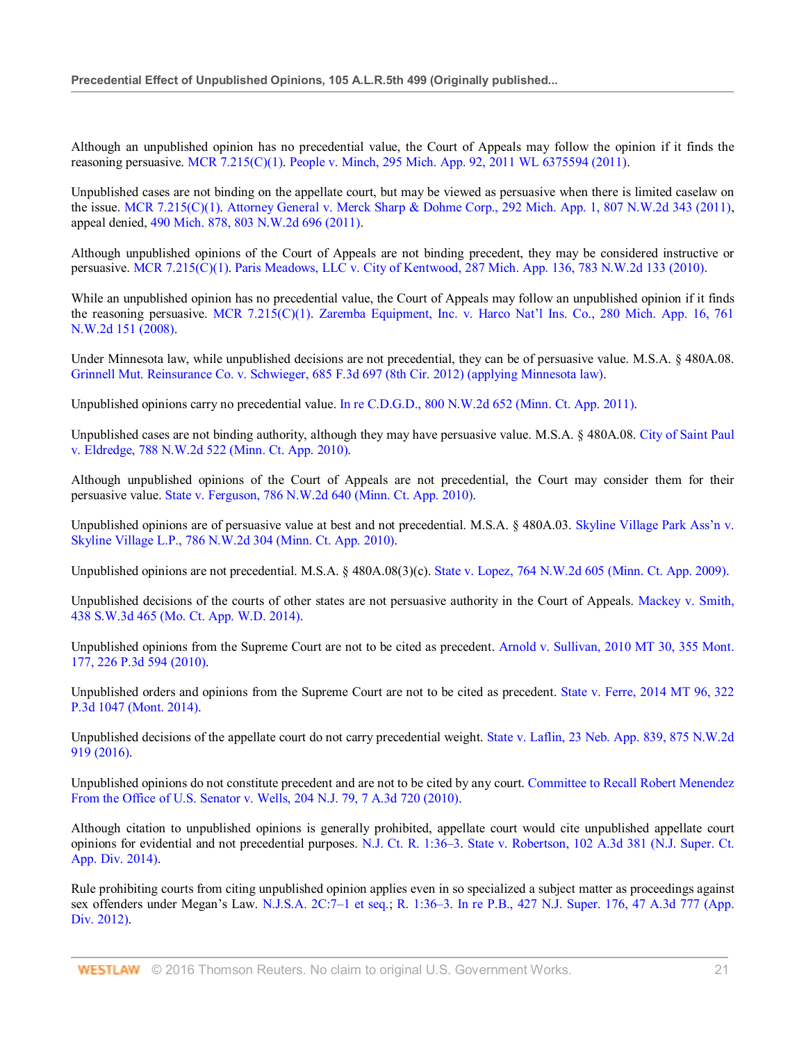Although an unpublished opinion has no precedential value, the Court of Appeals may follow the opinion if it finds the reasoning persuasive. MCR 7.215(C)(1). People v. Minch, 295 Mich. App. 92, 2011 WL 6375594 (2011).

Unpublished cases are not binding on the appellate court, but may be viewed as persuasive when there is limited caselaw on the issue. MCR 7.215(C)(1). Attorney General v. Merck Sharp & Dohme Corp., 292 Mich. App. 1, 807 N.W.2d 343 (2011), appeal denied, 490 Mich. 878, 803 N.W.2d 696 (2011).

Although unpublished opinions of the Court of Appeals are not binding precedent, they may be considered instructive or persuasive. MCR 7.215(C)(1). Paris Meadows, LLC v. City of Kentwood, 287 Mich. App. 136, 783 N.W.2d 133 (2010).

While an unpublished opinion has no precedential value, the Court of Appeals may follow an unpublished opinion if it finds the reasoning persuasive. MCR 7.215(C)(1). Zaremba Equipment, Inc. v. Harco Nat'l Ins. Co., 280 Mich. App. 16, 761 N.W.2d 151 (2008).

Under Minnesota law, while unpublished decisions are not precedential, they can be of persuasive value. M.S.A. § 480A.08. Grinnell Mut. Reinsurance Co. v. Schwieger, 685 F.3d 697 (8th Cir. 2012) (applying Minnesota law).

Unpublished opinions carry no precedential value. In re C.D.G.D., 800 N.W.2d 652 (Minn. Ct. App. 2011).

Unpublished cases are not binding authority, although they may have persuasive value. M.S.A. § 480A.08. City of Saint Paul v. Eldredge, 788 N.W.2d 522 (Minn. Ct. App. 2010).

Although unpublished opinions of the Court of Appeals are not precedential, the Court may consider them for their persuasive value. State v. Ferguson, 786 N.W.2d 640 (Minn. Ct. App. 2010).

Unpublished opinions are of persuasive value at best and not precedential. M.S.A. § 480A.03. Skyline Village Park Ass'n v. Skyline Village L.P., 786 N.W.2d 304 (Minn. Ct. App. 2010).

Unpublished opinions are not precedential. M.S.A. § 480A.08(3)(c). State v. Lopez, 764 N.W.2d 605 (Minn. Ct. App. 2009).

Unpublished decisions of the courts of other states are not persuasive authority in the Court of Appeals. Mackey v. Smith, 438 S.W.3d 465 (Mo. Ct. App. W.D. 2014).

Unpublished opinions from the Supreme Court are not to be cited as precedent. Arnold v. Sullivan, 2010 MT 30, 355 Mont. 177, 226 P.3d 594 (2010).

Unpublished orders and opinions from the Supreme Court are not to be cited as precedent. State v. Ferre, 2014 MT 96, 322 P.3d 1047 (Mont. 2014).

Unpublished decisions of the appellate court do not carry precedential weight. State v. Laflin, 23 Neb. App. 839, 875 N.W.2d 919 (2016).

Unpublished opinions do not constitute precedent and are not to be cited by any court. Committee to Recall Robert Menendez From the Office of U.S. Senator v. Wells, 204 N.J. 79, 7 A.3d 720 (2010).

Although citation to unpublished opinions is generally prohibited, appellate court would cite unpublished appellate court opinions for evidential and not precedential purposes. N.J. Ct. R. 1:36–3. State v. Robertson, 102 A.3d 381 (N.J. Super. Ct. App. Div. 2014).

Rule prohibiting courts from citing unpublished opinion applies even in so specialized a subject matter as proceedings against sex offenders under Megan's Law. N.J.S.A. 2C:7–1 et seq.; R. 1:36–3. In re P.B., 427 N.J. Super. 176, 47 A.3d 777 (App. Div. 2012).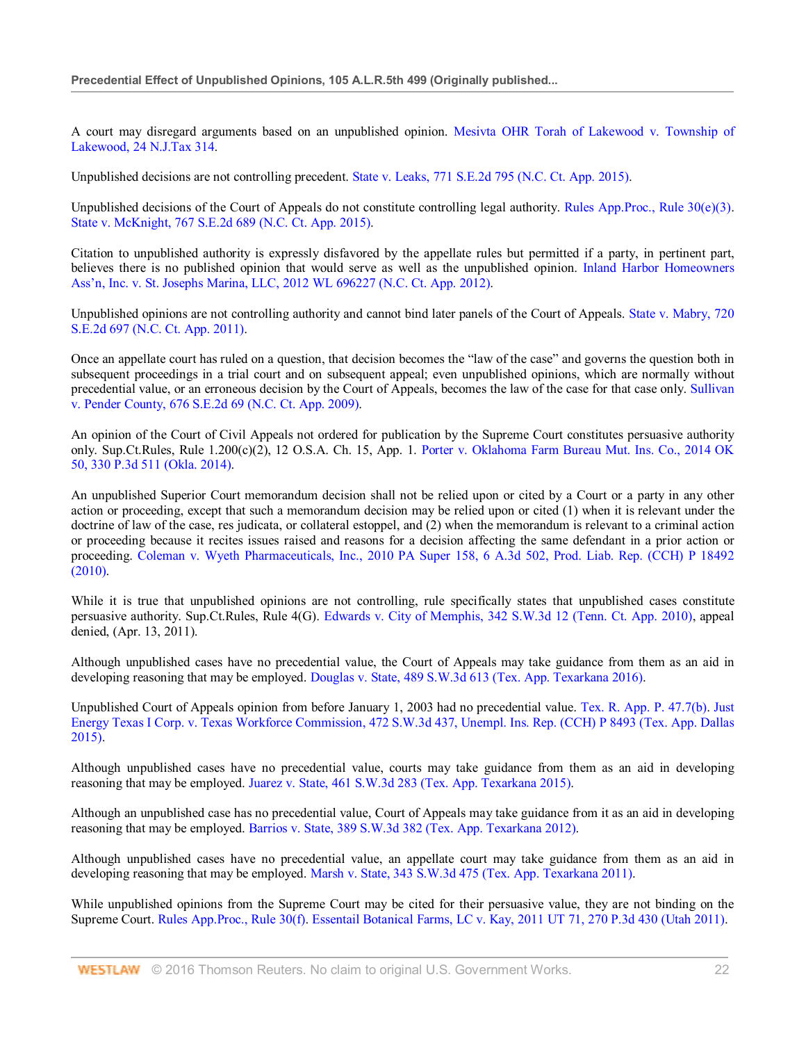A court may disregard arguments based on an unpublished opinion. Mesivta OHR Torah of Lakewood v. Township of Lakewood, 24 N.J.Tax 314.

Unpublished decisions are not controlling precedent. State v. Leaks, 771 S.E.2d 795 (N.C. Ct. App. 2015).

Unpublished decisions of the Court of Appeals do not constitute controlling legal authority. Rules App.Proc., Rule 30(e)(3). State v. McKnight, 767 S.E.2d 689 (N.C. Ct. App. 2015).

Citation to unpublished authority is expressly disfavored by the appellate rules but permitted if a party, in pertinent part, believes there is no published opinion that would serve as well as the unpublished opinion. Inland Harbor Homeowners Ass'n, Inc. v. St. Josephs Marina, LLC, 2012 WL 696227 (N.C. Ct. App. 2012).

Unpublished opinions are not controlling authority and cannot bind later panels of the Court of Appeals. State v. Mabry, 720 S.E.2d 697 (N.C. Ct. App. 2011).

Once an appellate court has ruled on a question, that decision becomes the "law of the case" and governs the question both in subsequent proceedings in a trial court and on subsequent appeal; even unpublished opinions, which are normally without precedential value, or an erroneous decision by the Court of Appeals, becomes the law of the case for that case only. Sullivan v. Pender County, 676 S.E.2d 69 (N.C. Ct. App. 2009).

An opinion of the Court of Civil Appeals not ordered for publication by the Supreme Court constitutes persuasive authority only. Sup.Ct.Rules, Rule 1.200(c)(2), 12 O.S.A. Ch. 15, App. 1. Porter v. Oklahoma Farm Bureau Mut. Ins. Co., 2014 OK 50, 330 P.3d 511 (Okla. 2014).

An unpublished Superior Court memorandum decision shall not be relied upon or cited by a Court or a party in any other action or proceeding, except that such a memorandum decision may be relied upon or cited (1) when it is relevant under the doctrine of law of the case, res judicata, or collateral estoppel, and (2) when the memorandum is relevant to a criminal action or proceeding because it recites issues raised and reasons for a decision affecting the same defendant in a prior action or proceeding. Coleman v. Wyeth Pharmaceuticals, Inc., 2010 PA Super 158, 6 A.3d 502, Prod. Liab. Rep. (CCH) P 18492 (2010).

While it is true that unpublished opinions are not controlling, rule specifically states that unpublished cases constitute persuasive authority. Sup.Ct.Rules, Rule 4(G). Edwards v. City of Memphis, 342 S.W.3d 12 (Tenn. Ct. App. 2010), appeal denied, (Apr. 13, 2011).

Although unpublished cases have no precedential value, the Court of Appeals may take guidance from them as an aid in developing reasoning that may be employed. Douglas v. State, 489 S.W.3d 613 (Tex. App. Texarkana 2016).

Unpublished Court of Appeals opinion from before January 1, 2003 had no precedential value. Tex. R. App. P. 47.7(b). Just Energy Texas I Corp. v. Texas Workforce Commission, 472 S.W.3d 437, Unempl. Ins. Rep. (CCH) P 8493 (Tex. App. Dallas 2015).

Although unpublished cases have no precedential value, courts may take guidance from them as an aid in developing reasoning that may be employed. Juarez v. State, 461 S.W.3d 283 (Tex. App. Texarkana 2015).

Although an unpublished case has no precedential value, Court of Appeals may take guidance from it as an aid in developing reasoning that may be employed. Barrios v. State, 389 S.W.3d 382 (Tex. App. Texarkana 2012).

Although unpublished cases have no precedential value, an appellate court may take guidance from them as an aid in developing reasoning that may be employed. Marsh v. State, 343 S.W.3d 475 (Tex. App. Texarkana 2011).

While unpublished opinions from the Supreme Court may be cited for their persuasive value, they are not binding on the Supreme Court. Rules App.Proc., Rule 30(f). Essentail Botanical Farms, LC v. Kay, 2011 UT 71, 270 P.3d 430 (Utah 2011).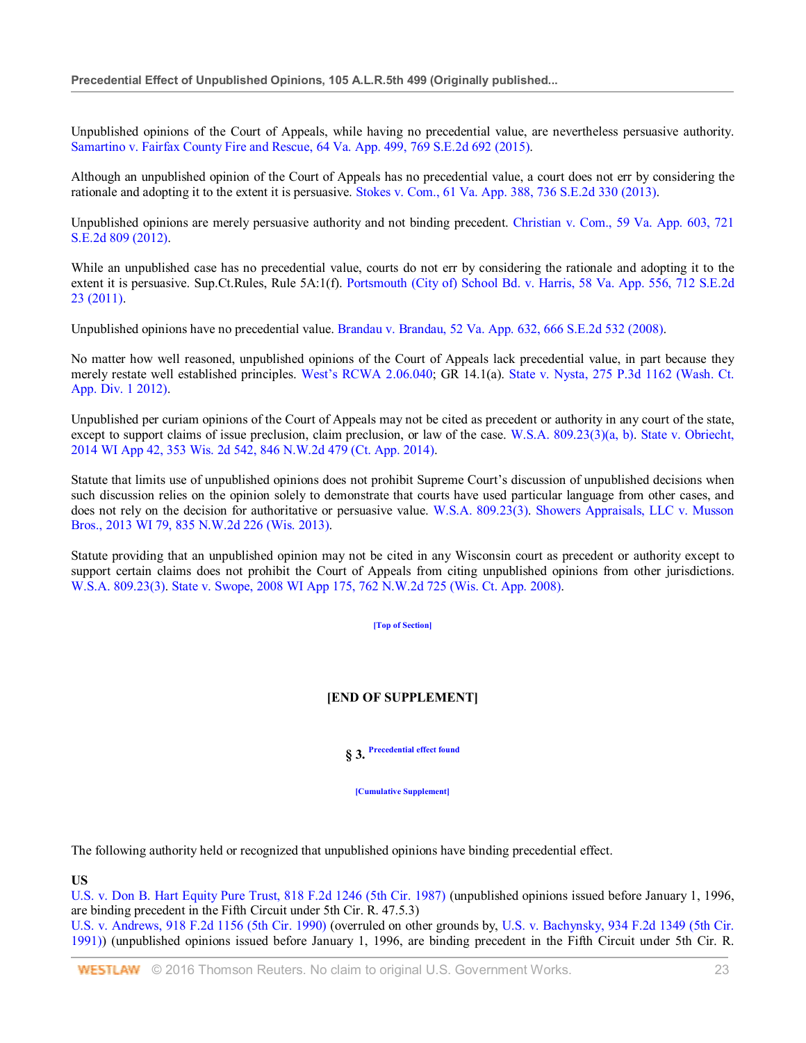Unpublished opinions of the Court of Appeals, while having no precedential value, are nevertheless persuasive authority. Samartino v. Fairfax County Fire and Rescue, 64 Va. App. 499, 769 S.E.2d 692 (2015).

Although an unpublished opinion of the Court of Appeals has no precedential value, a court does not err by considering the rationale and adopting it to the extent it is persuasive. Stokes v. Com., 61 Va. App. 388, 736 S.E.2d 330 (2013).

Unpublished opinions are merely persuasive authority and not binding precedent. Christian v. Com., 59 Va. App. 603, 721 S.E.2d 809 (2012).

While an unpublished case has no precedential value, courts do not err by considering the rationale and adopting it to the extent it is persuasive. Sup.Ct.Rules, Rule 5A:1(f). Portsmouth (City of) School Bd. v. Harris, 58 Va. App. 556, 712 S.E.2d 23 (2011).

Unpublished opinions have no precedential value. Brandau v. Brandau, 52 Va. App. 632, 666 S.E.2d 532 (2008).

No matter how well reasoned, unpublished opinions of the Court of Appeals lack precedential value, in part because they merely restate well established principles. West's RCWA 2.06.040; GR 14.1(a). State v. Nysta, 275 P.3d 1162 (Wash. Ct. App. Div. 1 2012).

Unpublished per curiam opinions of the Court of Appeals may not be cited as precedent or authority in any court of the state, except to support claims of issue preclusion, claim preclusion, or law of the case. W.S.A. 809.23(3)(a, b). State v. Obriecht, 2014 WI App 42, 353 Wis. 2d 542, 846 N.W.2d 479 (Ct. App. 2014).

Statute that limits use of unpublished opinions does not prohibit Supreme Court's discussion of unpublished decisions when such discussion relies on the opinion solely to demonstrate that courts have used particular language from other cases, and does not rely on the decision for authoritative or persuasive value. W.S.A. 809.23(3). Showers Appraisals, LLC v. Musson Bros., 2013 WI 79, 835 N.W.2d 226 (Wis. 2013).

Statute providing that an unpublished opinion may not be cited in any Wisconsin court as precedent or authority except to support certain claims does not prohibit the Court of Appeals from citing unpublished opinions from other jurisdictions. W.S.A. 809.23(3). State v. Swope, 2008 WI App 175, 762 N.W.2d 725 (Wis. Ct. App. 2008).

**[Top of Section]**

# **[END OF SUPPLEMENT]**

**§ 3. Precedential effect found**

**[Cumulative Supplement]**

The following authority held or recognized that unpublished opinions have binding precedential effect.

**US**

U.S. v. Don B. Hart Equity Pure Trust, 818 F.2d 1246 (5th Cir. 1987) (unpublished opinions issued before January 1, 1996, are binding precedent in the Fifth Circuit under 5th Cir. R. 47.5.3)

U.S. v. Andrews, 918 F.2d 1156 (5th Cir. 1990) (overruled on other grounds by, U.S. v. Bachynsky, 934 F.2d 1349 (5th Cir. 1991)) (unpublished opinions issued before January 1, 1996, are binding precedent in the Fifth Circuit under 5th Cir. R.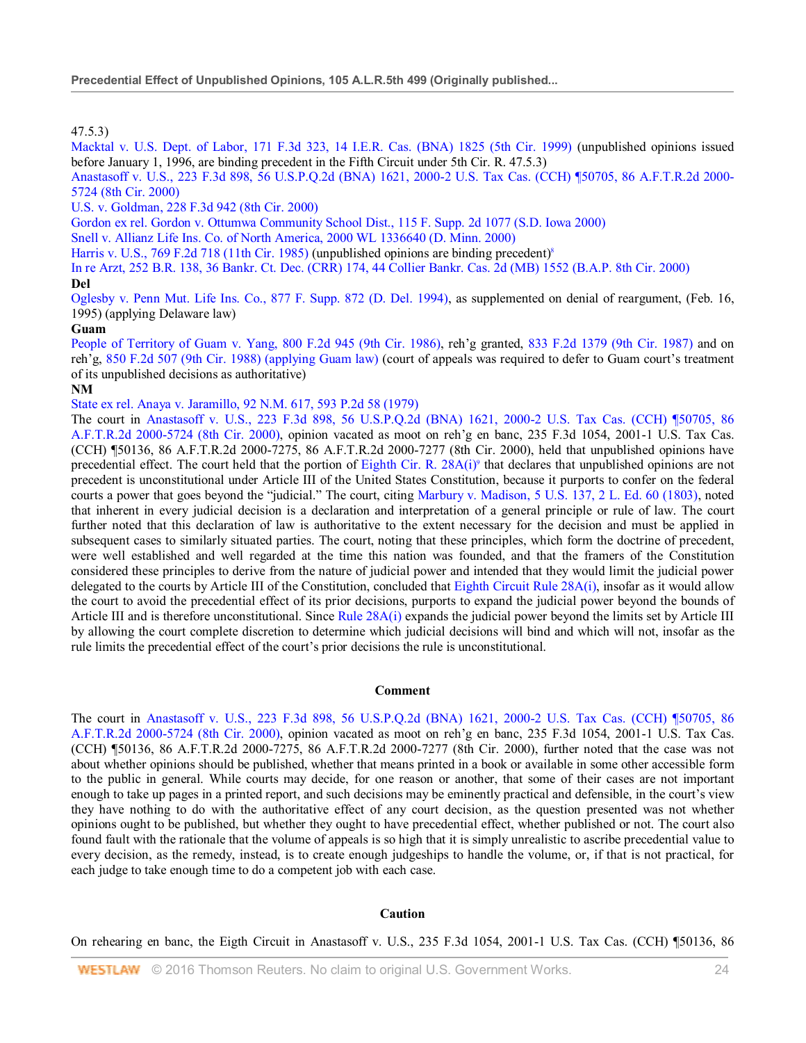47.5.3)

Macktal v. U.S. Dept. of Labor, 171 F.3d 323, 14 I.E.R. Cas. (BNA) 1825 (5th Cir. 1999) (unpublished opinions issued before January 1, 1996, are binding precedent in the Fifth Circuit under 5th Cir. R. 47.5.3)

Anastasoff v. U.S., 223 F.3d 898, 56 U.S.P.Q.2d (BNA) 1621, 2000-2 U.S. Tax Cas. (CCH) ¶50705, 86 A.F.T.R.2d 2000- 5724 (8th Cir. 2000)

U.S. v. Goldman, 228 F.3d 942 (8th Cir. 2000)

Gordon ex rel. Gordon v. Ottumwa Community School Dist., 115 F. Supp. 2d 1077 (S.D. Iowa 2000)

Snell v. Allianz Life Ins. Co. of North America, 2000 WL 1336640 (D. Minn. 2000)

Harris v. U.S., 769 F.2d 718 (11th Cir. 1985) (unpublished opinions are binding precedent)<sup>8</sup>

In re Arzt, 252 B.R. 138, 36 Bankr. Ct. Dec. (CRR) 174, 44 Collier Bankr. Cas. 2d (MB) 1552 (B.A.P. 8th Cir. 2000)

#### **Del**

Oglesby v. Penn Mut. Life Ins. Co., 877 F. Supp. 872 (D. Del. 1994), as supplemented on denial of reargument, (Feb. 16, 1995) (applying Delaware law)

#### **Guam**

People of Territory of Guam v. Yang, 800 F.2d 945 (9th Cir. 1986), reh'g granted, 833 F.2d 1379 (9th Cir. 1987) and on reh'g, 850 F.2d 507 (9th Cir. 1988) (applying Guam law) (court of appeals was required to defer to Guam court's treatment of its unpublished decisions as authoritative)

#### **NM**

State ex rel. Anaya v. Jaramillo, 92 N.M. 617, 593 P.2d 58 (1979)

The court in Anastasoff v. U.S., 223 F.3d 898, 56 U.S.P.Q.2d (BNA) 1621, 2000-2 U.S. Tax Cas. (CCH) ¶50705, 86 A.F.T.R.2d 2000-5724 (8th Cir. 2000), opinion vacated as moot on reh'g en banc, 235 F.3d 1054, 2001-1 U.S. Tax Cas. (CCH) ¶50136, 86 A.F.T.R.2d 2000-7275, 86 A.F.T.R.2d 2000-7277 (8th Cir. 2000), held that unpublished opinions have precedential effect. The court held that the portion of Eighth Cir. R.  $28A(i)$ <sup>o</sup> that declares that unpublished opinions are not precedent is unconstitutional under Article III of the United States Constitution, because it purports to confer on the federal courts a power that goes beyond the "judicial." The court, citing Marbury v. Madison, 5 U.S. 137, 2 L. Ed. 60 (1803), noted that inherent in every judicial decision is a declaration and interpretation of a general principle or rule of law. The court further noted that this declaration of law is authoritative to the extent necessary for the decision and must be applied in subsequent cases to similarly situated parties. The court, noting that these principles, which form the doctrine of precedent, were well established and well regarded at the time this nation was founded, and that the framers of the Constitution considered these principles to derive from the nature of judicial power and intended that they would limit the judicial power delegated to the courts by Article III of the Constitution, concluded that Eighth Circuit Rule 28A(i), insofar as it would allow the court to avoid the precedential effect of its prior decisions, purports to expand the judicial power beyond the bounds of Article III and is therefore unconstitutional. Since Rule 28A(i) expands the judicial power beyond the limits set by Article III by allowing the court complete discretion to determine which judicial decisions will bind and which will not, insofar as the rule limits the precedential effect of the court's prior decisions the rule is unconstitutional.

#### **Comment**

The court in Anastasoff v. U.S., 223 F.3d 898, 56 U.S.P.Q.2d (BNA) 1621, 2000-2 U.S. Tax Cas. (CCH) ¶50705, 86 A.F.T.R.2d 2000-5724 (8th Cir. 2000), opinion vacated as moot on reh'g en banc, 235 F.3d 1054, 2001-1 U.S. Tax Cas. (CCH) ¶50136, 86 A.F.T.R.2d 2000-7275, 86 A.F.T.R.2d 2000-7277 (8th Cir. 2000), further noted that the case was not about whether opinions should be published, whether that means printed in a book or available in some other accessible form to the public in general. While courts may decide, for one reason or another, that some of their cases are not important enough to take up pages in a printed report, and such decisions may be eminently practical and defensible, in the court's view they have nothing to do with the authoritative effect of any court decision, as the question presented was not whether opinions ought to be published, but whether they ought to have precedential effect, whether published or not. The court also found fault with the rationale that the volume of appeals is so high that it is simply unrealistic to ascribe precedential value to every decision, as the remedy, instead, is to create enough judgeships to handle the volume, or, if that is not practical, for each judge to take enough time to do a competent job with each case.

#### **Caution**

On rehearing en banc, the Eigth Circuit in Anastasoff v. U.S., 235 F.3d 1054, 2001-1 U.S. Tax Cas. (CCH) ¶50136, 86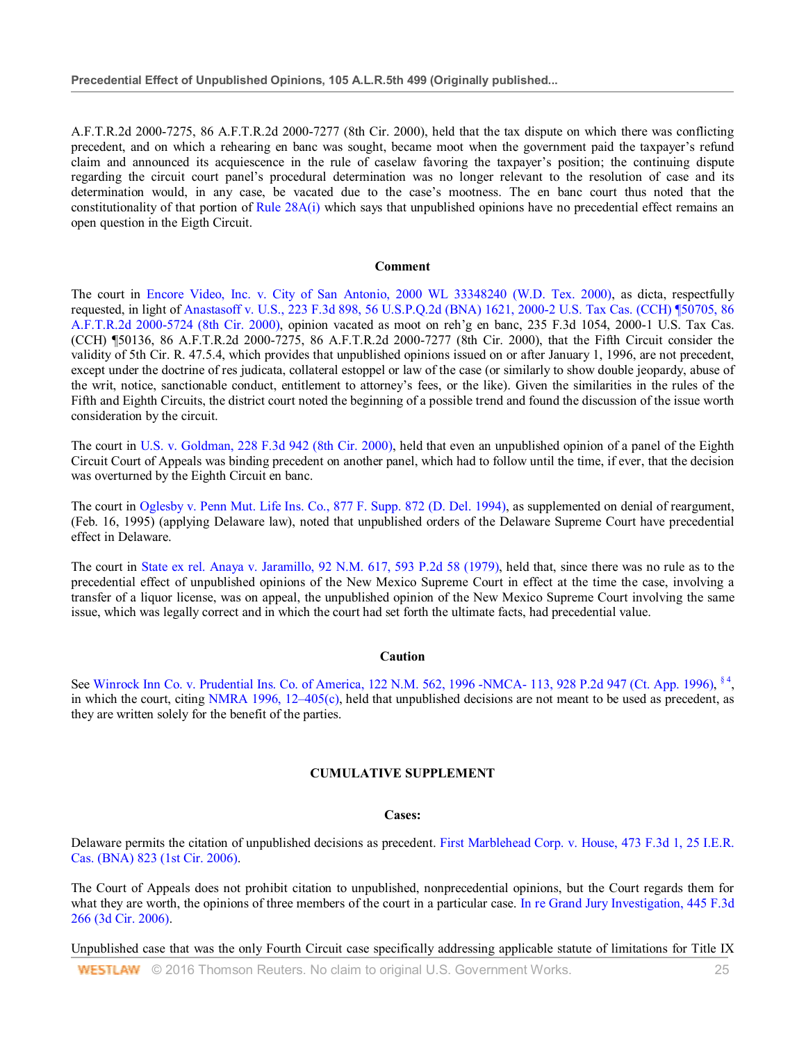A.F.T.R.2d 2000-7275, 86 A.F.T.R.2d 2000-7277 (8th Cir. 2000), held that the tax dispute on which there was conflicting precedent, and on which a rehearing en banc was sought, became moot when the government paid the taxpayer's refund claim and announced its acquiescence in the rule of caselaw favoring the taxpayer's position; the continuing dispute regarding the circuit court panel's procedural determination was no longer relevant to the resolution of case and its determination would, in any case, be vacated due to the case's mootness. The en banc court thus noted that the constitutionality of that portion of Rule  $28A(i)$  which says that unpublished opinions have no precedential effect remains an open question in the Eigth Circuit.

#### **Comment**

The court in Encore Video, Inc. v. City of San Antonio, 2000 WL 33348240 (W.D. Tex. 2000), as dicta, respectfully requested, in light of Anastasoff v. U.S., 223 F.3d 898, 56 U.S.P.Q.2d (BNA) 1621, 2000-2 U.S. Tax Cas. (CCH) ¶50705, 86 A.F.T.R.2d 2000-5724 (8th Cir. 2000), opinion vacated as moot on reh'g en banc, 235 F.3d 1054, 2000-1 U.S. Tax Cas. (CCH) ¶50136, 86 A.F.T.R.2d 2000-7275, 86 A.F.T.R.2d 2000-7277 (8th Cir. 2000), that the Fifth Circuit consider the validity of 5th Cir. R. 47.5.4, which provides that unpublished opinions issued on or after January 1, 1996, are not precedent, except under the doctrine of res judicata, collateral estoppel or law of the case (or similarly to show double jeopardy, abuse of the writ, notice, sanctionable conduct, entitlement to attorney's fees, or the like). Given the similarities in the rules of the Fifth and Eighth Circuits, the district court noted the beginning of a possible trend and found the discussion of the issue worth consideration by the circuit.

The court in U.S. v. Goldman, 228 F.3d 942 (8th Cir. 2000), held that even an unpublished opinion of a panel of the Eighth Circuit Court of Appeals was binding precedent on another panel, which had to follow until the time, if ever, that the decision was overturned by the Eighth Circuit en banc.

The court in Oglesby v. Penn Mut. Life Ins. Co., 877 F. Supp. 872 (D. Del. 1994), as supplemented on denial of reargument, (Feb. 16, 1995) (applying Delaware law), noted that unpublished orders of the Delaware Supreme Court have precedential effect in Delaware.

The court in State ex rel. Anaya v. Jaramillo, 92 N.M. 617, 593 P.2d 58 (1979), held that, since there was no rule as to the precedential effect of unpublished opinions of the New Mexico Supreme Court in effect at the time the case, involving a transfer of a liquor license, was on appeal, the unpublished opinion of the New Mexico Supreme Court involving the same issue, which was legally correct and in which the court had set forth the ultimate facts, had precedential value.

#### **Caution**

See Winrock Inn Co. v. Prudential Ins. Co. of America, 122 N.M. 562, 1996 -NMCA- 113, 928 P.2d 947 (Ct. App. 1996), <sup>§ 4</sup>, in which the court, citing NMRA 1996, 12–405(c), held that unpublished decisions are not meant to be used as precedent, as they are written solely for the benefit of the parties.

#### **CUMULATIVE SUPPLEMENT**

#### **Cases:**

Delaware permits the citation of unpublished decisions as precedent. First Marblehead Corp. v. House, 473 F.3d 1, 25 I.E.R. Cas. (BNA) 823 (1st Cir. 2006).

The Court of Appeals does not prohibit citation to unpublished, nonprecedential opinions, but the Court regards them for what they are worth, the opinions of three members of the court in a particular case. In re Grand Jury Investigation, 445 F.3d 266 (3d Cir. 2006).

Unpublished case that was the only Fourth Circuit case specifically addressing applicable statute of limitations for Title IX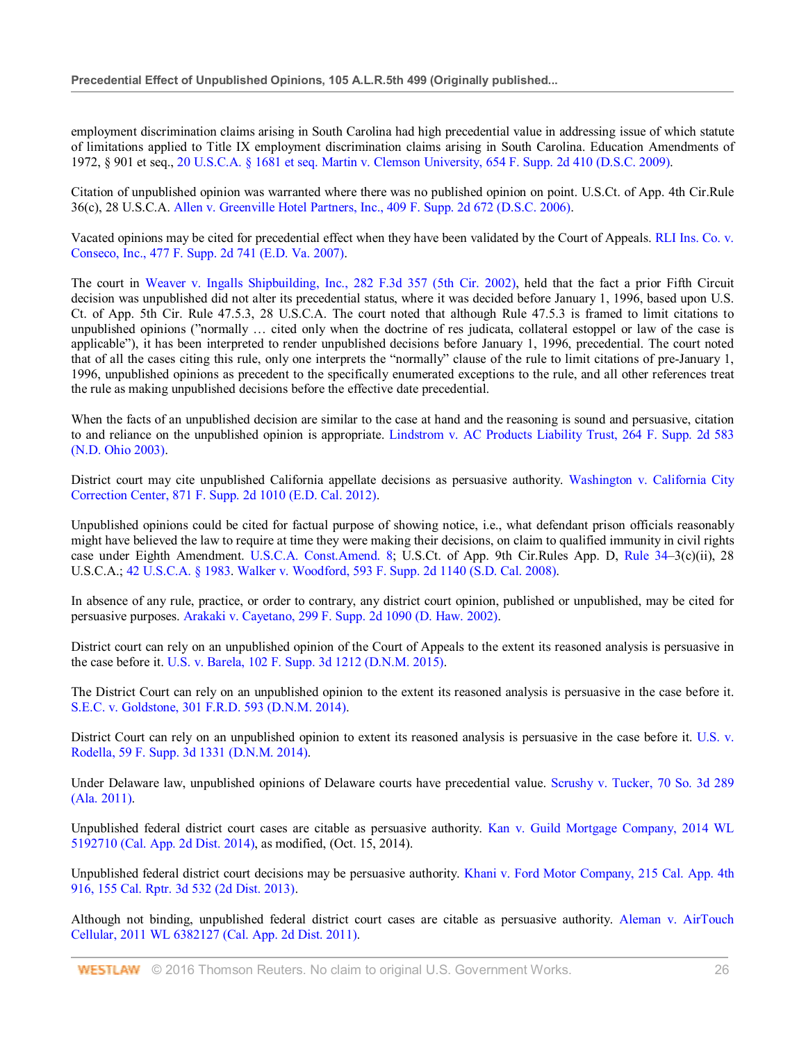employment discrimination claims arising in South Carolina had high precedential value in addressing issue of which statute of limitations applied to Title IX employment discrimination claims arising in South Carolina. Education Amendments of 1972, § 901 et seq., 20 U.S.C.A. § 1681 et seq. Martin v. Clemson University, 654 F. Supp. 2d 410 (D.S.C. 2009).

Citation of unpublished opinion was warranted where there was no published opinion on point. U.S.Ct. of App. 4th Cir.Rule 36(c), 28 U.S.C.A. Allen v. Greenville Hotel Partners, Inc., 409 F. Supp. 2d 672 (D.S.C. 2006).

Vacated opinions may be cited for precedential effect when they have been validated by the Court of Appeals. RLI Ins. Co. v. Conseco, Inc., 477 F. Supp. 2d 741 (E.D. Va. 2007).

The court in Weaver v. Ingalls Shipbuilding, Inc., 282 F.3d 357 (5th Cir. 2002), held that the fact a prior Fifth Circuit decision was unpublished did not alter its precedential status, where it was decided before January 1, 1996, based upon U.S. Ct. of App. 5th Cir. Rule 47.5.3, 28 U.S.C.A. The court noted that although Rule 47.5.3 is framed to limit citations to unpublished opinions ("normally … cited only when the doctrine of res judicata, collateral estoppel or law of the case is applicable"), it has been interpreted to render unpublished decisions before January 1, 1996, precedential. The court noted that of all the cases citing this rule, only one interprets the "normally" clause of the rule to limit citations of pre-January 1, 1996, unpublished opinions as precedent to the specifically enumerated exceptions to the rule, and all other references treat the rule as making unpublished decisions before the effective date precedential.

When the facts of an unpublished decision are similar to the case at hand and the reasoning is sound and persuasive, citation to and reliance on the unpublished opinion is appropriate. Lindstrom v. AC Products Liability Trust, 264 F. Supp. 2d 583 (N.D. Ohio 2003).

District court may cite unpublished California appellate decisions as persuasive authority. Washington v. California City Correction Center, 871 F. Supp. 2d 1010 (E.D. Cal. 2012).

Unpublished opinions could be cited for factual purpose of showing notice, i.e., what defendant prison officials reasonably might have believed the law to require at time they were making their decisions, on claim to qualified immunity in civil rights case under Eighth Amendment. U.S.C.A. Const.Amend. 8; U.S.Ct. of App. 9th Cir.Rules App. D, Rule 34–3(c)(ii), 28 U.S.C.A.; 42 U.S.C.A. § 1983. Walker v. Woodford, 593 F. Supp. 2d 1140 (S.D. Cal. 2008).

In absence of any rule, practice, or order to contrary, any district court opinion, published or unpublished, may be cited for persuasive purposes. Arakaki v. Cayetano, 299 F. Supp. 2d 1090 (D. Haw. 2002).

District court can rely on an unpublished opinion of the Court of Appeals to the extent its reasoned analysis is persuasive in the case before it. U.S. v. Barela, 102 F. Supp. 3d 1212 (D.N.M. 2015).

The District Court can rely on an unpublished opinion to the extent its reasoned analysis is persuasive in the case before it. S.E.C. v. Goldstone, 301 F.R.D. 593 (D.N.M. 2014).

District Court can rely on an unpublished opinion to extent its reasoned analysis is persuasive in the case before it. U.S. v. Rodella, 59 F. Supp. 3d 1331 (D.N.M. 2014).

Under Delaware law, unpublished opinions of Delaware courts have precedential value. Scrushy v. Tucker, 70 So. 3d 289 (Ala. 2011).

Unpublished federal district court cases are citable as persuasive authority. Kan v. Guild Mortgage Company, 2014 WL 5192710 (Cal. App. 2d Dist. 2014), as modified, (Oct. 15, 2014).

Unpublished federal district court decisions may be persuasive authority. Khani v. Ford Motor Company, 215 Cal. App. 4th 916, 155 Cal. Rptr. 3d 532 (2d Dist. 2013).

Although not binding, unpublished federal district court cases are citable as persuasive authority. Aleman v. AirTouch Cellular, 2011 WL 6382127 (Cal. App. 2d Dist. 2011).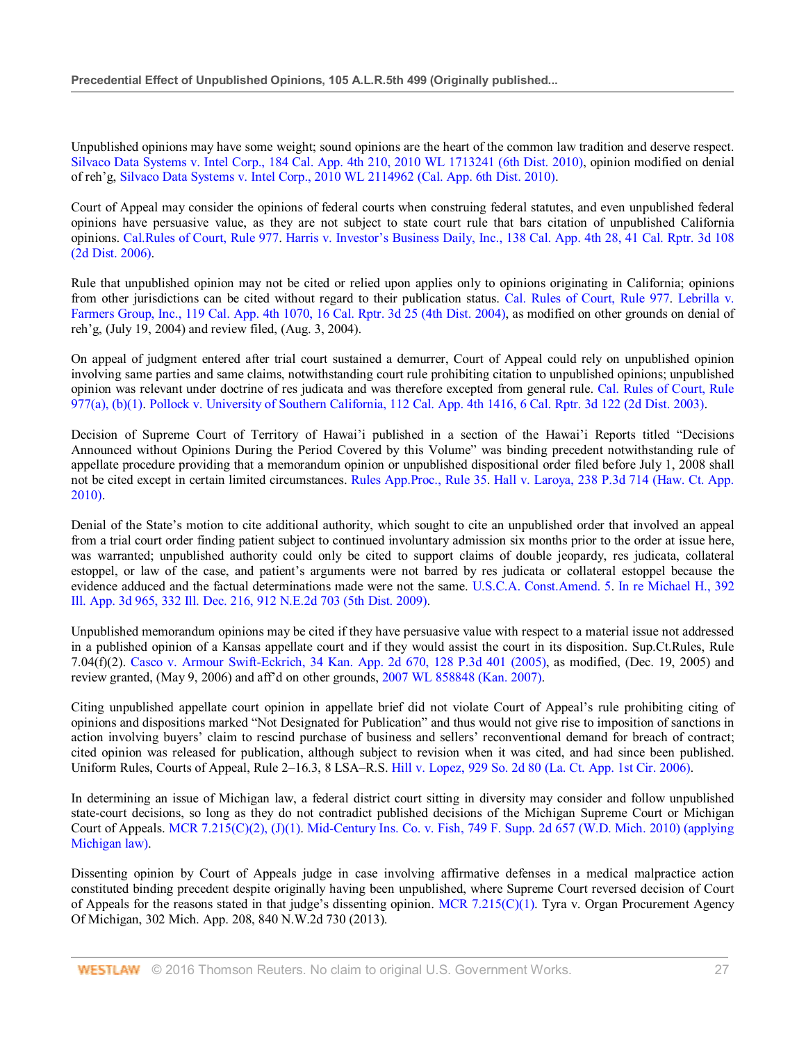Unpublished opinions may have some weight; sound opinions are the heart of the common law tradition and deserve respect. Silvaco Data Systems v. Intel Corp., 184 Cal. App. 4th 210, 2010 WL 1713241 (6th Dist. 2010), opinion modified on denial of reh'g, Silvaco Data Systems v. Intel Corp., 2010 WL 2114962 (Cal. App. 6th Dist. 2010).

Court of Appeal may consider the opinions of federal courts when construing federal statutes, and even unpublished federal opinions have persuasive value, as they are not subject to state court rule that bars citation of unpublished California opinions. Cal.Rules of Court, Rule 977. Harris v. Investor's Business Daily, Inc., 138 Cal. App. 4th 28, 41 Cal. Rptr. 3d 108 (2d Dist. 2006).

Rule that unpublished opinion may not be cited or relied upon applies only to opinions originating in California; opinions from other jurisdictions can be cited without regard to their publication status. Cal. Rules of Court, Rule 977. Lebrilla v. Farmers Group, Inc., 119 Cal. App. 4th 1070, 16 Cal. Rptr. 3d 25 (4th Dist. 2004), as modified on other grounds on denial of reh'g, (July 19, 2004) and review filed, (Aug. 3, 2004).

On appeal of judgment entered after trial court sustained a demurrer, Court of Appeal could rely on unpublished opinion involving same parties and same claims, notwithstanding court rule prohibiting citation to unpublished opinions; unpublished opinion was relevant under doctrine of res judicata and was therefore excepted from general rule. Cal. Rules of Court, Rule 977(a), (b)(1). Pollock v. University of Southern California, 112 Cal. App. 4th 1416, 6 Cal. Rptr. 3d 122 (2d Dist. 2003).

Decision of Supreme Court of Territory of Hawai'i published in a section of the Hawai'i Reports titled "Decisions Announced without Opinions During the Period Covered by this Volume" was binding precedent notwithstanding rule of appellate procedure providing that a memorandum opinion or unpublished dispositional order filed before July 1, 2008 shall not be cited except in certain limited circumstances. Rules App.Proc., Rule 35. Hall v. Laroya, 238 P.3d 714 (Haw. Ct. App. 2010).

Denial of the State's motion to cite additional authority, which sought to cite an unpublished order that involved an appeal from a trial court order finding patient subject to continued involuntary admission six months prior to the order at issue here, was warranted; unpublished authority could only be cited to support claims of double jeopardy, res judicata, collateral estoppel, or law of the case, and patient's arguments were not barred by res judicata or collateral estoppel because the evidence adduced and the factual determinations made were not the same. U.S.C.A. Const.Amend. 5. In re Michael H., 392 Ill. App. 3d 965, 332 Ill. Dec. 216, 912 N.E.2d 703 (5th Dist. 2009).

Unpublished memorandum opinions may be cited if they have persuasive value with respect to a material issue not addressed in a published opinion of a Kansas appellate court and if they would assist the court in its disposition. Sup.Ct.Rules, Rule 7.04(f)(2). Casco v. Armour Swift-Eckrich, 34 Kan. App. 2d 670, 128 P.3d 401 (2005), as modified, (Dec. 19, 2005) and review granted, (May 9, 2006) and aff'd on other grounds, 2007 WL 858848 (Kan. 2007).

Citing unpublished appellate court opinion in appellate brief did not violate Court of Appeal's rule prohibiting citing of opinions and dispositions marked "Not Designated for Publication" and thus would not give rise to imposition of sanctions in action involving buyers' claim to rescind purchase of business and sellers' reconventional demand for breach of contract; cited opinion was released for publication, although subject to revision when it was cited, and had since been published. Uniform Rules, Courts of Appeal, Rule 2–16.3, 8 LSA–R.S. Hill v. Lopez, 929 So. 2d 80 (La. Ct. App. 1st Cir. 2006).

In determining an issue of Michigan law, a federal district court sitting in diversity may consider and follow unpublished state-court decisions, so long as they do not contradict published decisions of the Michigan Supreme Court or Michigan Court of Appeals. MCR 7.215(C)(2),  $(J)(1)$ . Mid-Century Ins. Co. v. Fish, 749 F. Supp. 2d 657 (W.D. Mich. 2010) (applying Michigan law).

Dissenting opinion by Court of Appeals judge in case involving affirmative defenses in a medical malpractice action constituted binding precedent despite originally having been unpublished, where Supreme Court reversed decision of Court of Appeals for the reasons stated in that judge's dissenting opinion. MCR 7.215(C)(1). Tyra v. Organ Procurement Agency Of Michigan, 302 Mich. App. 208, 840 N.W.2d 730 (2013).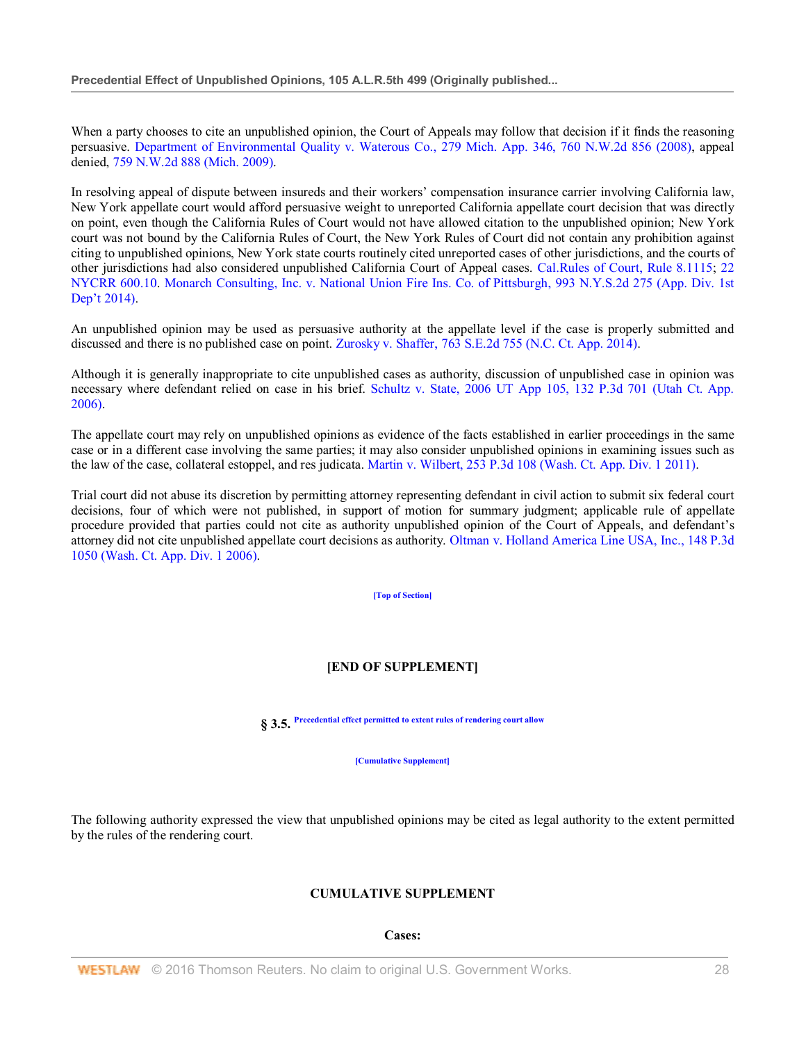When a party chooses to cite an unpublished opinion, the Court of Appeals may follow that decision if it finds the reasoning persuasive. Department of Environmental Quality v. Waterous Co., 279 Mich. App. 346, 760 N.W.2d 856 (2008), appeal denied, 759 N.W.2d 888 (Mich. 2009).

In resolving appeal of dispute between insureds and their workers' compensation insurance carrier involving California law, New York appellate court would afford persuasive weight to unreported California appellate court decision that was directly on point, even though the California Rules of Court would not have allowed citation to the unpublished opinion; New York court was not bound by the California Rules of Court, the New York Rules of Court did not contain any prohibition against citing to unpublished opinions, New York state courts routinely cited unreported cases of other jurisdictions, and the courts of other jurisdictions had also considered unpublished California Court of Appeal cases. Cal.Rules of Court, Rule 8.1115; 22 NYCRR 600.10. Monarch Consulting, Inc. v. National Union Fire Ins. Co. of Pittsburgh, 993 N.Y.S.2d 275 (App. Div. 1st Dep't 2014).

An unpublished opinion may be used as persuasive authority at the appellate level if the case is properly submitted and discussed and there is no published case on point. Zurosky v. Shaffer, 763 S.E.2d 755 (N.C. Ct. App. 2014).

Although it is generally inappropriate to cite unpublished cases as authority, discussion of unpublished case in opinion was necessary where defendant relied on case in his brief. Schultz v. State, 2006 UT App 105, 132 P.3d 701 (Utah Ct. App. 2006).

The appellate court may rely on unpublished opinions as evidence of the facts established in earlier proceedings in the same case or in a different case involving the same parties; it may also consider unpublished opinions in examining issues such as the law of the case, collateral estoppel, and res judicata. Martin v. Wilbert, 253 P.3d 108 (Wash. Ct. App. Div. 1 2011).

Trial court did not abuse its discretion by permitting attorney representing defendant in civil action to submit six federal court decisions, four of which were not published, in support of motion for summary judgment; applicable rule of appellate procedure provided that parties could not cite as authority unpublished opinion of the Court of Appeals, and defendant's attorney did not cite unpublished appellate court decisions as authority. Oltman v. Holland America Line USA, Inc., 148 P.3d 1050 (Wash. Ct. App. Div. 1 2006).

**[Top of Section]**

# **[END OF SUPPLEMENT]**

**§ 3.5. Precedential effect permitted to extent rules of rendering court allow**

**[Cumulative Supplement]**

The following authority expressed the view that unpublished opinions may be cited as legal authority to the extent permitted by the rules of the rendering court.

## **CUMULATIVE SUPPLEMENT**

## **Cases:**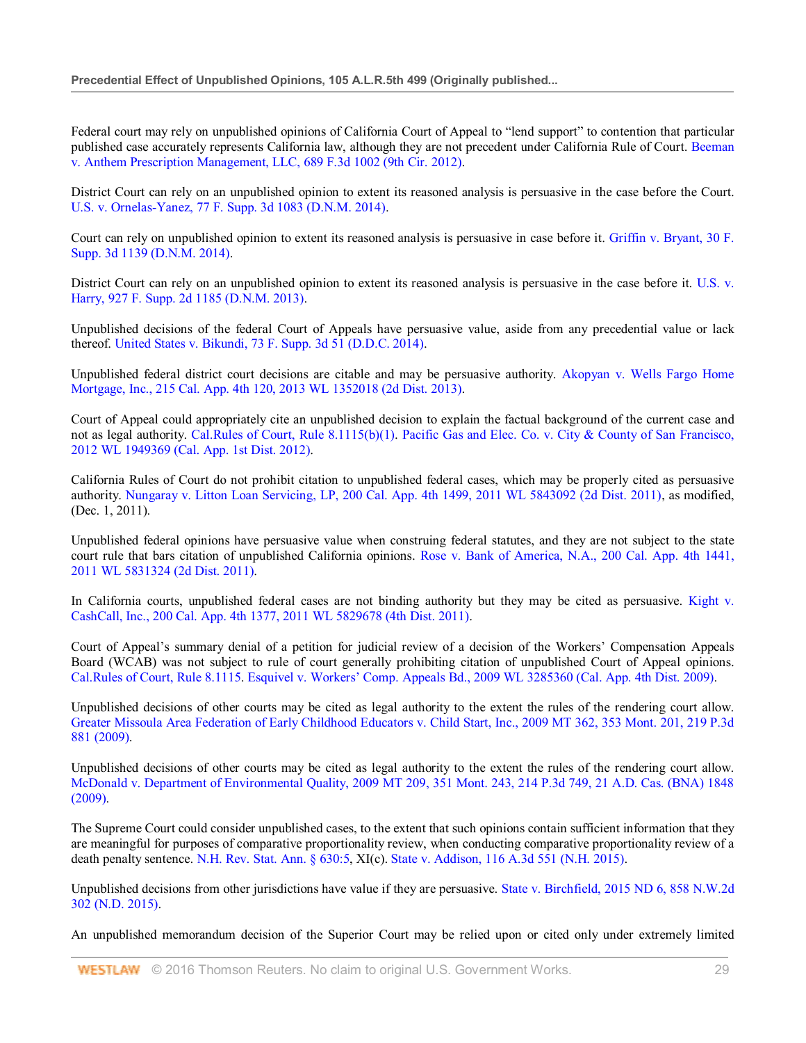Federal court may rely on unpublished opinions of California Court of Appeal to "lend support" to contention that particular published case accurately represents California law, although they are not precedent under California Rule of Court. Beeman v. Anthem Prescription Management, LLC, 689 F.3d 1002 (9th Cir. 2012).

District Court can rely on an unpublished opinion to extent its reasoned analysis is persuasive in the case before the Court. U.S. v. Ornelas-Yanez, 77 F. Supp. 3d 1083 (D.N.M. 2014).

Court can rely on unpublished opinion to extent its reasoned analysis is persuasive in case before it. Griffin v. Bryant, 30 F. Supp. 3d 1139 (D.N.M. 2014).

District Court can rely on an unpublished opinion to extent its reasoned analysis is persuasive in the case before it. U.S. v. Harry, 927 F. Supp. 2d 1185 (D.N.M. 2013).

Unpublished decisions of the federal Court of Appeals have persuasive value, aside from any precedential value or lack thereof. United States v. Bikundi, 73 F. Supp. 3d 51 (D.D.C. 2014).

Unpublished federal district court decisions are citable and may be persuasive authority. Akopyan v. Wells Fargo Home Mortgage, Inc., 215 Cal. App. 4th 120, 2013 WL 1352018 (2d Dist. 2013).

Court of Appeal could appropriately cite an unpublished decision to explain the factual background of the current case and not as legal authority. Cal.Rules of Court, Rule 8.1115(b)(1). Pacific Gas and Elec. Co. v. City & County of San Francisco, 2012 WL 1949369 (Cal. App. 1st Dist. 2012).

California Rules of Court do not prohibit citation to unpublished federal cases, which may be properly cited as persuasive authority. Nungaray v. Litton Loan Servicing, LP, 200 Cal. App. 4th 1499, 2011 WL 5843092 (2d Dist. 2011), as modified, (Dec. 1, 2011).

Unpublished federal opinions have persuasive value when construing federal statutes, and they are not subject to the state court rule that bars citation of unpublished California opinions. Rose v. Bank of America, N.A., 200 Cal. App. 4th 1441, 2011 WL 5831324 (2d Dist. 2011).

In California courts, unpublished federal cases are not binding authority but they may be cited as persuasive. Kight v. CashCall, Inc., 200 Cal. App. 4th 1377, 2011 WL 5829678 (4th Dist. 2011).

Court of Appeal's summary denial of a petition for judicial review of a decision of the Workers' Compensation Appeals Board (WCAB) was not subject to rule of court generally prohibiting citation of unpublished Court of Appeal opinions. Cal.Rules of Court, Rule 8.1115. Esquivel v. Workers' Comp. Appeals Bd., 2009 WL 3285360 (Cal. App. 4th Dist. 2009).

Unpublished decisions of other courts may be cited as legal authority to the extent the rules of the rendering court allow. Greater Missoula Area Federation of Early Childhood Educators v. Child Start, Inc., 2009 MT 362, 353 Mont. 201, 219 P.3d 881 (2009).

Unpublished decisions of other courts may be cited as legal authority to the extent the rules of the rendering court allow. McDonald v. Department of Environmental Quality, 2009 MT 209, 351 Mont. 243, 214 P.3d 749, 21 A.D. Cas. (BNA) 1848 (2009).

The Supreme Court could consider unpublished cases, to the extent that such opinions contain sufficient information that they are meaningful for purposes of comparative proportionality review, when conducting comparative proportionality review of a death penalty sentence. N.H. Rev. Stat. Ann. § 630:5, XI(c). State v. Addison, 116 A.3d 551 (N.H. 2015).

Unpublished decisions from other jurisdictions have value if they are persuasive. State v. Birchfield, 2015 ND 6, 858 N.W.2d 302 (N.D. 2015).

An unpublished memorandum decision of the Superior Court may be relied upon or cited only under extremely limited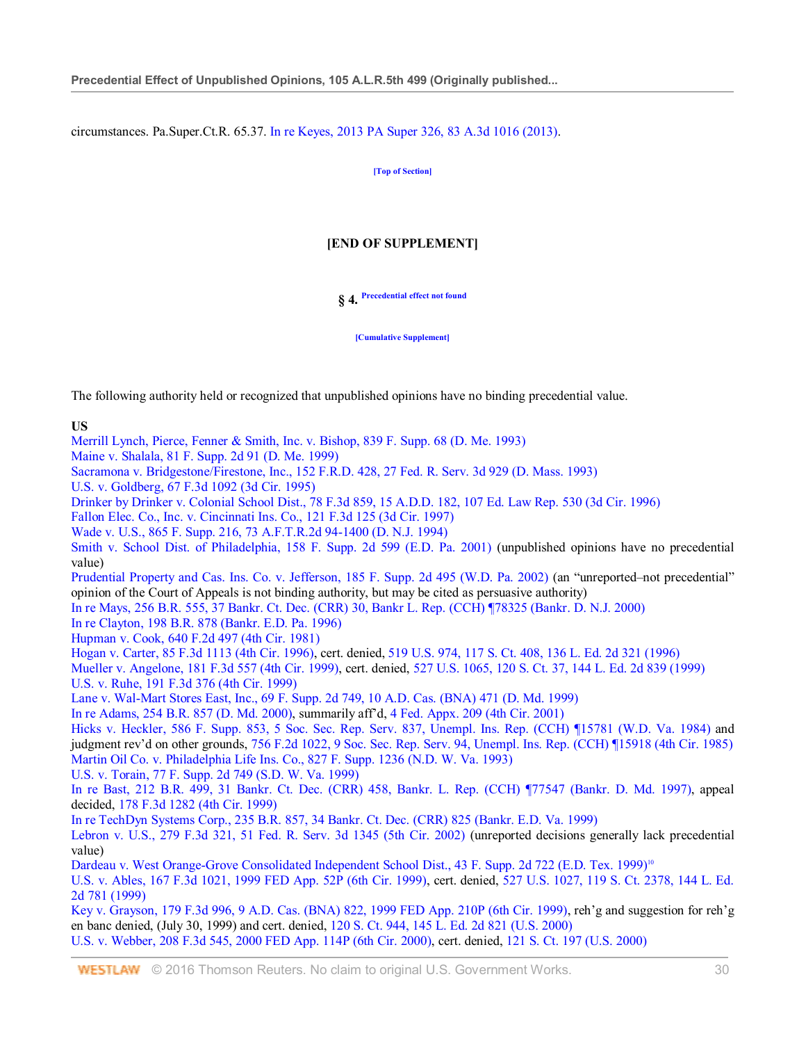circumstances. Pa.Super.Ct.R. 65.37. In re Keyes, 2013 PA Super 326, 83 A.3d 1016 (2013).

**[Top of Section]**

# **[END OF SUPPLEMENT]**

# **§ 4. Precedential effect not found**

**[Cumulative Supplement]**

The following authority held or recognized that unpublished opinions have no binding precedential value.

#### **US** Merrill Lynch, Pierce, Fenner & Smith, Inc. v. Bishop, 839 F. Supp. 68 (D. Me. 1993)

Maine v. Shalala, 81 F. Supp. 2d 91 (D. Me. 1999) Sacramona v. Bridgestone/Firestone, Inc., 152 F.R.D. 428, 27 Fed. R. Serv. 3d 929 (D. Mass. 1993) U.S. v. Goldberg, 67 F.3d 1092 (3d Cir. 1995) Drinker by Drinker v. Colonial School Dist., 78 F.3d 859, 15 A.D.D. 182, 107 Ed. Law Rep. 530 (3d Cir. 1996) Fallon Elec. Co., Inc. v. Cincinnati Ins. Co., 121 F.3d 125 (3d Cir. 1997) Wade v. U.S., 865 F. Supp. 216, 73 A.F.T.R.2d 94-1400 (D. N.J. 1994) Smith v. School Dist. of Philadelphia, 158 F. Supp. 2d 599 (E.D. Pa. 2001) (unpublished opinions have no precedential value) Prudential Property and Cas. Ins. Co. v. Jefferson, 185 F. Supp. 2d 495 (W.D. Pa. 2002) (an "unreported–not precedential" opinion of the Court of Appeals is not binding authority, but may be cited as persuasive authority) In re Mays, 256 B.R. 555, 37 Bankr. Ct. Dec. (CRR) 30, Bankr L. Rep. (CCH) ¶78325 (Bankr. D. N.J. 2000) In re Clayton, 198 B.R. 878 (Bankr. E.D. Pa. 1996) Hupman v. Cook, 640 F.2d 497 (4th Cir. 1981) Hogan v. Carter, 85 F.3d 1113 (4th Cir. 1996), cert. denied, 519 U.S. 974, 117 S. Ct. 408, 136 L. Ed. 2d 321 (1996) Mueller v. Angelone, 181 F.3d 557 (4th Cir. 1999), cert. denied, 527 U.S. 1065, 120 S. Ct. 37, 144 L. Ed. 2d 839 (1999) U.S. v. Ruhe, 191 F.3d 376 (4th Cir. 1999) Lane v. Wal-Mart Stores East, Inc., 69 F. Supp. 2d 749, 10 A.D. Cas. (BNA) 471 (D. Md. 1999) In re Adams, 254 B.R. 857 (D. Md. 2000), summarily aff'd, 4 Fed. Appx. 209 (4th Cir. 2001) Hicks v. Heckler, 586 F. Supp. 853, 5 Soc. Sec. Rep. Serv. 837, Unempl. Ins. Rep. (CCH) ¶15781 (W.D. Va. 1984) and judgment rev'd on other grounds, 756 F.2d 1022, 9 Soc. Sec. Rep. Serv. 94, Unempl. Ins. Rep. (CCH) ¶15918 (4th Cir. 1985) Martin Oil Co. v. Philadelphia Life Ins. Co., 827 F. Supp. 1236 (N.D. W. Va. 1993) U.S. v. Torain, 77 F. Supp. 2d 749 (S.D. W. Va. 1999) In re Bast, 212 B.R. 499, 31 Bankr. Ct. Dec. (CRR) 458, Bankr. L. Rep. (CCH) ¶77547 (Bankr. D. Md. 1997), appeal decided, 178 F.3d 1282 (4th Cir. 1999) In re TechDyn Systems Corp., 235 B.R. 857, 34 Bankr. Ct. Dec. (CRR) 825 (Bankr. E.D. Va. 1999) Lebron v. U.S., 279 F.3d 321, 51 Fed. R. Serv. 3d 1345 (5th Cir. 2002) (unreported decisions generally lack precedential value) Dardeau v. West Orange-Grove Consolidated Independent School Dist., 43 F. Supp. 2d 722 (E.D. Tex. 1999)<sup>10</sup> U.S. v. Ables, 167 F.3d 1021, 1999 FED App. 52P (6th Cir. 1999), cert. denied, 527 U.S. 1027, 119 S. Ct. 2378, 144 L. Ed. 2d 781 (1999) Key v. Grayson, 179 F.3d 996, 9 A.D. Cas. (BNA) 822, 1999 FED App. 210P (6th Cir. 1999), reh'g and suggestion for reh'g en banc denied, (July 30, 1999) and cert. denied, 120 S. Ct. 944, 145 L. Ed. 2d 821 (U.S. 2000) U.S. v. Webber, 208 F.3d 545, 2000 FED App. 114P (6th Cir. 2000), cert. denied, 121 S. Ct. 197 (U.S. 2000)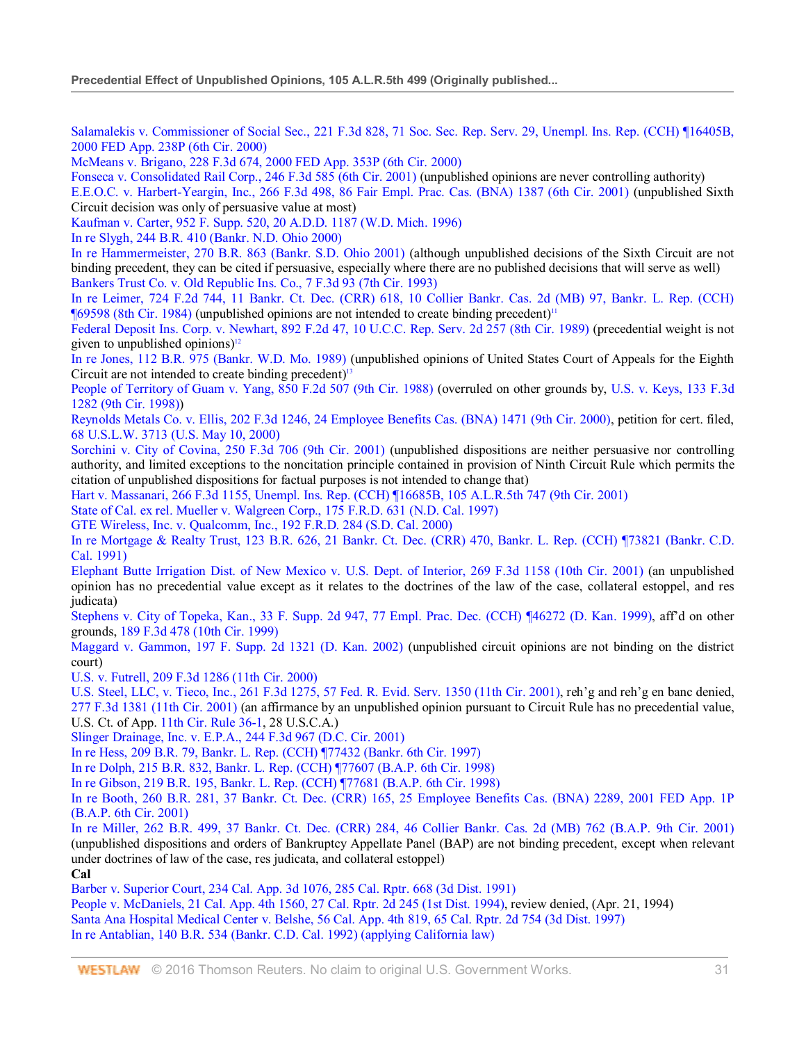Salamalekis v. Commissioner of Social Sec., 221 F.3d 828, 71 Soc. Sec. Rep. Serv. 29, Unempl. Ins. Rep. (CCH) ¶16405B, 2000 FED App. 238P (6th Cir. 2000)

McMeans v. Brigano, 228 F.3d 674, 2000 FED App. 353P (6th Cir. 2000)

Fonseca v. Consolidated Rail Corp., 246 F.3d 585 (6th Cir. 2001) (unpublished opinions are never controlling authority)

E.E.O.C. v. Harbert-Yeargin, Inc., 266 F.3d 498, 86 Fair Empl. Prac. Cas. (BNA) 1387 (6th Cir. 2001) (unpublished Sixth Circuit decision was only of persuasive value at most)

Kaufman v. Carter, 952 F. Supp. 520, 20 A.D.D. 1187 (W.D. Mich. 1996)

In re Slygh, 244 B.R. 410 (Bankr. N.D. Ohio 2000)

In re Hammermeister, 270 B.R. 863 (Bankr. S.D. Ohio 2001) (although unpublished decisions of the Sixth Circuit are not binding precedent, they can be cited if persuasive, especially where there are no published decisions that will serve as well) Bankers Trust Co. v. Old Republic Ins. Co., 7 F.3d 93 (7th Cir. 1993)

In re Leimer, 724 F.2d 744, 11 Bankr. Ct. Dec. (CRR) 618, 10 Collier Bankr. Cas. 2d (MB) 97, Bankr. L. Rep. (CCH)  $\P(69598 (8th Cir. 1984)$  (unpublished opinions are not intended to create binding precedent)<sup>11</sup>

Federal Deposit Ins. Corp. v. Newhart, 892 F.2d 47, 10 U.C.C. Rep. Serv. 2d 257 (8th Cir. 1989) (precedential weight is not given to unpublished opinions) $\frac{12}{2}$ 

In re Jones, 112 B.R. 975 (Bankr. W.D. Mo. 1989) (unpublished opinions of United States Court of Appeals for the Eighth Circuit are not intended to create binding precedent)<sup>13</sup>

People of Territory of Guam v. Yang, 850 F.2d 507 (9th Cir. 1988) (overruled on other grounds by, U.S. v. Keys, 133 F.3d 1282 (9th Cir. 1998))

Reynolds Metals Co. v. Ellis, 202 F.3d 1246, 24 Employee Benefits Cas. (BNA) 1471 (9th Cir. 2000), petition for cert. filed, 68 U.S.L.W. 3713 (U.S. May 10, 2000)

Sorchini v. City of Covina, 250 F.3d 706 (9th Cir. 2001) (unpublished dispositions are neither persuasive nor controlling authority, and limited exceptions to the noncitation principle contained in provision of Ninth Circuit Rule which permits the citation of unpublished dispositions for factual purposes is not intended to change that)

Hart v. Massanari, 266 F.3d 1155, Unempl. Ins. Rep. (CCH) ¶16685B, 105 A.L.R.5th 747 (9th Cir. 2001)

State of Cal. ex rel. Mueller v. Walgreen Corp., 175 F.R.D. 631 (N.D. Cal. 1997)

GTE Wireless, Inc. v. Qualcomm, Inc., 192 F.R.D. 284 (S.D. Cal. 2000)

In re Mortgage & Realty Trust, 123 B.R. 626, 21 Bankr. Ct. Dec. (CRR) 470, Bankr. L. Rep. (CCH) ¶73821 (Bankr. C.D. Cal. 1991)

Elephant Butte Irrigation Dist. of New Mexico v. U.S. Dept. of Interior, 269 F.3d 1158 (10th Cir. 2001) (an unpublished opinion has no precedential value except as it relates to the doctrines of the law of the case, collateral estoppel, and res judicata)

Stephens v. City of Topeka, Kan., 33 F. Supp. 2d 947, 77 Empl. Prac. Dec. (CCH) ¶46272 (D. Kan. 1999), aff'd on other grounds, 189 F.3d 478 (10th Cir. 1999)

Maggard v. Gammon, 197 F. Supp. 2d 1321 (D. Kan. 2002) (unpublished circuit opinions are not binding on the district court)

U.S. v. Futrell, 209 F.3d 1286 (11th Cir. 2000)

U.S. Steel, LLC, v. Tieco, Inc., 261 F.3d 1275, 57 Fed. R. Evid. Serv. 1350 (11th Cir. 2001), reh'g and reh'g en banc denied, 277 F.3d 1381 (11th Cir. 2001) (an affirmance by an unpublished opinion pursuant to Circuit Rule has no precedential value, U.S. Ct. of App. 11th Cir. Rule 36-1, 28 U.S.C.A.)

Slinger Drainage, Inc. v. E.P.A., 244 F.3d 967 (D.C. Cir. 2001)

In re Hess, 209 B.R. 79, Bankr. L. Rep. (CCH) ¶77432 (Bankr. 6th Cir. 1997)

In re Dolph, 215 B.R. 832, Bankr. L. Rep. (CCH) ¶77607 (B.A.P. 6th Cir. 1998)

In re Gibson, 219 B.R. 195, Bankr. L. Rep. (CCH) ¶77681 (B.A.P. 6th Cir. 1998)

In re Booth, 260 B.R. 281, 37 Bankr. Ct. Dec. (CRR) 165, 25 Employee Benefits Cas. (BNA) 2289, 2001 FED App. 1P (B.A.P. 6th Cir. 2001)

In re Miller, 262 B.R. 499, 37 Bankr. Ct. Dec. (CRR) 284, 46 Collier Bankr. Cas. 2d (MB) 762 (B.A.P. 9th Cir. 2001) (unpublished dispositions and orders of Bankruptcy Appellate Panel (BAP) are not binding precedent, except when relevant under doctrines of law of the case, res judicata, and collateral estoppel)

**Cal**

Barber v. Superior Court, 234 Cal. App. 3d 1076, 285 Cal. Rptr. 668 (3d Dist. 1991)

People v. McDaniels, 21 Cal. App. 4th 1560, 27 Cal. Rptr. 2d 245 (1st Dist. 1994), review denied, (Apr. 21, 1994) Santa Ana Hospital Medical Center v. Belshe, 56 Cal. App. 4th 819, 65 Cal. Rptr. 2d 754 (3d Dist. 1997) In re Antablian, 140 B.R. 534 (Bankr. C.D. Cal. 1992) (applying California law)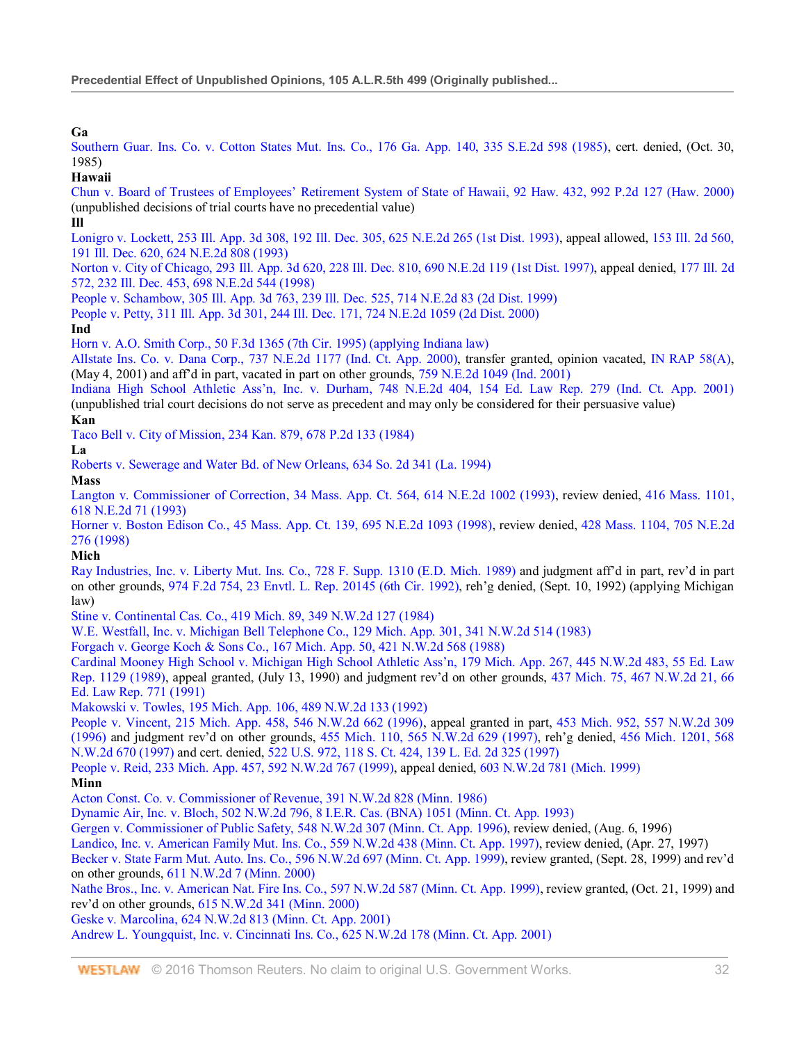**Ga**

Southern Guar. Ins. Co. v. Cotton States Mut. Ins. Co., 176 Ga. App. 140, 335 S.E.2d 598 (1985), cert. denied, (Oct. 30, 1985)

# **Hawaii**

Chun v. Board of Trustees of Employees' Retirement System of State of Hawaii, 92 Haw. 432, 992 P.2d 127 (Haw. 2000) (unpublished decisions of trial courts have no precedential value)

# **Ill**

Lonigro v. Lockett, 253 Ill. App. 3d 308, 192 Ill. Dec. 305, 625 N.E.2d 265 (1st Dist. 1993), appeal allowed, 153 Ill. 2d 560, 191 Ill. Dec. 620, 624 N.E.2d 808 (1993)

Norton v. City of Chicago, 293 Ill. App. 3d 620, 228 Ill. Dec. 810, 690 N.E.2d 119 (1st Dist. 1997), appeal denied, 177 Ill. 2d 572, 232 Ill. Dec. 453, 698 N.E.2d 544 (1998)

People v. Schambow, 305 Ill. App. 3d 763, 239 Ill. Dec. 525, 714 N.E.2d 83 (2d Dist. 1999)

People v. Petty, 311 Ill. App. 3d 301, 244 Ill. Dec. 171, 724 N.E.2d 1059 (2d Dist. 2000)

# **Ind**

Horn v. A.O. Smith Corp., 50 F.3d 1365 (7th Cir. 1995) (applying Indiana law)

Allstate Ins. Co. v. Dana Corp., 737 N.E.2d 1177 (Ind. Ct. App. 2000), transfer granted, opinion vacated, IN RAP 58(A), (May 4, 2001) and aff'd in part, vacated in part on other grounds, 759 N.E.2d 1049 (Ind. 2001)

Indiana High School Athletic Ass'n, Inc. v. Durham, 748 N.E.2d 404, 154 Ed. Law Rep. 279 (Ind. Ct. App. 2001) (unpublished trial court decisions do not serve as precedent and may only be considered for their persuasive value)

# **Kan**

Taco Bell v. City of Mission, 234 Kan. 879, 678 P.2d 133 (1984)

# **La**

Roberts v. Sewerage and Water Bd. of New Orleans, 634 So. 2d 341 (La. 1994)

**Mass**

Langton v. Commissioner of Correction, 34 Mass. App. Ct. 564, 614 N.E.2d 1002 (1993), review denied, 416 Mass. 1101, 618 N.E.2d 71 (1993)

Horner v. Boston Edison Co., 45 Mass. App. Ct. 139, 695 N.E.2d 1093 (1998), review denied, 428 Mass. 1104, 705 N.E.2d 276 (1998)

# **Mich**

Ray Industries, Inc. v. Liberty Mut. Ins. Co., 728 F. Supp. 1310 (E.D. Mich. 1989) and judgment aff'd in part, rev'd in part on other grounds, 974 F.2d 754, 23 Envtl. L. Rep. 20145 (6th Cir. 1992), reh'g denied, (Sept. 10, 1992) (applying Michigan law)

Stine v. Continental Cas. Co., 419 Mich. 89, 349 N.W.2d 127 (1984)

W.E. Westfall, Inc. v. Michigan Bell Telephone Co., 129 Mich. App. 301, 341 N.W.2d 514 (1983)

Forgach v. George Koch & Sons Co., 167 Mich. App. 50, 421 N.W.2d 568 (1988)

Cardinal Mooney High School v. Michigan High School Athletic Ass'n, 179 Mich. App. 267, 445 N.W.2d 483, 55 Ed. Law Rep. 1129 (1989), appeal granted, (July 13, 1990) and judgment rev'd on other grounds, 437 Mich. 75, 467 N.W.2d 21, 66 Ed. Law Rep. 771 (1991)

Makowski v. Towles, 195 Mich. App. 106, 489 N.W.2d 133 (1992)

People v. Vincent, 215 Mich. App. 458, 546 N.W.2d 662 (1996), appeal granted in part, 453 Mich. 952, 557 N.W.2d 309 (1996) and judgment rev'd on other grounds, 455 Mich. 110, 565 N.W.2d 629 (1997), reh'g denied, 456 Mich. 1201, 568 N.W.2d 670 (1997) and cert. denied, 522 U.S. 972, 118 S. Ct. 424, 139 L. Ed. 2d 325 (1997)

People v. Reid, 233 Mich. App. 457, 592 N.W.2d 767 (1999), appeal denied, 603 N.W.2d 781 (Mich. 1999)

# **Minn**

Acton Const. Co. v. Commissioner of Revenue, 391 N.W.2d 828 (Minn. 1986)

Dynamic Air, Inc. v. Bloch, 502 N.W.2d 796, 8 I.E.R. Cas. (BNA) 1051 (Minn. Ct. App. 1993)

Gergen v. Commissioner of Public Safety, 548 N.W.2d 307 (Minn. Ct. App. 1996), review denied, (Aug. 6, 1996)

Landico, Inc. v. American Family Mut. Ins. Co., 559 N.W.2d 438 (Minn. Ct. App. 1997), review denied, (Apr. 27, 1997)

Becker v. State Farm Mut. Auto. Ins. Co., 596 N.W.2d 697 (Minn. Ct. App. 1999), review granted, (Sept. 28, 1999) and rev'd on other grounds, 611 N.W.2d 7 (Minn. 2000)

Nathe Bros., Inc. v. American Nat. Fire Ins. Co., 597 N.W.2d 587 (Minn. Ct. App. 1999), review granted, (Oct. 21, 1999) and rev'd on other grounds, 615 N.W.2d 341 (Minn. 2000)

Geske v. Marcolina, 624 N.W.2d 813 (Minn. Ct. App. 2001)

Andrew L. Youngquist, Inc. v. Cincinnati Ins. Co., 625 N.W.2d 178 (Minn. Ct. App. 2001)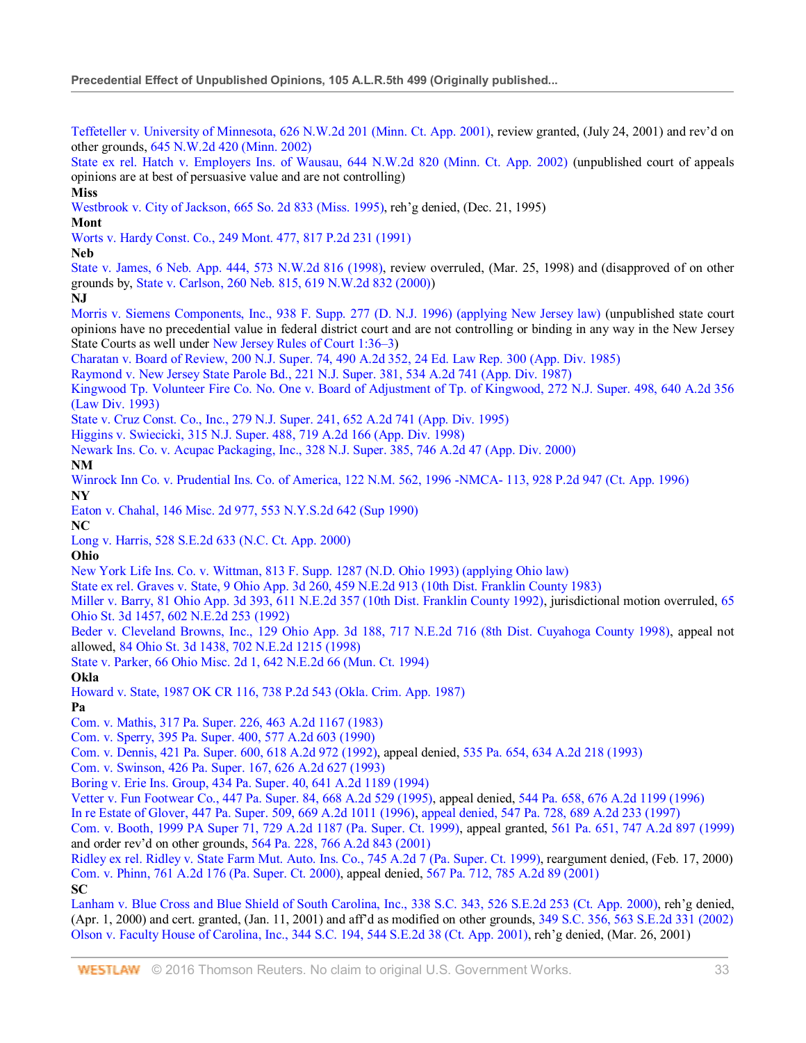Teffeteller v. University of Minnesota, 626 N.W.2d 201 (Minn. Ct. App. 2001), review granted, (July 24, 2001) and rev'd on other grounds, 645 N.W.2d 420 (Minn. 2002)

State ex rel. Hatch v. Employers Ins. of Wausau, 644 N.W.2d 820 (Minn. Ct. App. 2002) (unpublished court of appeals opinions are at best of persuasive value and are not controlling)

**Miss**

Westbrook v. City of Jackson, 665 So. 2d 833 (Miss. 1995), reh'g denied, (Dec. 21, 1995)

**Mont**

Worts v. Hardy Const. Co., 249 Mont. 477, 817 P.2d 231 (1991)

**Neb**

State v. James, 6 Neb. App. 444, 573 N.W.2d 816 (1998), review overruled, (Mar. 25, 1998) and (disapproved of on other grounds by, State v. Carlson, 260 Neb. 815, 619 N.W.2d 832 (2000))

**NJ**

Morris v. Siemens Components, Inc., 938 F. Supp. 277 (D. N.J. 1996) (applying New Jersey law) (unpublished state court opinions have no precedential value in federal district court and are not controlling or binding in any way in the New Jersey State Courts as well under New Jersey Rules of Court 1:36–3)

Charatan v. Board of Review, 200 N.J. Super. 74, 490 A.2d 352, 24 Ed. Law Rep. 300 (App. Div. 1985)

Raymond v. New Jersey State Parole Bd., 221 N.J. Super. 381, 534 A.2d 741 (App. Div. 1987)

Kingwood Tp. Volunteer Fire Co. No. One v. Board of Adjustment of Tp. of Kingwood, 272 N.J. Super. 498, 640 A.2d 356 (Law Div. 1993)

State v. Cruz Const. Co., Inc., 279 N.J. Super. 241, 652 A.2d 741 (App. Div. 1995)

Higgins v. Swiecicki, 315 N.J. Super. 488, 719 A.2d 166 (App. Div. 1998)

Newark Ins. Co. v. Acupac Packaging, Inc., 328 N.J. Super. 385, 746 A.2d 47 (App. Div. 2000)

**NM**

Winrock Inn Co. v. Prudential Ins. Co. of America, 122 N.M. 562, 1996 -NMCA- 113, 928 P.2d 947 (Ct. App. 1996) **NY**

Eaton v. Chahal, 146 Misc. 2d 977, 553 N.Y.S.2d 642 (Sup 1990)

**NC**

Long v. Harris, 528 S.E.2d 633 (N.C. Ct. App. 2000)

**Ohio**

New York Life Ins. Co. v. Wittman, 813 F. Supp. 1287 (N.D. Ohio 1993) (applying Ohio law)

State ex rel. Graves v. State, 9 Ohio App. 3d 260, 459 N.E.2d 913 (10th Dist. Franklin County 1983)

Miller v. Barry, 81 Ohio App. 3d 393, 611 N.E.2d 357 (10th Dist. Franklin County 1992), jurisdictional motion overruled, 65 Ohio St. 3d 1457, 602 N.E.2d 253 (1992)

Beder v. Cleveland Browns, Inc., 129 Ohio App. 3d 188, 717 N.E.2d 716 (8th Dist. Cuyahoga County 1998), appeal not allowed, 84 Ohio St. 3d 1438, 702 N.E.2d 1215 (1998)

State v. Parker, 66 Ohio Misc. 2d 1, 642 N.E.2d 66 (Mun. Ct. 1994)

**Okla**

Howard v. State, 1987 OK CR 116, 738 P.2d 543 (Okla. Crim. App. 1987)

**Pa**

Com. v. Mathis, 317 Pa. Super. 226, 463 A.2d 1167 (1983)

Com. v. Sperry, 395 Pa. Super. 400, 577 A.2d 603 (1990)

Com. v. Dennis, 421 Pa. Super. 600, 618 A.2d 972 (1992), appeal denied, 535 Pa. 654, 634 A.2d 218 (1993)

Com. v. Swinson, 426 Pa. Super. 167, 626 A.2d 627 (1993)

Boring v. Erie Ins. Group, 434 Pa. Super. 40, 641 A.2d 1189 (1994)

Vetter v. Fun Footwear Co., 447 Pa. Super. 84, 668 A.2d 529 (1995), appeal denied, 544 Pa. 658, 676 A.2d 1199 (1996)

In re Estate of Glover, 447 Pa. Super. 509, 669 A.2d 1011 (1996), appeal denied, 547 Pa. 728, 689 A.2d 233 (1997)

Com. v. Booth, 1999 PA Super 71, 729 A.2d 1187 (Pa. Super. Ct. 1999), appeal granted, 561 Pa. 651, 747 A.2d 897 (1999) and order rev'd on other grounds, 564 Pa. 228, 766 A.2d 843 (2001)

Ridley ex rel. Ridley v. State Farm Mut. Auto. Ins. Co., 745 A.2d 7 (Pa. Super. Ct. 1999), reargument denied, (Feb. 17, 2000) Com. v. Phinn, 761 A.2d 176 (Pa. Super. Ct. 2000), appeal denied, 567 Pa. 712, 785 A.2d 89 (2001) **SC**

Lanham v. Blue Cross and Blue Shield of South Carolina, Inc., 338 S.C. 343, 526 S.E.2d 253 (Ct. App. 2000), reh'g denied, (Apr. 1, 2000) and cert. granted, (Jan. 11, 2001) and aff'd as modified on other grounds, 349 S.C. 356, 563 S.E.2d 331 (2002) Olson v. Faculty House of Carolina, Inc., 344 S.C. 194, 544 S.E.2d 38 (Ct. App. 2001), reh'g denied, (Mar. 26, 2001)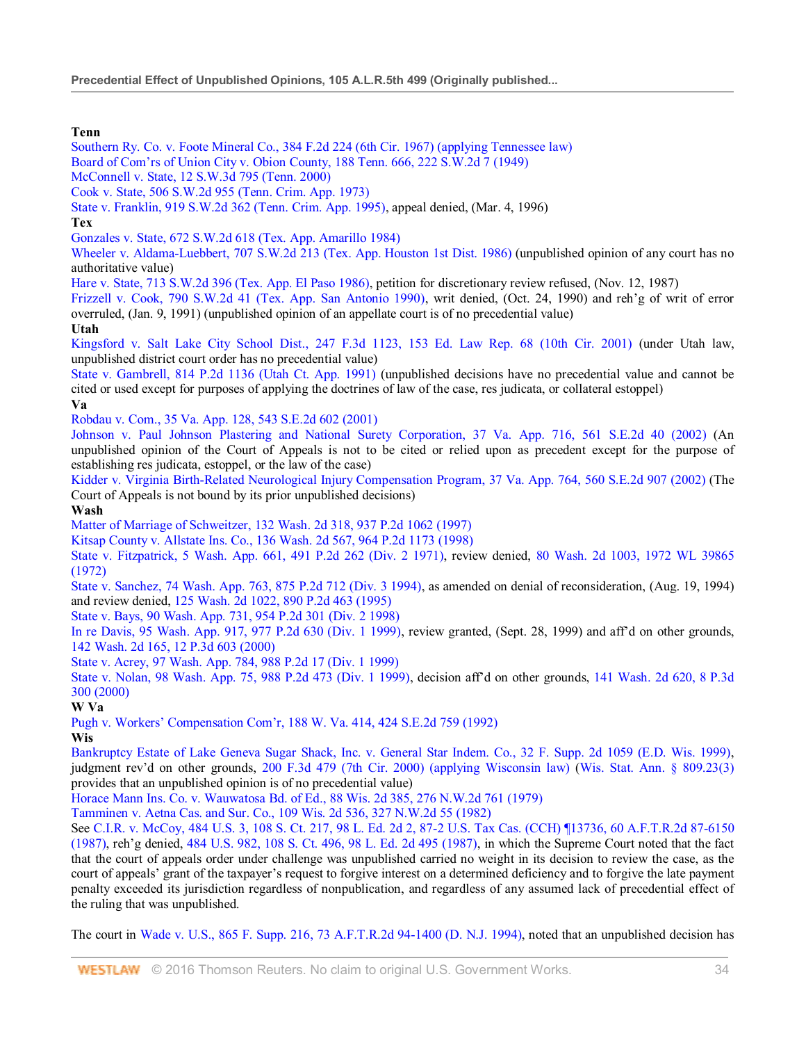# **Tenn**

Southern Ry. Co. v. Foote Mineral Co., 384 F.2d 224 (6th Cir. 1967) (applying Tennessee law) Board of Com'rs of Union City v. Obion County, 188 Tenn. 666, 222 S.W.2d 7 (1949)

McConnell v. State, 12 S.W.3d 795 (Tenn. 2000)

Cook v. State, 506 S.W.2d 955 (Tenn. Crim. App. 1973)

State v. Franklin, 919 S.W.2d 362 (Tenn. Crim. App. 1995), appeal denied, (Mar. 4, 1996)

# **Tex**

Gonzales v. State, 672 S.W.2d 618 (Tex. App. Amarillo 1984)

Wheeler v. Aldama-Luebbert, 707 S.W.2d 213 (Tex. App. Houston 1st Dist. 1986) (unpublished opinion of any court has no authoritative value)

Hare v. State, 713 S.W.2d 396 (Tex. App. El Paso 1986), petition for discretionary review refused, (Nov. 12, 1987)

Frizzell v. Cook, 790 S.W.2d 41 (Tex. App. San Antonio 1990), writ denied, (Oct. 24, 1990) and reh'g of writ of error overruled, (Jan. 9, 1991) (unpublished opinion of an appellate court is of no precedential value)

# **Utah**

Kingsford v. Salt Lake City School Dist., 247 F.3d 1123, 153 Ed. Law Rep. 68 (10th Cir. 2001) (under Utah law, unpublished district court order has no precedential value)

State v. Gambrell, 814 P.2d 1136 (Utah Ct. App. 1991) (unpublished decisions have no precedential value and cannot be cited or used except for purposes of applying the doctrines of law of the case, res judicata, or collateral estoppel)

## **Va**

Robdau v. Com., 35 Va. App. 128, 543 S.E.2d 602 (2001)

Johnson v. Paul Johnson Plastering and National Surety Corporation, 37 Va. App. 716, 561 S.E.2d 40 (2002) (An unpublished opinion of the Court of Appeals is not to be cited or relied upon as precedent except for the purpose of establishing res judicata, estoppel, or the law of the case)

Kidder v. Virginia Birth-Related Neurological Injury Compensation Program, 37 Va. App. 764, 560 S.E.2d 907 (2002) (The Court of Appeals is not bound by its prior unpublished decisions)

# **Wash**

Matter of Marriage of Schweitzer, 132 Wash. 2d 318, 937 P.2d 1062 (1997)

Kitsap County v. Allstate Ins. Co., 136 Wash. 2d 567, 964 P.2d 1173 (1998)

State v. Fitzpatrick, 5 Wash. App. 661, 491 P.2d 262 (Div. 2 1971), review denied, 80 Wash. 2d 1003, 1972 WL 39865 (1972)

State v. Sanchez, 74 Wash. App. 763, 875 P.2d 712 (Div. 3 1994), as amended on denial of reconsideration, (Aug. 19, 1994) and review denied, 125 Wash. 2d 1022, 890 P.2d 463 (1995)

State v. Bays, 90 Wash. App. 731, 954 P.2d 301 (Div. 2 1998)

In re Davis, 95 Wash. App. 917, 977 P.2d 630 (Div. 1 1999), review granted, (Sept. 28, 1999) and aff'd on other grounds, 142 Wash. 2d 165, 12 P.3d 603 (2000)

State v. Acrey, 97 Wash. App. 784, 988 P.2d 17 (Div. 1 1999)

State v. Nolan, 98 Wash. App. 75, 988 P.2d 473 (Div. 1 1999), decision aff'd on other grounds, 141 Wash. 2d 620, 8 P.3d 300 (2000)

# **W Va**

Pugh v. Workers' Compensation Com'r, 188 W. Va. 414, 424 S.E.2d 759 (1992)

# **Wis**

Bankruptcy Estate of Lake Geneva Sugar Shack, Inc. v. General Star Indem. Co., 32 F. Supp. 2d 1059 (E.D. Wis. 1999), judgment rev'd on other grounds, 200 F.3d 479 (7th Cir. 2000) (applying Wisconsin law) (Wis. Stat. Ann. § 809.23(3) provides that an unpublished opinion is of no precedential value)

Horace Mann Ins. Co. v. Wauwatosa Bd. of Ed., 88 Wis. 2d 385, 276 N.W.2d 761 (1979)

Tamminen v. Aetna Cas. and Sur. Co., 109 Wis. 2d 536, 327 N.W.2d 55 (1982)

See C.I.R. v. McCoy, 484 U.S. 3, 108 S. Ct. 217, 98 L. Ed. 2d 2, 87-2 U.S. Tax Cas. (CCH) ¶13736, 60 A.F.T.R.2d 87-6150 (1987), reh'g denied, 484 U.S. 982, 108 S. Ct. 496, 98 L. Ed. 2d 495 (1987), in which the Supreme Court noted that the fact that the court of appeals order under challenge was unpublished carried no weight in its decision to review the case, as the court of appeals' grant of the taxpayer's request to forgive interest on a determined deficiency and to forgive the late payment penalty exceeded its jurisdiction regardless of nonpublication, and regardless of any assumed lack of precedential effect of the ruling that was unpublished.

The court in Wade v. U.S., 865 F. Supp. 216, 73 A.F.T.R.2d 94-1400 (D. N.J. 1994), noted that an unpublished decision has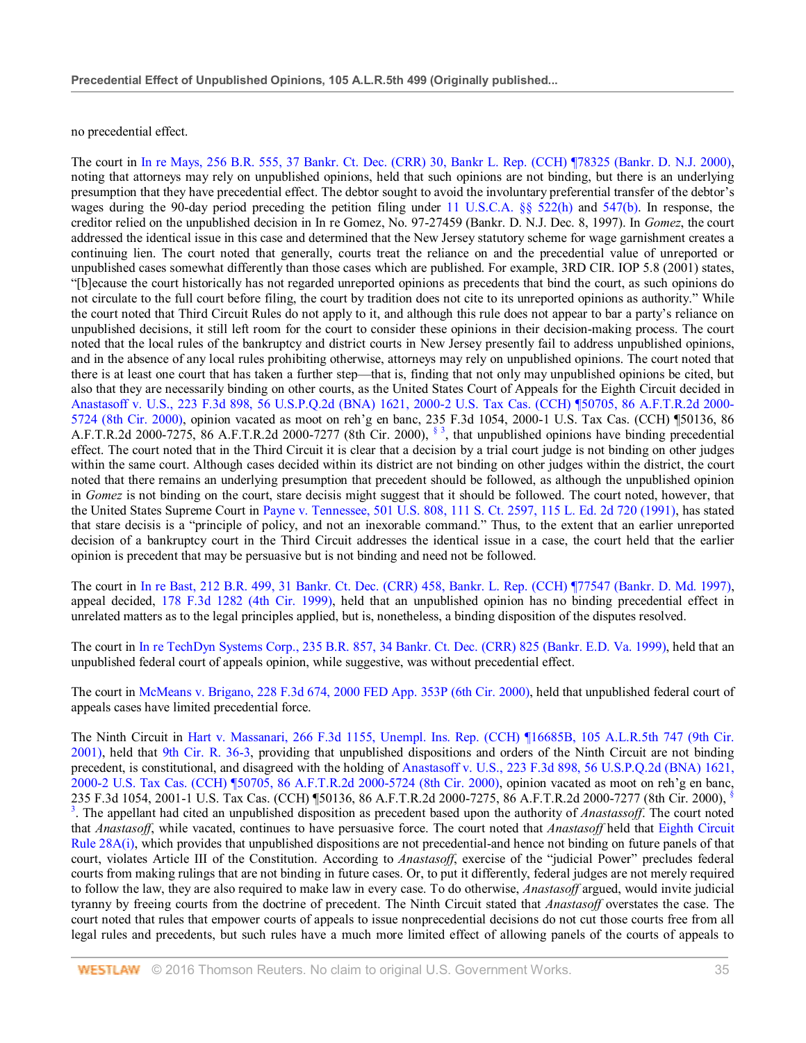no precedential effect.

The court in In re Mays, 256 B.R. 555, 37 Bankr. Ct. Dec. (CRR) 30, Bankr L. Rep. (CCH) ¶78325 (Bankr. D. N.J. 2000), noting that attorneys may rely on unpublished opinions, held that such opinions are not binding, but there is an underlying presumption that they have precedential effect. The debtor sought to avoid the involuntary preferential transfer of the debtor's wages during the 90-day period preceding the petition filing under 11 U.S.C.A. §§ 522(h) and 547(b). In response, the creditor relied on the unpublished decision in In re Gomez, No. 97-27459 (Bankr. D. N.J. Dec. 8, 1997). In *Gomez*, the court addressed the identical issue in this case and determined that the New Jersey statutory scheme for wage garnishment creates a continuing lien. The court noted that generally, courts treat the reliance on and the precedential value of unreported or unpublished cases somewhat differently than those cases which are published. For example, 3RD CIR. IOP 5.8 (2001) states, "[b]ecause the court historically has not regarded unreported opinions as precedents that bind the court, as such opinions do not circulate to the full court before filing, the court by tradition does not cite to its unreported opinions as authority." While the court noted that Third Circuit Rules do not apply to it, and although this rule does not appear to bar a party's reliance on unpublished decisions, it still left room for the court to consider these opinions in their decision-making process. The court noted that the local rules of the bankruptcy and district courts in New Jersey presently fail to address unpublished opinions, and in the absence of any local rules prohibiting otherwise, attorneys may rely on unpublished opinions. The court noted that there is at least one court that has taken a further step—that is, finding that not only may unpublished opinions be cited, but also that they are necessarily binding on other courts, as the United States Court of Appeals for the Eighth Circuit decided in Anastasoff v. U.S., 223 F.3d 898, 56 U.S.P.Q.2d (BNA) 1621, 2000-2 U.S. Tax Cas. (CCH) ¶50705, 86 A.F.T.R.2d 2000- 5724 (8th Cir. 2000), opinion vacated as moot on reh'g en banc, 235 F.3d 1054, 2000-1 U.S. Tax Cas. (CCH) ¶50136, 86 A.F.T.R.2d 2000-7275, 86 A.F.T.R.2d 2000-7277 (8th Cir. 2000), § 3, that unpublished opinions have binding precedential effect. The court noted that in the Third Circuit it is clear that a decision by a trial court judge is not binding on other judges within the same court. Although cases decided within its district are not binding on other judges within the district, the court noted that there remains an underlying presumption that precedent should be followed, as although the unpublished opinion in *Gomez* is not binding on the court, stare decisis might suggest that it should be followed. The court noted, however, that the United States Supreme Court in Payne v. Tennessee, 501 U.S. 808, 111 S. Ct. 2597, 115 L. Ed. 2d 720 (1991), has stated that stare decisis is a "principle of policy, and not an inexorable command." Thus, to the extent that an earlier unreported decision of a bankruptcy court in the Third Circuit addresses the identical issue in a case, the court held that the earlier opinion is precedent that may be persuasive but is not binding and need not be followed.

The court in In re Bast, 212 B.R. 499, 31 Bankr. Ct. Dec. (CRR) 458, Bankr. L. Rep. (CCH) ¶77547 (Bankr. D. Md. 1997), appeal decided, 178 F.3d 1282 (4th Cir. 1999), held that an unpublished opinion has no binding precedential effect in unrelated matters as to the legal principles applied, but is, nonetheless, a binding disposition of the disputes resolved.

The court in In re TechDyn Systems Corp., 235 B.R. 857, 34 Bankr. Ct. Dec. (CRR) 825 (Bankr. E.D. Va. 1999), held that an unpublished federal court of appeals opinion, while suggestive, was without precedential effect.

The court in McMeans v. Brigano, 228 F.3d 674, 2000 FED App. 353P (6th Cir. 2000), held that unpublished federal court of appeals cases have limited precedential force.

The Ninth Circuit in Hart v. Massanari, 266 F.3d 1155, Unempl. Ins. Rep. (CCH) ¶16685B, 105 A.L.R.5th 747 (9th Cir. 2001), held that 9th Cir. R. 36-3, providing that unpublished dispositions and orders of the Ninth Circuit are not binding precedent, is constitutional, and disagreed with the holding of Anastasoff v. U.S., 223 F.3d 898, 56 U.S.P.Q.2d (BNA) 1621, 2000-2 U.S. Tax Cas. (CCH) ¶50705, 86 A.F.T.R.2d 2000-5724 (8th Cir. 2000), opinion vacated as moot on reh'g en banc, 235 F.3d 1054, 2001-1 U.S. Tax Cas. (CCH) ¶50136, 86 A.F.T.R.2d 2000-7275, 86 A.F.T.R.2d 2000-7277 (8th Cir. 2000), § 3 . The appellant had cited an unpublished disposition as precedent based upon the authority of *Anastassoff*. The court noted that *Anastasoff*, while vacated, continues to have persuasive force. The court noted that *Anastasoff* held that Eighth Circuit Rule 28A(i), which provides that unpublished dispositions are not precedential-and hence not binding on future panels of that court, violates Article III of the Constitution. According to *Anastasoff*, exercise of the "judicial Power" precludes federal courts from making rulings that are not binding in future cases. Or, to put it differently, federal judges are not merely required to follow the law, they are also required to make law in every case. To do otherwise, *Anastasoff* argued, would invite judicial tyranny by freeing courts from the doctrine of precedent. The Ninth Circuit stated that *Anastasoff* overstates the case. The court noted that rules that empower courts of appeals to issue nonprecedential decisions do not cut those courts free from all legal rules and precedents, but such rules have a much more limited effect of allowing panels of the courts of appeals to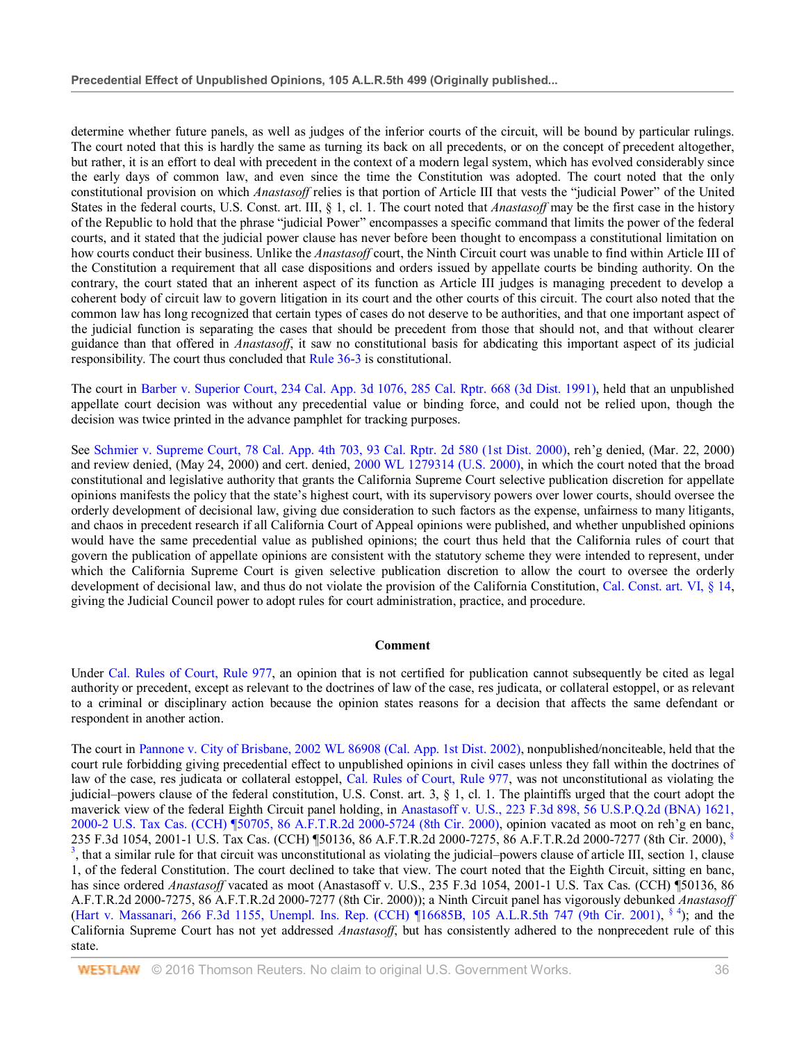determine whether future panels, as well as judges of the inferior courts of the circuit, will be bound by particular rulings. The court noted that this is hardly the same as turning its back on all precedents, or on the concept of precedent altogether, but rather, it is an effort to deal with precedent in the context of a modern legal system, which has evolved considerably since the early days of common law, and even since the time the Constitution was adopted. The court noted that the only constitutional provision on which *Anastasoff* relies is that portion of Article III that vests the "judicial Power" of the United States in the federal courts, U.S. Const. art. III, § 1, cl. 1. The court noted that *Anastasoff* may be the first case in the history of the Republic to hold that the phrase "judicial Power" encompasses a specific command that limits the power of the federal courts, and it stated that the judicial power clause has never before been thought to encompass a constitutional limitation on how courts conduct their business. Unlike the *Anastasoff* court, the Ninth Circuit court was unable to find within Article III of the Constitution a requirement that all case dispositions and orders issued by appellate courts be binding authority. On the contrary, the court stated that an inherent aspect of its function as Article III judges is managing precedent to develop a coherent body of circuit law to govern litigation in its court and the other courts of this circuit. The court also noted that the common law has long recognized that certain types of cases do not deserve to be authorities, and that one important aspect of the judicial function is separating the cases that should be precedent from those that should not, and that without clearer guidance than that offered in *Anastasoff*, it saw no constitutional basis for abdicating this important aspect of its judicial responsibility. The court thus concluded that Rule 36-3 is constitutional.

The court in Barber v. Superior Court, 234 Cal. App. 3d 1076, 285 Cal. Rptr. 668 (3d Dist. 1991), held that an unpublished appellate court decision was without any precedential value or binding force, and could not be relied upon, though the decision was twice printed in the advance pamphlet for tracking purposes.

See Schmier v. Supreme Court, 78 Cal. App. 4th 703, 93 Cal. Rptr. 2d 580 (1st Dist. 2000), reh'g denied, (Mar. 22, 2000) and review denied, (May 24, 2000) and cert. denied, 2000 WL 1279314 (U.S. 2000), in which the court noted that the broad constitutional and legislative authority that grants the California Supreme Court selective publication discretion for appellate opinions manifests the policy that the state's highest court, with its supervisory powers over lower courts, should oversee the orderly development of decisional law, giving due consideration to such factors as the expense, unfairness to many litigants, and chaos in precedent research if all California Court of Appeal opinions were published, and whether unpublished opinions would have the same precedential value as published opinions; the court thus held that the California rules of court that govern the publication of appellate opinions are consistent with the statutory scheme they were intended to represent, under which the California Supreme Court is given selective publication discretion to allow the court to oversee the orderly development of decisional law, and thus do not violate the provision of the California Constitution, Cal. Const. art. VI, § 14, giving the Judicial Council power to adopt rules for court administration, practice, and procedure.

#### **Comment**

Under Cal. Rules of Court, Rule 977, an opinion that is not certified for publication cannot subsequently be cited as legal authority or precedent, except as relevant to the doctrines of law of the case, res judicata, or collateral estoppel, or as relevant to a criminal or disciplinary action because the opinion states reasons for a decision that affects the same defendant or respondent in another action.

The court in Pannone v. City of Brisbane, 2002 WL 86908 (Cal. App. 1st Dist. 2002), nonpublished/nonciteable, held that the court rule forbidding giving precedential effect to unpublished opinions in civil cases unless they fall within the doctrines of law of the case, res judicata or collateral estoppel, Cal. Rules of Court, Rule 977, was not unconstitutional as violating the judicial–powers clause of the federal constitution, U.S. Const. art. 3, § 1, cl. 1. The plaintiffs urged that the court adopt the maverick view of the federal Eighth Circuit panel holding, in Anastasoff v. U.S., 223 F.3d 898, 56 U.S.P.Q.2d (BNA) 1621, 2000-2 U.S. Tax Cas. (CCH) ¶50705, 86 A.F.T.R.2d 2000-5724 (8th Cir. 2000), opinion vacated as moot on reh'g en banc, 235 F.3d 1054, 2001-1 U.S. Tax Cas. (CCH) ¶50136, 86 A.F.T.R.2d 2000-7275, 86 A.F.T.R.2d 2000-7277 (8th Cir. 2000), §  $3$ , that a similar rule for that circuit was unconstitutional as violating the judicial–powers clause of article III, section 1, clause 1, of the federal Constitution. The court declined to take that view. The court noted that the Eighth Circuit, sitting en banc, has since ordered *Anastasoff* vacated as moot (Anastasoff v. U.S., 235 F.3d 1054, 2001-1 U.S. Tax Cas. (CCH) ¶50136, 86 A.F.T.R.2d 2000-7275, 86 A.F.T.R.2d 2000-7277 (8th Cir. 2000)); a Ninth Circuit panel has vigorously debunked *Anastasoff* (Hart v. Massanari, 266 F.3d 1155, Unempl. Ins. Rep. (CCH) ¶16685B, 105 A.L.R.5th 747 (9th Cir. 2001), § 4); and the California Supreme Court has not yet addressed *Anastasoff*, but has consistently adhered to the nonprecedent rule of this state.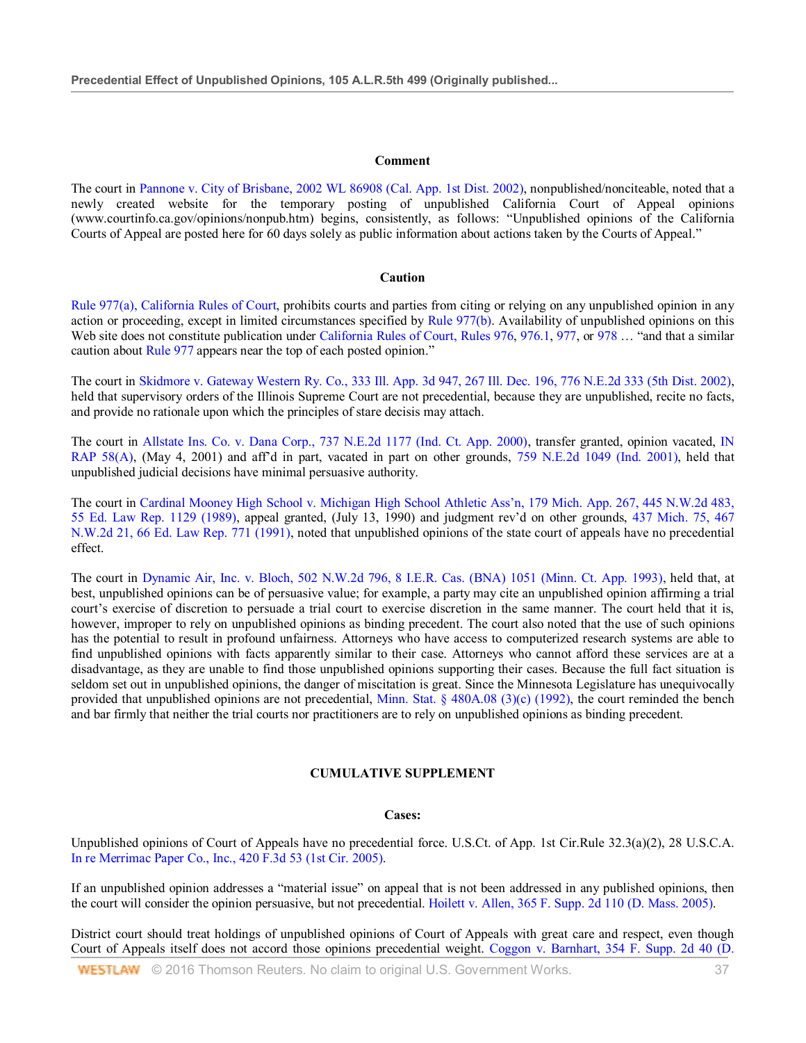#### **Comment**

The court in Pannone v. City of Brisbane, 2002 WL 86908 (Cal. App. 1st Dist. 2002), nonpublished/nonciteable, noted that a newly created website for the temporary posting of unpublished California Court of Appeal opinions [\(www.courtinfo.ca.gov/opinions/nonpub.htm\)](http://www.courtinfo.ca.gov/opinions/nonpub.htm)) begins, consistently, as follows: "Unpublished opinions of the California Courts of Appeal are posted here for 60 days solely as public information about actions taken by the Courts of Appeal."

#### **Caution**

Rule 977(a), California Rules of Court, prohibits courts and parties from citing or relying on any unpublished opinion in any action or proceeding, except in limited circumstances specified by Rule 977(b). Availability of unpublished opinions on this Web site does not constitute publication under California Rules of Court, Rules 976, 976.1, 977, or 978 ... "and that a similar caution about Rule 977 appears near the top of each posted opinion."

The court in Skidmore v. Gateway Western Ry. Co., 333 Ill. App. 3d 947, 267 Ill. Dec. 196, 776 N.E.2d 333 (5th Dist. 2002), held that supervisory orders of the Illinois Supreme Court are not precedential, because they are unpublished, recite no facts, and provide no rationale upon which the principles of stare decisis may attach.

The court in Allstate Ins. Co. v. Dana Corp., 737 N.E.2d 1177 (Ind. Ct. App. 2000), transfer granted, opinion vacated, IN RAP 58(A), (May 4, 2001) and aff'd in part, vacated in part on other grounds, 759 N.E.2d 1049 (Ind. 2001), held that unpublished judicial decisions have minimal persuasive authority.

The court in Cardinal Mooney High School v. Michigan High School Athletic Ass'n, 179 Mich. App. 267, 445 N.W.2d 483, 55 Ed. Law Rep. 1129 (1989), appeal granted, (July 13, 1990) and judgment rev'd on other grounds, 437 Mich. 75, 467 N.W.2d 21, 66 Ed. Law Rep. 771 (1991), noted that unpublished opinions of the state court of appeals have no precedential effect.

The court in Dynamic Air, Inc. v. Bloch, 502 N.W.2d 796, 8 I.E.R. Cas. (BNA) 1051 (Minn. Ct. App. 1993), held that, at best, unpublished opinions can be of persuasive value; for example, a party may cite an unpublished opinion affirming a trial court's exercise of discretion to persuade a trial court to exercise discretion in the same manner. The court held that it is, however, improper to rely on unpublished opinions as binding precedent. The court also noted that the use of such opinions has the potential to result in profound unfairness. Attorneys who have access to computerized research systems are able to find unpublished opinions with facts apparently similar to their case. Attorneys who cannot afford these services are at a disadvantage, as they are unable to find those unpublished opinions supporting their cases. Because the full fact situation is seldom set out in unpublished opinions, the danger of miscitation is great. Since the Minnesota Legislature has unequivocally provided that unpublished opinions are not precedential, Minn. Stat.  $\S$  480A.08 (3)(c) (1992), the court reminded the bench and bar firmly that neither the trial courts nor practitioners are to rely on unpublished opinions as binding precedent.

#### **CUMULATIVE SUPPLEMENT**

#### **Cases:**

Unpublished opinions of Court of Appeals have no precedential force. U.S.Ct. of App. 1st Cir.Rule 32.3(a)(2), 28 U.S.C.A. In re Merrimac Paper Co., Inc., 420 F.3d 53 (1st Cir. 2005).

If an unpublished opinion addresses a "material issue" on appeal that is not been addressed in any published opinions, then the court will consider the opinion persuasive, but not precedential. Hoilett v. Allen, 365 F. Supp. 2d 110 (D. Mass. 2005).

District court should treat holdings of unpublished opinions of Court of Appeals with great care and respect, even though Court of Appeals itself does not accord those opinions precedential weight. Coggon v. Barnhart, 354 F. Supp. 2d 40 (D.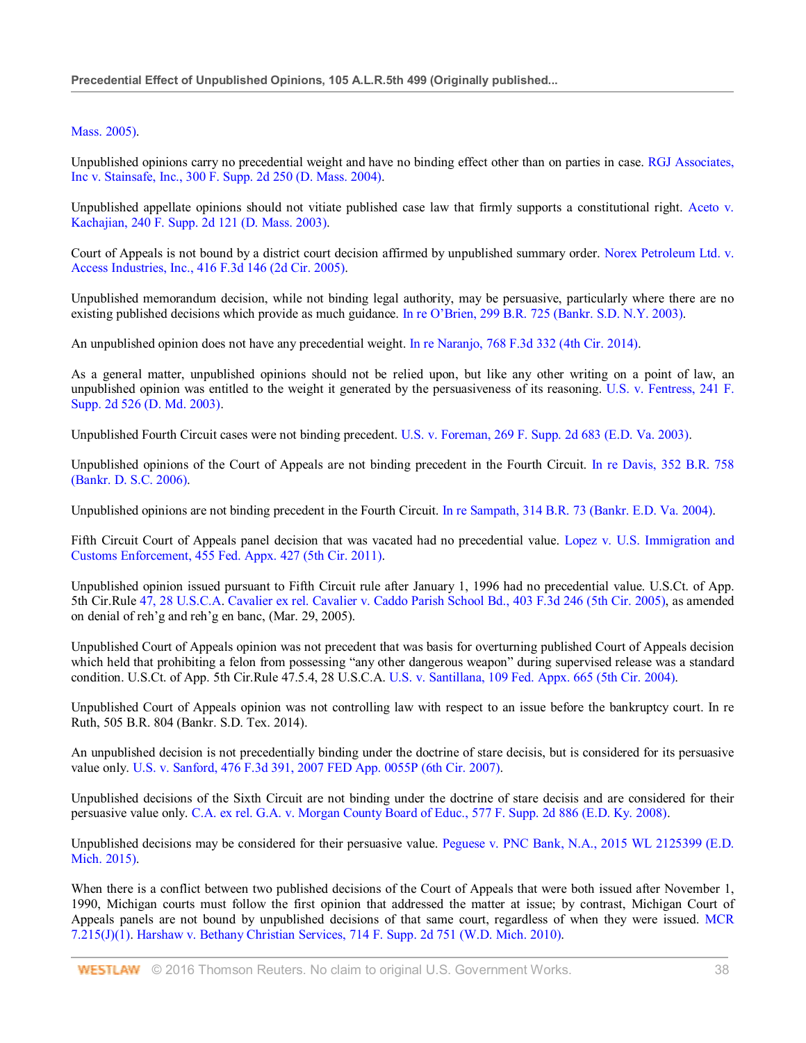## Mass. 2005).

Unpublished opinions carry no precedential weight and have no binding effect other than on parties in case. RGJ Associates, Inc v. Stainsafe, Inc., 300 F. Supp. 2d 250 (D. Mass. 2004).

Unpublished appellate opinions should not vitiate published case law that firmly supports a constitutional right. Aceto v. Kachajian, 240 F. Supp. 2d 121 (D. Mass. 2003).

Court of Appeals is not bound by a district court decision affirmed by unpublished summary order. Norex Petroleum Ltd. v. Access Industries, Inc., 416 F.3d 146 (2d Cir. 2005).

Unpublished memorandum decision, while not binding legal authority, may be persuasive, particularly where there are no existing published decisions which provide as much guidance. In re O'Brien, 299 B.R. 725 (Bankr. S.D. N.Y. 2003).

An unpublished opinion does not have any precedential weight. In re Naranjo, 768 F.3d 332 (4th Cir. 2014).

As a general matter, unpublished opinions should not be relied upon, but like any other writing on a point of law, an unpublished opinion was entitled to the weight it generated by the persuasiveness of its reasoning. U.S. v. Fentress, 241 F. Supp. 2d 526 (D. Md. 2003).

Unpublished Fourth Circuit cases were not binding precedent. U.S. v. Foreman, 269 F. Supp. 2d 683 (E.D. Va. 2003).

Unpublished opinions of the Court of Appeals are not binding precedent in the Fourth Circuit. In re Davis, 352 B.R. 758 (Bankr. D. S.C. 2006).

Unpublished opinions are not binding precedent in the Fourth Circuit. In re Sampath, 314 B.R. 73 (Bankr. E.D. Va. 2004).

Fifth Circuit Court of Appeals panel decision that was vacated had no precedential value. Lopez v. U.S. Immigration and Customs Enforcement, 455 Fed. Appx. 427 (5th Cir. 2011).

Unpublished opinion issued pursuant to Fifth Circuit rule after January 1, 1996 had no precedential value. U.S.Ct. of App. 5th Cir.Rule 47, 28 U.S.C.A. Cavalier ex rel. Cavalier v. Caddo Parish School Bd., 403 F.3d 246 (5th Cir. 2005), as amended on denial of reh'g and reh'g en banc, (Mar. 29, 2005).

Unpublished Court of Appeals opinion was not precedent that was basis for overturning published Court of Appeals decision which held that prohibiting a felon from possessing "any other dangerous weapon" during supervised release was a standard condition. U.S.Ct. of App. 5th Cir.Rule 47.5.4, 28 U.S.C.A. U.S. v. Santillana, 109 Fed. Appx. 665 (5th Cir. 2004).

Unpublished Court of Appeals opinion was not controlling law with respect to an issue before the bankruptcy court. In re Ruth, 505 B.R. 804 (Bankr. S.D. Tex. 2014).

An unpublished decision is not precedentially binding under the doctrine of stare decisis, but is considered for its persuasive value only. U.S. v. Sanford, 476 F.3d 391, 2007 FED App. 0055P (6th Cir. 2007).

Unpublished decisions of the Sixth Circuit are not binding under the doctrine of stare decisis and are considered for their persuasive value only. C.A. ex rel. G.A. v. Morgan County Board of Educ., 577 F. Supp. 2d 886 (E.D. Ky. 2008).

Unpublished decisions may be considered for their persuasive value. Peguese v. PNC Bank, N.A., 2015 WL 2125399 (E.D. Mich. 2015).

When there is a conflict between two published decisions of the Court of Appeals that were both issued after November 1, 1990, Michigan courts must follow the first opinion that addressed the matter at issue; by contrast, Michigan Court of Appeals panels are not bound by unpublished decisions of that same court, regardless of when they were issued. MCR 7.215(J)(1). Harshaw v. Bethany Christian Services, 714 F. Supp. 2d 751 (W.D. Mich. 2010).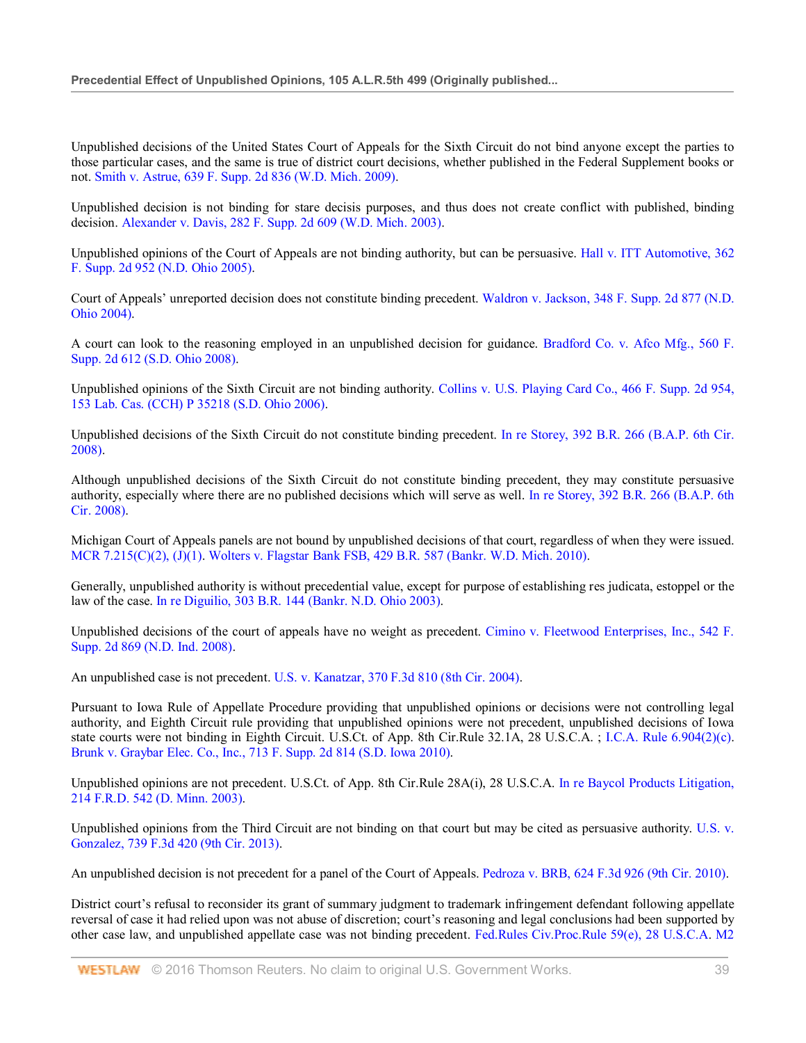Unpublished decisions of the United States Court of Appeals for the Sixth Circuit do not bind anyone except the parties to those particular cases, and the same is true of district court decisions, whether published in the Federal Supplement books or not. Smith v. Astrue, 639 F. Supp. 2d 836 (W.D. Mich. 2009).

Unpublished decision is not binding for stare decisis purposes, and thus does not create conflict with published, binding decision. Alexander v. Davis, 282 F. Supp. 2d 609 (W.D. Mich. 2003).

Unpublished opinions of the Court of Appeals are not binding authority, but can be persuasive. Hall v. ITT Automotive, 362 F. Supp. 2d 952 (N.D. Ohio 2005).

Court of Appeals' unreported decision does not constitute binding precedent. Waldron v. Jackson, 348 F. Supp. 2d 877 (N.D. Ohio 2004).

A court can look to the reasoning employed in an unpublished decision for guidance. Bradford Co. v. Afco Mfg., 560 F. Supp. 2d 612 (S.D. Ohio 2008).

Unpublished opinions of the Sixth Circuit are not binding authority. Collins v. U.S. Playing Card Co., 466 F. Supp. 2d 954, 153 Lab. Cas. (CCH) P 35218 (S.D. Ohio 2006).

Unpublished decisions of the Sixth Circuit do not constitute binding precedent. In re Storey, 392 B.R. 266 (B.A.P. 6th Cir. 2008).

Although unpublished decisions of the Sixth Circuit do not constitute binding precedent, they may constitute persuasive authority, especially where there are no published decisions which will serve as well. In re Storey, 392 B.R. 266 (B.A.P. 6th Cir. 2008).

Michigan Court of Appeals panels are not bound by unpublished decisions of that court, regardless of when they were issued. MCR 7.215(C)(2), (J)(1). Wolters v. Flagstar Bank FSB, 429 B.R. 587 (Bankr. W.D. Mich. 2010).

Generally, unpublished authority is without precedential value, except for purpose of establishing res judicata, estoppel or the law of the case. In re Diguilio, 303 B.R. 144 (Bankr. N.D. Ohio 2003).

Unpublished decisions of the court of appeals have no weight as precedent. Cimino v. Fleetwood Enterprises, Inc., 542 F. Supp. 2d 869 (N.D. Ind. 2008).

An unpublished case is not precedent. U.S. v. Kanatzar, 370 F.3d 810 (8th Cir. 2004).

Pursuant to Iowa Rule of Appellate Procedure providing that unpublished opinions or decisions were not controlling legal authority, and Eighth Circuit rule providing that unpublished opinions were not precedent, unpublished decisions of Iowa state courts were not binding in Eighth Circuit. U.S.Ct. of App. 8th Cir.Rule 32.1A, 28 U.S.C.A. ; I.C.A. Rule 6.904(2)(c). Brunk v. Graybar Elec. Co., Inc., 713 F. Supp. 2d 814 (S.D. Iowa 2010).

Unpublished opinions are not precedent. U.S.Ct. of App. 8th Cir.Rule 28A(i), 28 U.S.C.A. In re Baycol Products Litigation, 214 F.R.D. 542 (D. Minn. 2003).

Unpublished opinions from the Third Circuit are not binding on that court but may be cited as persuasive authority. U.S. v. Gonzalez, 739 F.3d 420 (9th Cir. 2013).

An unpublished decision is not precedent for a panel of the Court of Appeals. Pedroza v. BRB, 624 F.3d 926 (9th Cir. 2010).

District court's refusal to reconsider its grant of summary judgment to trademark infringement defendant following appellate reversal of case it had relied upon was not abuse of discretion; court's reasoning and legal conclusions had been supported by other case law, and unpublished appellate case was not binding precedent. Fed.Rules Civ.Proc.Rule 59(e), 28 U.S.C.A. M2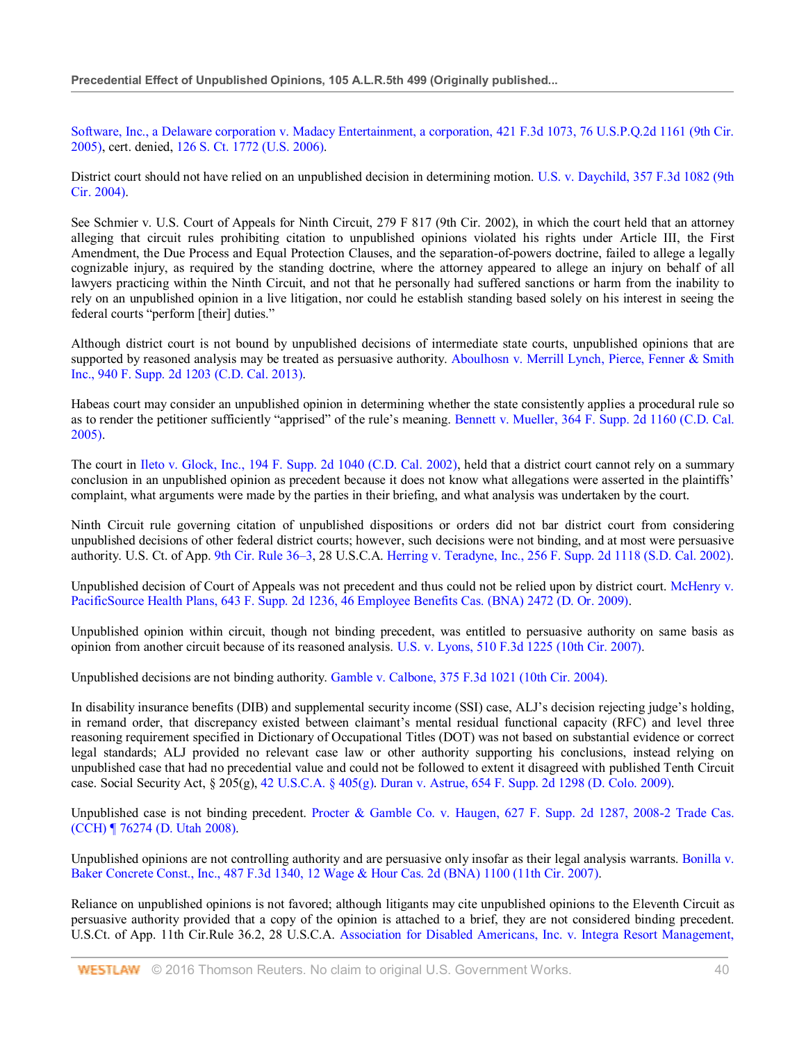Software, Inc., a Delaware corporation v. Madacy Entertainment, a corporation, 421 F.3d 1073, 76 U.S.P.Q.2d 1161 (9th Cir. 2005), cert. denied, 126 S. Ct. 1772 (U.S. 2006).

District court should not have relied on an unpublished decision in determining motion. U.S. v. Daychild, 357 F.3d 1082 (9th Cir. 2004).

See Schmier v. U.S. Court of Appeals for Ninth Circuit, 279 F 817 (9th Cir. 2002), in which the court held that an attorney alleging that circuit rules prohibiting citation to unpublished opinions violated his rights under Article III, the First Amendment, the Due Process and Equal Protection Clauses, and the separation-of-powers doctrine, failed to allege a legally cognizable injury, as required by the standing doctrine, where the attorney appeared to allege an injury on behalf of all lawyers practicing within the Ninth Circuit, and not that he personally had suffered sanctions or harm from the inability to rely on an unpublished opinion in a live litigation, nor could he establish standing based solely on his interest in seeing the federal courts "perform [their] duties."

Although district court is not bound by unpublished decisions of intermediate state courts, unpublished opinions that are supported by reasoned analysis may be treated as persuasive authority. Aboulhosn v. Merrill Lynch, Pierce, Fenner & Smith Inc., 940 F. Supp. 2d 1203 (C.D. Cal. 2013).

Habeas court may consider an unpublished opinion in determining whether the state consistently applies a procedural rule so as to render the petitioner sufficiently "apprised" of the rule's meaning. Bennett v. Mueller, 364 F. Supp. 2d 1160 (C.D. Cal. 2005).

The court in Ileto v. Glock, Inc., 194 F. Supp. 2d 1040 (C.D. Cal. 2002), held that a district court cannot rely on a summary conclusion in an unpublished opinion as precedent because it does not know what allegations were asserted in the plaintiffs' complaint, what arguments were made by the parties in their briefing, and what analysis was undertaken by the court.

Ninth Circuit rule governing citation of unpublished dispositions or orders did not bar district court from considering unpublished decisions of other federal district courts; however, such decisions were not binding, and at most were persuasive authority. U.S. Ct. of App. 9th Cir. Rule 36–3, 28 U.S.C.A. Herring v. Teradyne, Inc., 256 F. Supp. 2d 1118 (S.D. Cal. 2002).

Unpublished decision of Court of Appeals was not precedent and thus could not be relied upon by district court. McHenry v. PacificSource Health Plans, 643 F. Supp. 2d 1236, 46 Employee Benefits Cas. (BNA) 2472 (D. Or. 2009).

Unpublished opinion within circuit, though not binding precedent, was entitled to persuasive authority on same basis as opinion from another circuit because of its reasoned analysis. U.S. v. Lyons, 510 F.3d 1225 (10th Cir. 2007).

Unpublished decisions are not binding authority. Gamble v. Calbone, 375 F.3d 1021 (10th Cir. 2004).

In disability insurance benefits (DIB) and supplemental security income (SSI) case, ALJ's decision rejecting judge's holding, in remand order, that discrepancy existed between claimant's mental residual functional capacity (RFC) and level three reasoning requirement specified in Dictionary of Occupational Titles (DOT) was not based on substantial evidence or correct legal standards; ALJ provided no relevant case law or other authority supporting his conclusions, instead relying on unpublished case that had no precedential value and could not be followed to extent it disagreed with published Tenth Circuit case. Social Security Act, § 205(g), 42 U.S.C.A. § 405(g). Duran v. Astrue, 654 F. Supp. 2d 1298 (D. Colo. 2009).

Unpublished case is not binding precedent. Procter & Gamble Co. v. Haugen, 627 F. Supp. 2d 1287, 2008-2 Trade Cas. (CCH) ¶ 76274 (D. Utah 2008).

Unpublished opinions are not controlling authority and are persuasive only insofar as their legal analysis warrants. Bonilla y. Baker Concrete Const., Inc., 487 F.3d 1340, 12 Wage & Hour Cas. 2d (BNA) 1100 (11th Cir. 2007).

Reliance on unpublished opinions is not favored; although litigants may cite unpublished opinions to the Eleventh Circuit as persuasive authority provided that a copy of the opinion is attached to a brief, they are not considered binding precedent. U.S.Ct. of App. 11th Cir.Rule 36.2, 28 U.S.C.A. Association for Disabled Americans, Inc. v. Integra Resort Management,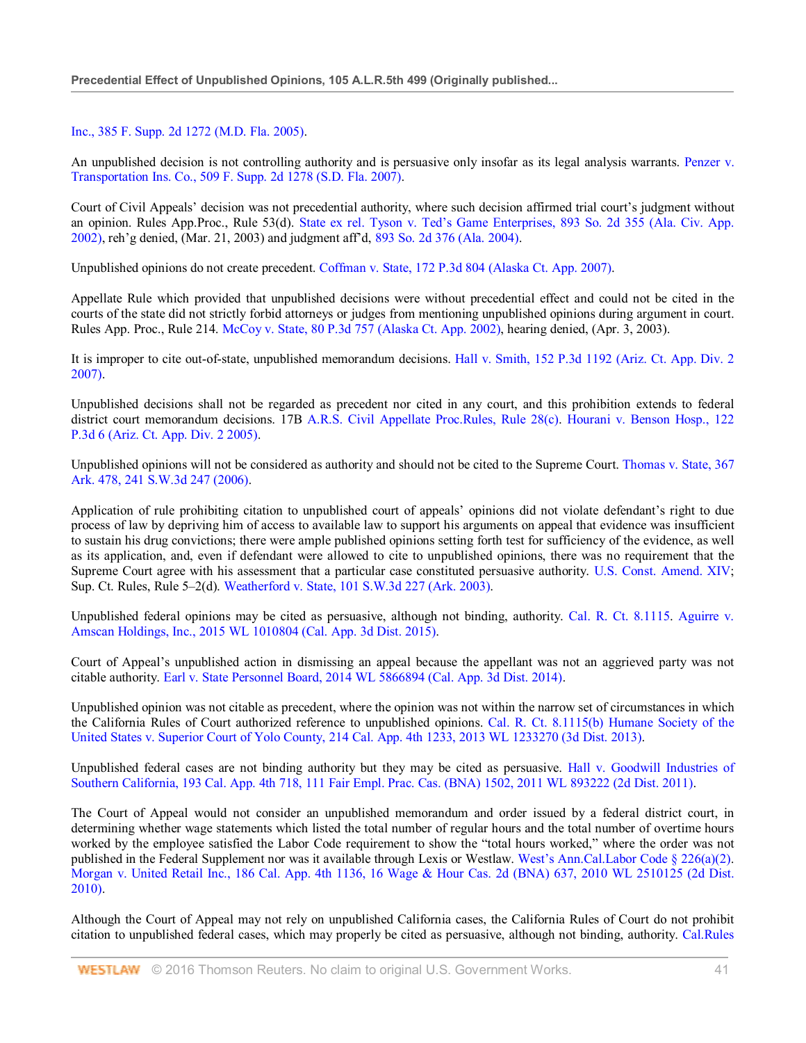## Inc., 385 F. Supp. 2d 1272 (M.D. Fla. 2005).

An unpublished decision is not controlling authority and is persuasive only insofar as its legal analysis warrants. Penzer v. Transportation Ins. Co., 509 F. Supp. 2d 1278 (S.D. Fla. 2007).

Court of Civil Appeals' decision was not precedential authority, where such decision affirmed trial court's judgment without an opinion. Rules App.Proc., Rule 53(d). State ex rel. Tyson v. Ted's Game Enterprises, 893 So. 2d 355 (Ala. Civ. App. 2002), reh'g denied, (Mar. 21, 2003) and judgment aff'd, 893 So. 2d 376 (Ala. 2004).

Unpublished opinions do not create precedent. Coffman v. State, 172 P.3d 804 (Alaska Ct. App. 2007).

Appellate Rule which provided that unpublished decisions were without precedential effect and could not be cited in the courts of the state did not strictly forbid attorneys or judges from mentioning unpublished opinions during argument in court. Rules App. Proc., Rule 214. McCoy v. State, 80 P.3d 757 (Alaska Ct. App. 2002), hearing denied, (Apr. 3, 2003).

It is improper to cite out-of-state, unpublished memorandum decisions. Hall v. Smith, 152 P.3d 1192 (Ariz. Ct. App. Div. 2 2007).

Unpublished decisions shall not be regarded as precedent nor cited in any court, and this prohibition extends to federal district court memorandum decisions. 17B A.R.S. Civil Appellate Proc.Rules, Rule 28(c). Hourani v. Benson Hosp., 122 P.3d 6 (Ariz. Ct. App. Div. 2 2005).

Unpublished opinions will not be considered as authority and should not be cited to the Supreme Court. Thomas v. State, 367 Ark. 478, 241 S.W.3d 247 (2006).

Application of rule prohibiting citation to unpublished court of appeals' opinions did not violate defendant's right to due process of law by depriving him of access to available law to support his arguments on appeal that evidence was insufficient to sustain his drug convictions; there were ample published opinions setting forth test for sufficiency of the evidence, as well as its application, and, even if defendant were allowed to cite to unpublished opinions, there was no requirement that the Supreme Court agree with his assessment that a particular case constituted persuasive authority. U.S. Const. Amend. XIV; Sup. Ct. Rules, Rule 5–2(d). Weatherford v. State, 101 S.W.3d 227 (Ark. 2003).

Unpublished federal opinions may be cited as persuasive, although not binding, authority. Cal. R. Ct. 8.1115. Aguirre v. Amscan Holdings, Inc., 2015 WL 1010804 (Cal. App. 3d Dist. 2015).

Court of Appeal's unpublished action in dismissing an appeal because the appellant was not an aggrieved party was not citable authority. Earl v. State Personnel Board, 2014 WL 5866894 (Cal. App. 3d Dist. 2014).

Unpublished opinion was not citable as precedent, where the opinion was not within the narrow set of circumstances in which the California Rules of Court authorized reference to unpublished opinions. Cal. R. Ct. 8.1115(b) Humane Society of the United States v. Superior Court of Yolo County, 214 Cal. App. 4th 1233, 2013 WL 1233270 (3d Dist. 2013).

Unpublished federal cases are not binding authority but they may be cited as persuasive. Hall v. Goodwill Industries of Southern California, 193 Cal. App. 4th 718, 111 Fair Empl. Prac. Cas. (BNA) 1502, 2011 WL 893222 (2d Dist. 2011).

The Court of Appeal would not consider an unpublished memorandum and order issued by a federal district court, in determining whether wage statements which listed the total number of regular hours and the total number of overtime hours worked by the employee satisfied the Labor Code requirement to show the "total hours worked," where the order was not published in the Federal Supplement nor was it available through Lexis or Westlaw. West's Ann.Cal.Labor Code § 226(a)(2). Morgan v. United Retail Inc., 186 Cal. App. 4th 1136, 16 Wage & Hour Cas. 2d (BNA) 637, 2010 WL 2510125 (2d Dist. 2010).

Although the Court of Appeal may not rely on unpublished California cases, the California Rules of Court do not prohibit citation to unpublished federal cases, which may properly be cited as persuasive, although not binding, authority. Cal.Rules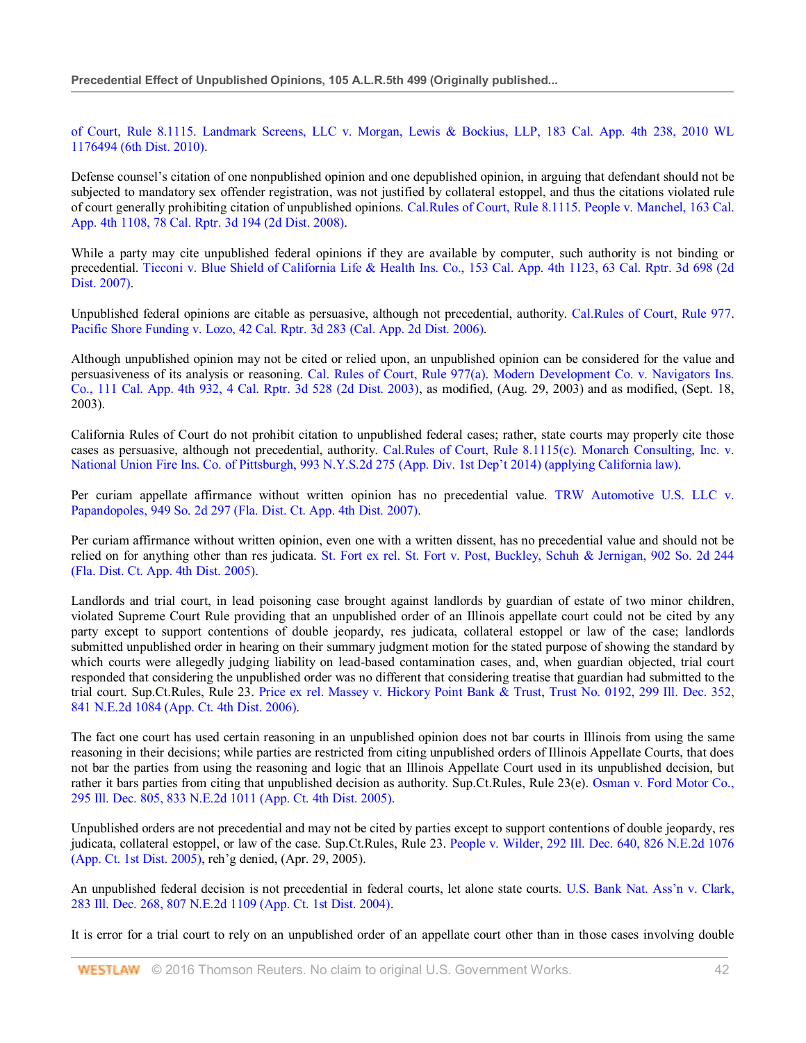of Court, Rule 8.1115. Landmark Screens, LLC v. Morgan, Lewis & Bockius, LLP, 183 Cal. App. 4th 238, 2010 WL 1176494 (6th Dist. 2010).

Defense counsel's citation of one nonpublished opinion and one depublished opinion, in arguing that defendant should not be subjected to mandatory sex offender registration, was not justified by collateral estoppel, and thus the citations violated rule of court generally prohibiting citation of unpublished opinions. Cal.Rules of Court, Rule 8.1115. People v. Manchel, 163 Cal. App. 4th 1108, 78 Cal. Rptr. 3d 194 (2d Dist. 2008).

While a party may cite unpublished federal opinions if they are available by computer, such authority is not binding or precedential. Ticconi v. Blue Shield of California Life & Health Ins. Co., 153 Cal. App. 4th 1123, 63 Cal. Rptr. 3d 698 (2d Dist. 2007).

Unpublished federal opinions are citable as persuasive, although not precedential, authority. Cal.Rules of Court, Rule 977. Pacific Shore Funding v. Lozo, 42 Cal. Rptr. 3d 283 (Cal. App. 2d Dist. 2006).

Although unpublished opinion may not be cited or relied upon, an unpublished opinion can be considered for the value and persuasiveness of its analysis or reasoning. Cal. Rules of Court, Rule 977(a). Modern Development Co. v. Navigators Ins. Co., 111 Cal. App. 4th 932, 4 Cal. Rptr. 3d 528 (2d Dist. 2003), as modified, (Aug. 29, 2003) and as modified, (Sept. 18, 2003).

California Rules of Court do not prohibit citation to unpublished federal cases; rather, state courts may properly cite those cases as persuasive, although not precedential, authority. Cal.Rules of Court, Rule 8.1115(c). Monarch Consulting, Inc. v. National Union Fire Ins. Co. of Pittsburgh, 993 N.Y.S.2d 275 (App. Div. 1st Dep't 2014) (applying California law).

Per curiam appellate affirmance without written opinion has no precedential value. TRW Automotive U.S. LLC v. Papandopoles, 949 So. 2d 297 (Fla. Dist. Ct. App. 4th Dist. 2007).

Per curiam affirmance without written opinion, even one with a written dissent, has no precedential value and should not be relied on for anything other than res judicata. St. Fort ex rel. St. Fort v. Post, Buckley, Schuh & Jernigan, 902 So. 2d 244 (Fla. Dist. Ct. App. 4th Dist. 2005).

Landlords and trial court, in lead poisoning case brought against landlords by guardian of estate of two minor children, violated Supreme Court Rule providing that an unpublished order of an Illinois appellate court could not be cited by any party except to support contentions of double jeopardy, res judicata, collateral estoppel or law of the case; landlords submitted unpublished order in hearing on their summary judgment motion for the stated purpose of showing the standard by which courts were allegedly judging liability on lead-based contamination cases, and, when guardian objected, trial court responded that considering the unpublished order was no different that considering treatise that guardian had submitted to the trial court. Sup.Ct.Rules, Rule 23. Price ex rel. Massey v. Hickory Point Bank & Trust, Trust No. 0192, 299 Ill. Dec. 352, 841 N.E.2d 1084 (App. Ct. 4th Dist. 2006).

The fact one court has used certain reasoning in an unpublished opinion does not bar courts in Illinois from using the same reasoning in their decisions; while parties are restricted from citing unpublished orders of Illinois Appellate Courts, that does not bar the parties from using the reasoning and logic that an Illinois Appellate Court used in its unpublished decision, but rather it bars parties from citing that unpublished decision as authority. Sup.Ct.Rules, Rule 23(e). Osman v. Ford Motor Co., 295 Ill. Dec. 805, 833 N.E.2d 1011 (App. Ct. 4th Dist. 2005).

Unpublished orders are not precedential and may not be cited by parties except to support contentions of double jeopardy, res judicata, collateral estoppel, or law of the case. Sup.Ct.Rules, Rule 23. People v. Wilder, 292 Ill. Dec. 640, 826 N.E.2d 1076 (App. Ct. 1st Dist. 2005), reh'g denied, (Apr. 29, 2005).

An unpublished federal decision is not precedential in federal courts, let alone state courts. U.S. Bank Nat. Ass'n v. Clark, 283 Ill. Dec. 268, 807 N.E.2d 1109 (App. Ct. 1st Dist. 2004).

It is error for a trial court to rely on an unpublished order of an appellate court other than in those cases involving double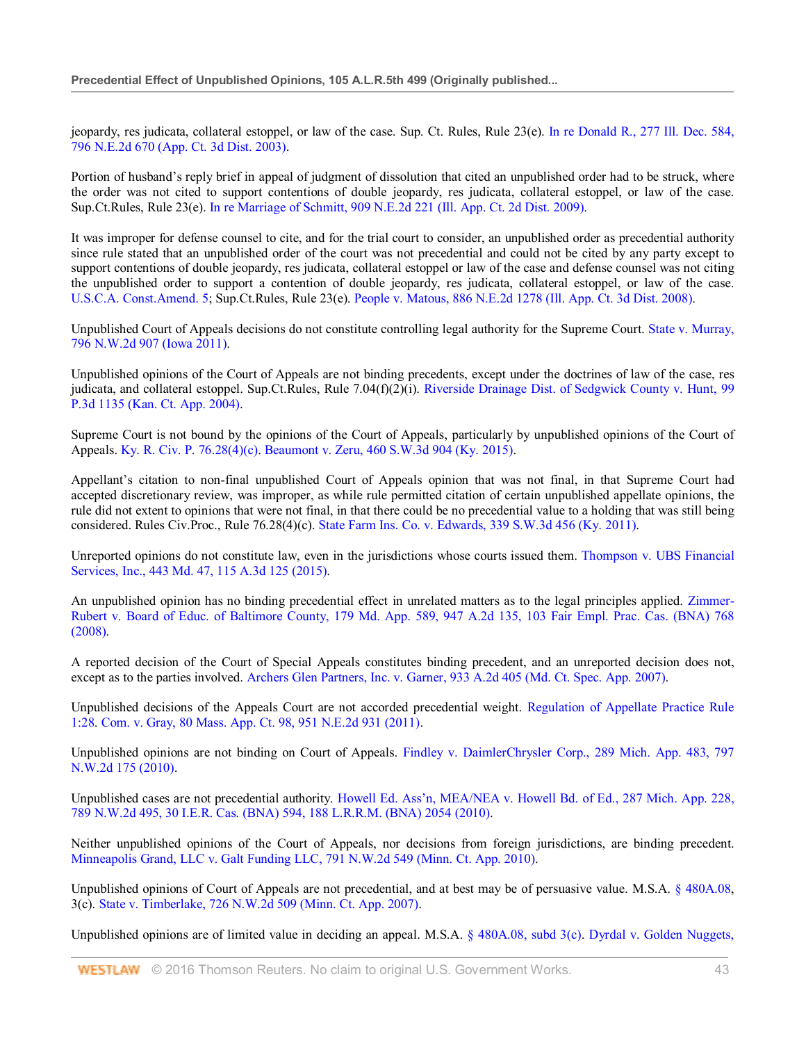jeopardy, res judicata, collateral estoppel, or law of the case. Sup. Ct. Rules, Rule 23(e). In re Donald R., 277 Ill. Dec. 584, 796 N.E.2d 670 (App. Ct. 3d Dist. 2003).

Portion of husband's reply brief in appeal of judgment of dissolution that cited an unpublished order had to be struck, where the order was not cited to support contentions of double jeopardy, res judicata, collateral estoppel, or law of the case. Sup.Ct.Rules, Rule 23(e). In re Marriage of Schmitt, 909 N.E.2d 221 (Ill. App. Ct. 2d Dist. 2009).

It was improper for defense counsel to cite, and for the trial court to consider, an unpublished order as precedential authority since rule stated that an unpublished order of the court was not precedential and could not be cited by any party except to support contentions of double jeopardy, res judicata, collateral estoppel or law of the case and defense counsel was not citing the unpublished order to support a contention of double jeopardy, res judicata, collateral estoppel, or law of the case. U.S.C.A. Const.Amend. 5; Sup.Ct.Rules, Rule 23(e). People v. Matous, 886 N.E.2d 1278 (Ill. App. Ct. 3d Dist. 2008).

Unpublished Court of Appeals decisions do not constitute controlling legal authority for the Supreme Court. State v. Murray, 796 N.W.2d 907 (Iowa 2011).

Unpublished opinions of the Court of Appeals are not binding precedents, except under the doctrines of law of the case, res judicata, and collateral estoppel. Sup.Ct.Rules, Rule 7.04(f)(2)(i). Riverside Drainage Dist. of Sedgwick County v. Hunt, 99 P.3d 1135 (Kan. Ct. App. 2004).

Supreme Court is not bound by the opinions of the Court of Appeals, particularly by unpublished opinions of the Court of Appeals. Ky. R. Civ. P. 76.28(4)(c). Beaumont v. Zeru, 460 S.W.3d 904 (Ky. 2015).

Appellant's citation to non-final unpublished Court of Appeals opinion that was not final, in that Supreme Court had accepted discretionary review, was improper, as while rule permitted citation of certain unpublished appellate opinions, the rule did not extent to opinions that were not final, in that there could be no precedential value to a holding that was still being considered. Rules Civ.Proc., Rule 76.28(4)(c). State Farm Ins. Co. v. Edwards, 339 S.W.3d 456 (Ky. 2011).

Unreported opinions do not constitute law, even in the jurisdictions whose courts issued them. Thompson v. UBS Financial Services, Inc., 443 Md. 47, 115 A.3d 125 (2015).

An unpublished opinion has no binding precedential effect in unrelated matters as to the legal principles applied. Zimmer-Rubert v. Board of Educ. of Baltimore County, 179 Md. App. 589, 947 A.2d 135, 103 Fair Empl. Prac. Cas. (BNA) 768 (2008).

A reported decision of the Court of Special Appeals constitutes binding precedent, and an unreported decision does not, except as to the parties involved. Archers Glen Partners, Inc. v. Garner, 933 A.2d 405 (Md. Ct. Spec. App. 2007).

Unpublished decisions of the Appeals Court are not accorded precedential weight. Regulation of Appellate Practice Rule 1:28. Com. v. Gray, 80 Mass. App. Ct. 98, 951 N.E.2d 931 (2011).

Unpublished opinions are not binding on Court of Appeals. Findley v. DaimlerChrysler Corp., 289 Mich. App. 483, 797 N.W.2d 175 (2010).

Unpublished cases are not precedential authority. Howell Ed. Ass'n, MEA/NEA v. Howell Bd. of Ed., 287 Mich. App. 228, 789 N.W.2d 495, 30 I.E.R. Cas. (BNA) 594, 188 L.R.R.M. (BNA) 2054 (2010).

Neither unpublished opinions of the Court of Appeals, nor decisions from foreign jurisdictions, are binding precedent. Minneapolis Grand, LLC v. Galt Funding LLC, 791 N.W.2d 549 (Minn. Ct. App. 2010).

Unpublished opinions of Court of Appeals are not precedential, and at best may be of persuasive value. M.S.A. § 480A.08, 3(c). State v. Timberlake, 726 N.W.2d 509 (Minn. Ct. App. 2007).

Unpublished opinions are of limited value in deciding an appeal. M.S.A. § 480A.08, subd 3(c). Dyrdal v. Golden Nuggets,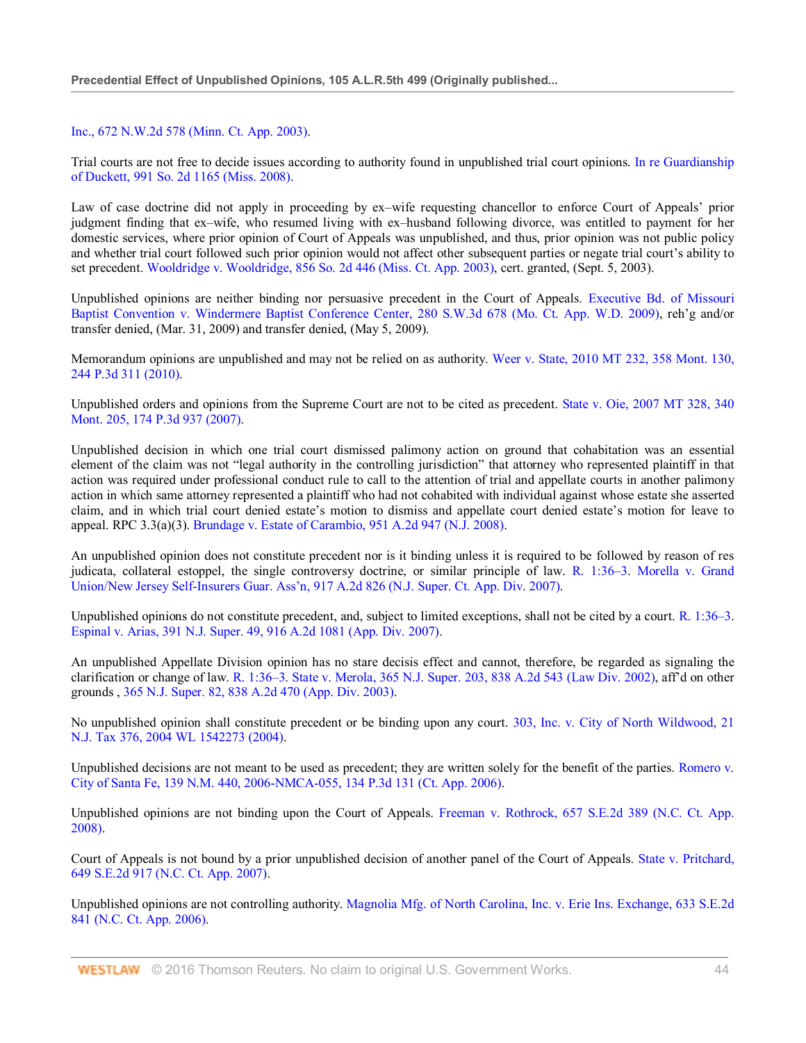#### Inc., 672 N.W.2d 578 (Minn. Ct. App. 2003).

Trial courts are not free to decide issues according to authority found in unpublished trial court opinions. In re Guardianship of Duckett, 991 So. 2d 1165 (Miss. 2008).

Law of case doctrine did not apply in proceeding by ex–wife requesting chancellor to enforce Court of Appeals' prior judgment finding that ex–wife, who resumed living with ex–husband following divorce, was entitled to payment for her domestic services, where prior opinion of Court of Appeals was unpublished, and thus, prior opinion was not public policy and whether trial court followed such prior opinion would not affect other subsequent parties or negate trial court's ability to set precedent. Wooldridge v. Wooldridge, 856 So. 2d 446 (Miss. Ct. App. 2003), cert. granted, (Sept. 5, 2003).

Unpublished opinions are neither binding nor persuasive precedent in the Court of Appeals. Executive Bd. of Missouri Baptist Convention v. Windermere Baptist Conference Center, 280 S.W.3d 678 (Mo. Ct. App. W.D. 2009), reh'g and/or transfer denied, (Mar. 31, 2009) and transfer denied, (May 5, 2009).

Memorandum opinions are unpublished and may not be relied on as authority. Weer v. State, 2010 MT 232, 358 Mont. 130, 244 P.3d 311 (2010).

Unpublished orders and opinions from the Supreme Court are not to be cited as precedent. State v. Oie, 2007 MT 328, 340 Mont. 205, 174 P.3d 937 (2007).

Unpublished decision in which one trial court dismissed palimony action on ground that cohabitation was an essential element of the claim was not "legal authority in the controlling jurisdiction" that attorney who represented plaintiff in that action was required under professional conduct rule to call to the attention of trial and appellate courts in another palimony action in which same attorney represented a plaintiff who had not cohabited with individual against whose estate she asserted claim, and in which trial court denied estate's motion to dismiss and appellate court denied estate's motion for leave to appeal. RPC 3.3(a)(3). Brundage v. Estate of Carambio, 951 A.2d 947 (N.J. 2008).

An unpublished opinion does not constitute precedent nor is it binding unless it is required to be followed by reason of res judicata, collateral estoppel, the single controversy doctrine, or similar principle of law. R. 1:36–3. Morella v. Grand Union/New Jersey Self-Insurers Guar. Ass'n, 917 A.2d 826 (N.J. Super. Ct. App. Div. 2007).

Unpublished opinions do not constitute precedent, and, subject to limited exceptions, shall not be cited by a court. R. 1:36–3. Espinal v. Arias, 391 N.J. Super. 49, 916 A.2d 1081 (App. Div. 2007).

An unpublished Appellate Division opinion has no stare decisis effect and cannot, therefore, be regarded as signaling the clarification or change of law. R. 1:36–3. State v. Merola, 365 N.J. Super. 203, 838 A.2d 543 (Law Div. 2002), aff'd on other grounds , 365 N.J. Super. 82, 838 A.2d 470 (App. Div. 2003).

No unpublished opinion shall constitute precedent or be binding upon any court. 303, Inc. v. City of North Wildwood, 21 N.J. Tax 376, 2004 WL 1542273 (2004).

Unpublished decisions are not meant to be used as precedent; they are written solely for the benefit of the parties. Romero v. City of Santa Fe, 139 N.M. 440, 2006-NMCA-055, 134 P.3d 131 (Ct. App. 2006).

Unpublished opinions are not binding upon the Court of Appeals. Freeman v. Rothrock, 657 S.E.2d 389 (N.C. Ct. App. 2008).

Court of Appeals is not bound by a prior unpublished decision of another panel of the Court of Appeals. State v. Pritchard, 649 S.E.2d 917 (N.C. Ct. App. 2007).

Unpublished opinions are not controlling authority. Magnolia Mfg. of North Carolina, Inc. v. Erie Ins. Exchange, 633 S.E.2d 841 (N.C. Ct. App. 2006).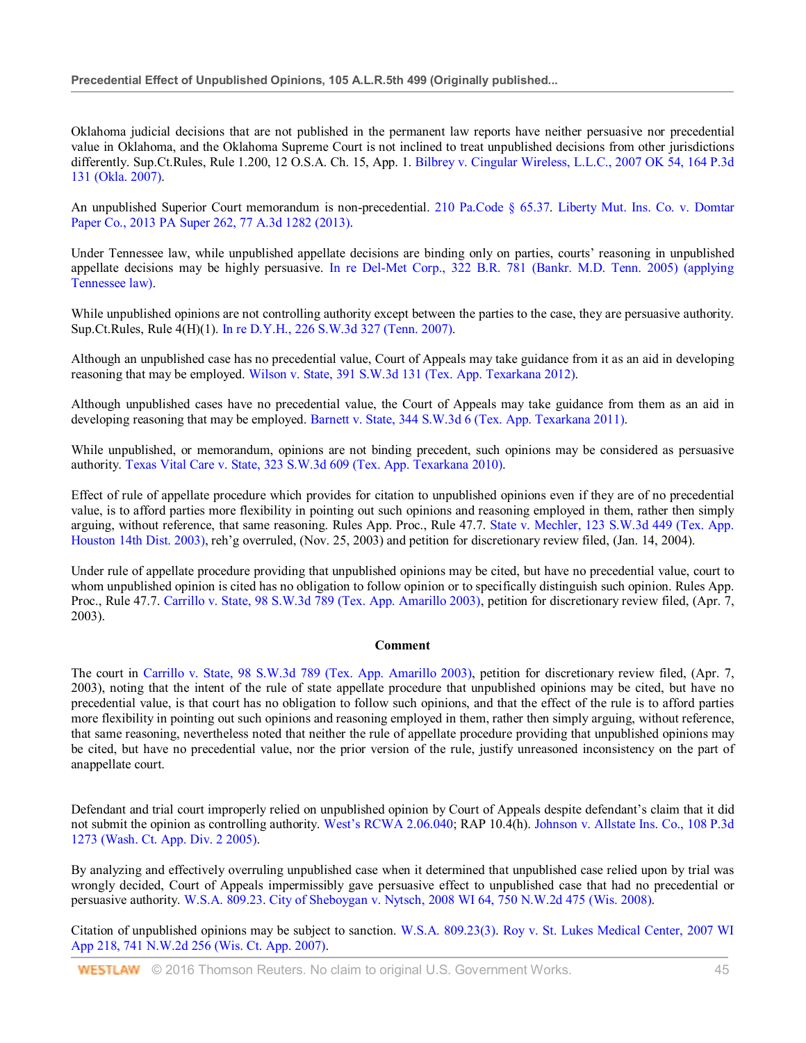Oklahoma judicial decisions that are not published in the permanent law reports have neither persuasive nor precedential value in Oklahoma, and the Oklahoma Supreme Court is not inclined to treat unpublished decisions from other jurisdictions differently. Sup.Ct.Rules, Rule 1.200, 12 O.S.A. Ch. 15, App. 1. Bilbrey v. Cingular Wireless, L.L.C., 2007 OK 54, 164 P.3d 131 (Okla. 2007).

An unpublished Superior Court memorandum is non-precedential. 210 Pa.Code § 65.37. Liberty Mut. Ins. Co. v. Domtar Paper Co., 2013 PA Super 262, 77 A.3d 1282 (2013).

Under Tennessee law, while unpublished appellate decisions are binding only on parties, courts' reasoning in unpublished appellate decisions may be highly persuasive. In re Del-Met Corp., 322 B.R. 781 (Bankr. M.D. Tenn. 2005) (applying Tennessee law).

While unpublished opinions are not controlling authority except between the parties to the case, they are persuasive authority. Sup.Ct.Rules, Rule 4(H)(1). In re D.Y.H., 226 S.W.3d 327 (Tenn. 2007).

Although an unpublished case has no precedential value, Court of Appeals may take guidance from it as an aid in developing reasoning that may be employed. Wilson v. State, 391 S.W.3d 131 (Tex. App. Texarkana 2012).

Although unpublished cases have no precedential value, the Court of Appeals may take guidance from them as an aid in developing reasoning that may be employed. Barnett v. State, 344 S.W.3d 6 (Tex. App. Texarkana 2011).

While unpublished, or memorandum, opinions are not binding precedent, such opinions may be considered as persuasive authority. Texas Vital Care v. State, 323 S.W.3d 609 (Tex. App. Texarkana 2010).

Effect of rule of appellate procedure which provides for citation to unpublished opinions even if they are of no precedential value, is to afford parties more flexibility in pointing out such opinions and reasoning employed in them, rather then simply arguing, without reference, that same reasoning. Rules App. Proc., Rule 47.7. State v. Mechler, 123 S.W.3d 449 (Tex. App. Houston 14th Dist. 2003), reh'g overruled, (Nov. 25, 2003) and petition for discretionary review filed, (Jan. 14, 2004).

Under rule of appellate procedure providing that unpublished opinions may be cited, but have no precedential value, court to whom unpublished opinion is cited has no obligation to follow opinion or to specifically distinguish such opinion. Rules App. Proc., Rule 47.7. Carrillo v. State, 98 S.W.3d 789 (Tex. App. Amarillo 2003), petition for discretionary review filed, (Apr. 7, 2003).

#### **Comment**

The court in Carrillo v. State, 98 S.W.3d 789 (Tex. App. Amarillo 2003), petition for discretionary review filed, (Apr. 7, 2003), noting that the intent of the rule of state appellate procedure that unpublished opinions may be cited, but have no precedential value, is that court has no obligation to follow such opinions, and that the effect of the rule is to afford parties more flexibility in pointing out such opinions and reasoning employed in them, rather then simply arguing, without reference, that same reasoning, nevertheless noted that neither the rule of appellate procedure providing that unpublished opinions may be cited, but have no precedential value, nor the prior version of the rule, justify unreasoned inconsistency on the part of anappellate court.

Defendant and trial court improperly relied on unpublished opinion by Court of Appeals despite defendant's claim that it did not submit the opinion as controlling authority. West's RCWA 2.06.040; RAP 10.4(h). Johnson v. Allstate Ins. Co., 108 P.3d 1273 (Wash. Ct. App. Div. 2 2005).

By analyzing and effectively overruling unpublished case when it determined that unpublished case relied upon by trial was wrongly decided, Court of Appeals impermissibly gave persuasive effect to unpublished case that had no precedential or persuasive authority. W.S.A. 809.23. City of Sheboygan v. Nytsch, 2008 WI 64, 750 N.W.2d 475 (Wis. 2008).

Citation of unpublished opinions may be subject to sanction. W.S.A. 809.23(3). Roy v. St. Lukes Medical Center, 2007 WI App 218, 741 N.W.2d 256 (Wis. Ct. App. 2007).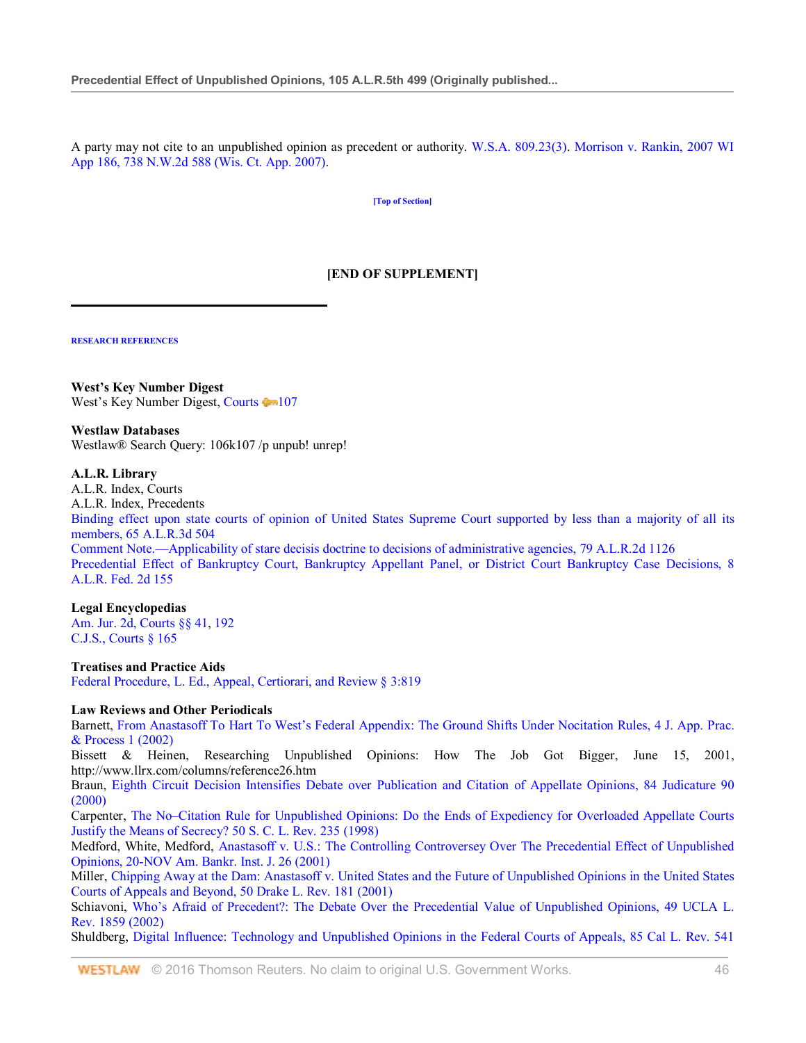A party may not cite to an unpublished opinion as precedent or authority. W.S.A. 809.23(3). Morrison v. Rankin, 2007 WI App 186, 738 N.W.2d 588 (Wis. Ct. App. 2007).

**[Top of Section]**

# **[END OF SUPPLEMENT]**

**RESEARCH REFERENCES**

l

**West's Key Number Digest** West's Key Number Digest, Courts 107

#### **Westlaw Databases**

Westlaw® Search Query: 106k107 /p unpub! unrep!

## **A.L.R. Library**

A.L.R. Index, Courts A.L.R. Index, Precedents Binding effect upon state courts of opinion of United States Supreme Court supported by less than a majority of all its members, 65 A.L.R.3d 504 Comment Note.—Applicability of stare decisis doctrine to decisions of administrative agencies, 79 A.L.R.2d 1126 Precedential Effect of Bankruptcy Court, Bankruptcy Appellant Panel, or District Court Bankruptcy Case Decisions, 8 A.L.R. Fed. 2d 155

## **Legal Encyclopedias**

Am. Jur. 2d, Courts §§ 41, 192 C.J.S., Courts § 165

**Treatises and Practice Aids** Federal Procedure, L. Ed., Appeal, Certiorari, and Review § 3:819

## **Law Reviews and Other Periodicals**

Barnett, From Anastasoff To Hart To West's Federal Appendix: The Ground Shifts Under Nocitation Rules, 4 J. App. Prac. & Process 1 (2002)

Bissett & Heinen, Researching Unpublished Opinions: How The Job Got Bigger, June 15, 2001, <http://www.llrx.com/columns/reference26.htm>

Braun, Eighth Circuit Decision Intensifies Debate over Publication and Citation of Appellate Opinions, 84 Judicature 90 (2000)

Carpenter, The No–Citation Rule for Unpublished Opinions: Do the Ends of Expediency for Overloaded Appellate Courts Justify the Means of Secrecy? 50 S. C. L. Rev. 235 (1998)

Medford, White, Medford, Anastasoff v. U.S.: The Controlling Controversey Over The Precedential Effect of Unpublished Opinions, 20-NOV Am. Bankr. Inst. J. 26 (2001)

Miller, Chipping Away at the Dam: Anastasoff v. United States and the Future of Unpublished Opinions in the United States Courts of Appeals and Beyond, 50 Drake L. Rev. 181 (2001)

Schiavoni, Who's Afraid of Precedent?: The Debate Over the Precedential Value of Unpublished Opinions, 49 UCLA L. Rev. 1859 (2002)

Shuldberg, Digital Influence: Technology and Unpublished Opinions in the Federal Courts of Appeals, 85 Cal L. Rev. 541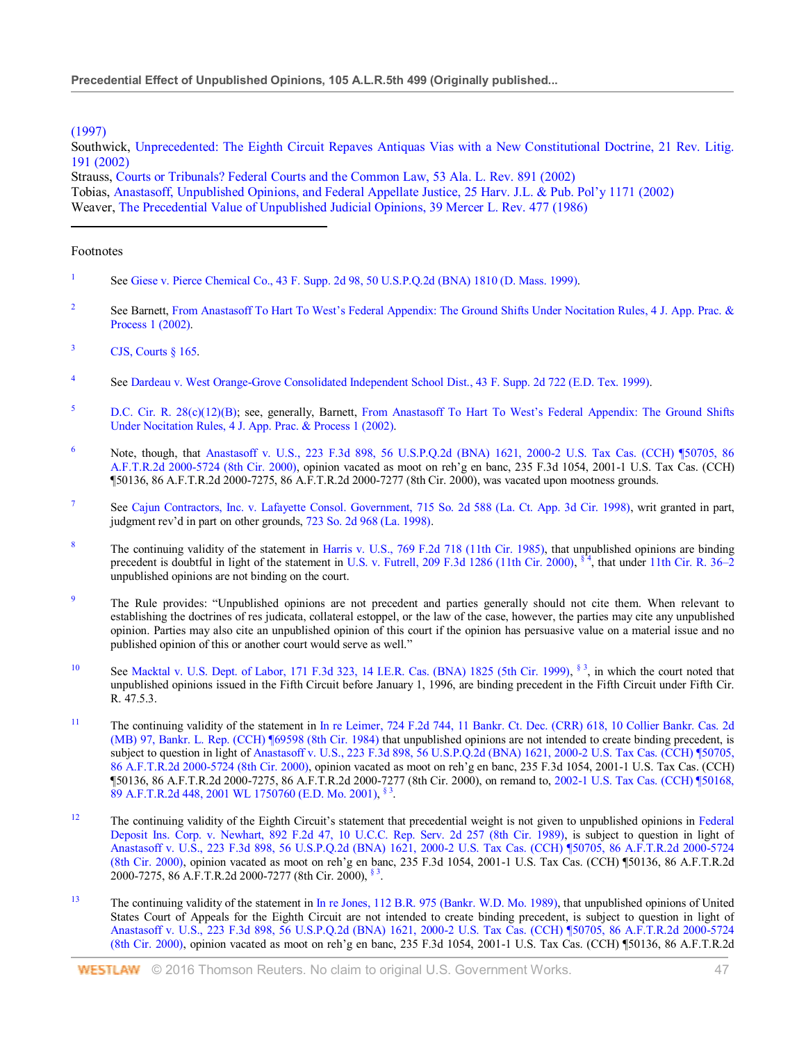## (1997)

Southwick, Unprecedented: The Eighth Circuit Repaves Antiquas Vias with a New Constitutional Doctrine, 21 Rev. Litig. 191 (2002)

Strauss, Courts or Tribunals? Federal Courts and the Common Law, 53 Ala. L. Rev. 891 (2002) Tobias, Anastasoff, Unpublished Opinions, and Federal Appellate Justice, 25 Harv. J.L. & Pub. Pol'y 1171 (2002) Weaver, The Precedential Value of Unpublished Judicial Opinions, 39 Mercer L. Rev. 477 (1986)

#### Footnotes

- 1 See Giese v. Pierce Chemical Co., 43 F. Supp. 2d 98, 50 U.S.P.Q.2d (BNA) 1810 (D. Mass. 1999).
- 2 See Barnett, From Anastasoff To Hart To West's Federal Appendix: The Ground Shifts Under Nocitation Rules, 4 J. App. Prac. & Process 1 (2002).
- $3$  CJS, Courts  $\frac{8}{165}$ .
- 4 See Dardeau v. West Orange-Grove Consolidated Independent School Dist., 43 F. Supp. 2d 722 (E.D. Tex. 1999).
- <sup>5</sup> D.C. Cir. R. 28(c)(12)(B); see, generally, Barnett, From Anastasoff To Hart To West's Federal Appendix: The Ground Shifts Under Nocitation Rules, 4 J. App. Prac. & Process 1 (2002).
- <sup>6</sup> Note, though, that Anastasoff v. U.S., 223 F.3d 898, 56 U.S.P.Q.2d (BNA) 1621, 2000-2 U.S. Tax Cas. (CCH) ¶50705, 86 A.F.T.R.2d 2000-5724 (8th Cir. 2000), opinion vacated as moot on reh'g en banc, 235 F.3d 1054, 2001-1 U.S. Tax Cas. (CCH) ¶50136, 86 A.F.T.R.2d 2000-7275, 86 A.F.T.R.2d 2000-7277 (8th Cir. 2000), was vacated upon mootness grounds.
- 7 See Cajun Contractors, Inc. v. Lafayette Consol. Government, 715 So. 2d 588 (La. Ct. App. 3d Cir. 1998), writ granted in part, judgment rev'd in part on other grounds, 723 So. 2d 968 (La. 1998).
- <sup>8</sup> The continuing validity of the statement in Harris v. U.S., 769 F.2d 718 (11th Cir. 1985), that unpublished opinions are binding precedent is doubtful in light of the statement in U.S. v. Futrell, 209 F.3d 1286 (11th Cir. 2000), <sup>§ 4</sup>, that under 11th Cir. R. 36–2 unpublished opinions are not binding on the court.
- <sup>9</sup> The Rule provides: "Unpublished opinions are not precedent and parties generally should not cite them. When relevant to establishing the doctrines of res judicata, collateral estoppel, or the law of the case, however, the parties may cite any unpublished opinion. Parties may also cite an unpublished opinion of this court if the opinion has persuasive value on a material issue and no published opinion of this or another court would serve as well."
- <sup>10</sup> See Macktal v. U.S. Dept. of Labor, 171 F.3d 323, 14 I.E.R. Cas. (BNA) 1825 (5th Cir. 1999),  $\frac{1}{3}$ , in which the court noted that unpublished opinions issued in the Fifth Circuit before January 1, 1996, are binding precedent in the Fifth Circuit under Fifth Cir. R. 47.5.3.
- <sup>11</sup> The continuing validity of the statement in In re Leimer, 724 F.2d 744, 11 Bankr. Ct. Dec. (CRR) 618, 10 Collier Bankr. Cas. 2d (MB) 97, Bankr. L. Rep. (CCH) ¶69598 (8th Cir. 1984) that unpublished opinions are not intended to create binding precedent, is subject to question in light of Anastasoff v. U.S., 223 F.3d 898, 56 U.S.P.Q.2d (BNA) 1621, 2000-2 U.S. Tax Cas. (CCH) ¶50705, 86 A.F.T.R.2d 2000-5724 (8th Cir. 2000), opinion vacated as moot on reh'g en banc, 235 F.3d 1054, 2001-1 U.S. Tax Cas. (CCH) ¶50136, 86 A.F.T.R.2d 2000-7275, 86 A.F.T.R.2d 2000-7277 (8th Cir. 2000), on remand to, 2002-1 U.S. Tax Cas. (CCH) ¶50168, 89 A.F.T.R.2d 448, 2001 WL 1750760 (E.D. Mo. 2001), § 3.
- <sup>12</sup> The continuing validity of the Eighth Circuit's statement that precedential weight is not given to unpublished opinions in Federal Deposit Ins. Corp. v. Newhart, 892 F.2d 47, 10 U.C.C. Rep. Serv. 2d 257 (8th Cir. 1989), is subject to question in light of Anastasoff v. U.S., 223 F.3d 898, 56 U.S.P.Q.2d (BNA) 1621, 2000-2 U.S. Tax Cas. (CCH) ¶50705, 86 A.F.T.R.2d 2000-5724 (8th Cir. 2000), opinion vacated as moot on reh'g en banc, 235 F.3d 1054, 2001-1 U.S. Tax Cas. (CCH) ¶50136, 86 A.F.T.R.2d 2000-7275, 86 A.F.T.R.2d 2000-7277 (8th Cir. 2000), § 3.
- <sup>13</sup> The continuing validity of the statement in In re Jones, 112 B.R. 975 (Bankr. W.D. Mo. 1989), that unpublished opinions of United States Court of Appeals for the Eighth Circuit are not intended to create binding precedent, is subject to question in light of Anastasoff v. U.S., 223 F.3d 898, 56 U.S.P.Q.2d (BNA) 1621, 2000-2 U.S. Tax Cas. (CCH) ¶50705, 86 A.F.T.R.2d 2000-5724 (8th Cir. 2000), opinion vacated as moot on reh'g en banc, 235 F.3d 1054, 2001-1 U.S. Tax Cas. (CCH) ¶50136, 86 A.F.T.R.2d